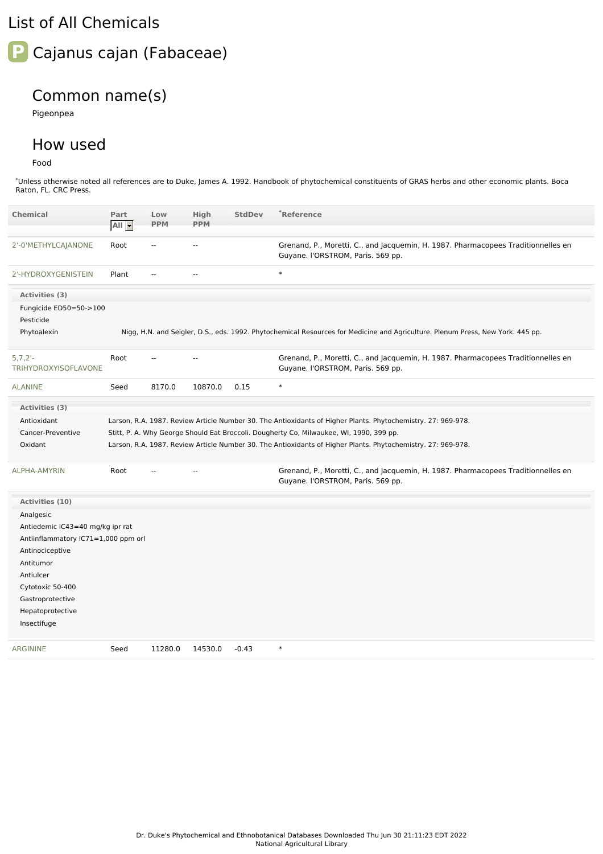## List of All Chemicals



## Common name(s)

Pigeonpea

## How used

Food

\*Unless otherwise noted all references are to Duke, James A. 1992. Handbook of phytochemical constituents of GRAS herbs and other economic plants. Boca Raton, FL. CRC Press.

| <b>Chemical</b>                             | Part<br>$All -$ | Low<br><b>PPM</b>        | High<br><b>PPM</b> | <b>StdDev</b> | $\degree$ Reference                                                                                                                                                                                     |
|---------------------------------------------|-----------------|--------------------------|--------------------|---------------|---------------------------------------------------------------------------------------------------------------------------------------------------------------------------------------------------------|
| 2'-0'METHYLCAJANONE                         | Root            | $\overline{\phantom{a}}$ | $\sim$ $\sim$      |               | Grenand, P., Moretti, C., and Jacquemin, H. 1987. Pharmacopees Traditionnelles en<br>Guyane. I'ORSTROM, Paris. 569 pp.                                                                                  |
| 2'-HYDROXYGENISTEIN                         | Plant           | $\sim$                   | $\sim$ $\sim$      |               | $\ast$                                                                                                                                                                                                  |
| Activities (3)                              |                 |                          |                    |               |                                                                                                                                                                                                         |
| Fungicide ED50=50->100<br>Pesticide         |                 |                          |                    |               |                                                                                                                                                                                                         |
| Phytoalexin                                 |                 |                          |                    |               | Nigg, H.N. and Seigler, D.S., eds. 1992. Phytochemical Resources for Medicine and Agriculture. Plenum Press, New York. 445 pp.                                                                          |
| $5, 7, 2'$ -<br><b>TRIHYDROXYISOFLAVONE</b> | Root            | $\overline{a}$           |                    |               | Grenand, P., Moretti, C., and Jacquemin, H. 1987. Pharmacopees Traditionnelles en<br>Guyane. I'ORSTROM, Paris. 569 pp.                                                                                  |
| <b>ALANINE</b>                              | Seed            | 8170.0                   | 10870.0            | 0.15          | $\ast$                                                                                                                                                                                                  |
| Activities (3)                              |                 |                          |                    |               |                                                                                                                                                                                                         |
| Antioxidant                                 |                 |                          |                    |               | Larson, R.A. 1987. Review Article Number 30. The Antioxidants of Higher Plants. Phytochemistry. 27: 969-978.                                                                                            |
| Cancer-Preventive<br>Oxidant                |                 |                          |                    |               | Stitt, P. A. Why George Should Eat Broccoli. Dougherty Co, Milwaukee, WI, 1990, 399 pp.<br>Larson, R.A. 1987. Review Article Number 30. The Antioxidants of Higher Plants. Phytochemistry. 27: 969-978. |
| <b>ALPHA-AMYRIN</b>                         | Root            | $\sim$                   |                    |               | Grenand, P., Moretti, C., and Jacquemin, H. 1987. Pharmacopees Traditionnelles en<br>Guyane. I'ORSTROM, Paris. 569 pp.                                                                                  |
| Activities (10)                             |                 |                          |                    |               |                                                                                                                                                                                                         |
| Analgesic                                   |                 |                          |                    |               |                                                                                                                                                                                                         |
| Antiedemic IC43=40 mg/kg ipr rat            |                 |                          |                    |               |                                                                                                                                                                                                         |
| Antiinflammatory IC71=1,000 ppm orl         |                 |                          |                    |               |                                                                                                                                                                                                         |
| Antinociceptive                             |                 |                          |                    |               |                                                                                                                                                                                                         |
| Antitumor                                   |                 |                          |                    |               |                                                                                                                                                                                                         |
| Antiulcer                                   |                 |                          |                    |               |                                                                                                                                                                                                         |
| Cytotoxic 50-400                            |                 |                          |                    |               |                                                                                                                                                                                                         |
| Gastroprotective                            |                 |                          |                    |               |                                                                                                                                                                                                         |
| Hepatoprotective                            |                 |                          |                    |               |                                                                                                                                                                                                         |
| Insectifuge                                 |                 |                          |                    |               |                                                                                                                                                                                                         |
| <b>ARGININE</b>                             | Seed            | 11280.0                  | 14530.0            | $-0.43$       | $\ast$                                                                                                                                                                                                  |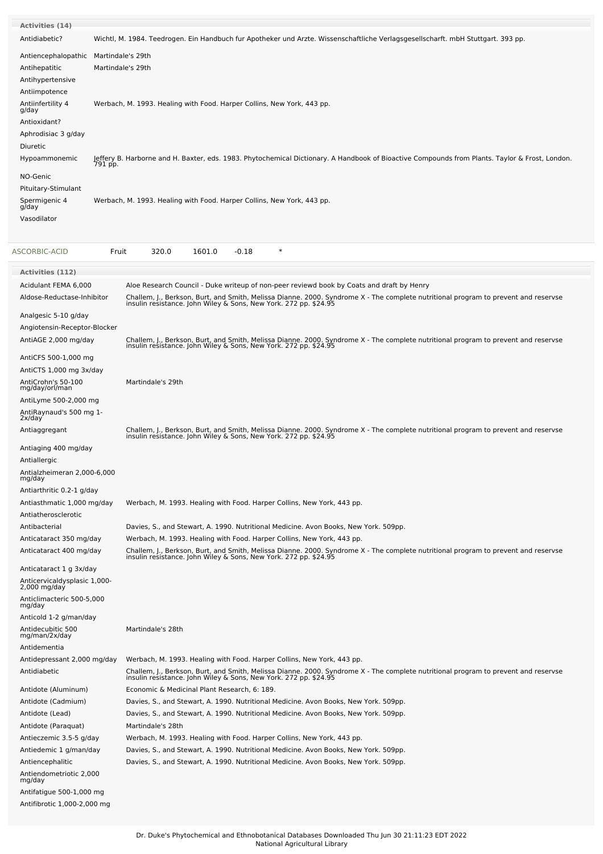| Activities (14)            |                                                                                                                                                           |
|----------------------------|-----------------------------------------------------------------------------------------------------------------------------------------------------------|
| Antidiabetic?              | Wichtl, M. 1984. Teedrogen. Ein Handbuch fur Apotheker und Arzte. Wissenschaftliche Verlagsgesellscharft. mbH Stuttgart. 393 pp.                          |
| Antiencephalopathic        | Martindale's 29th                                                                                                                                         |
| Antihepatitic              | Martindale's 29th                                                                                                                                         |
| Antihypertensive           |                                                                                                                                                           |
| Antiimpotence              |                                                                                                                                                           |
| Antiinfertility 4<br>g/day | Werbach, M. 1993. Healing with Food. Harper Collins, New York, 443 pp.                                                                                    |
| Antioxidant?               |                                                                                                                                                           |
| Aphrodisiac 3 g/day        |                                                                                                                                                           |
| Diuretic                   |                                                                                                                                                           |
| Hypoammonemic              | Jeffery B. Harborne and H. Baxter, eds. 1983. Phytochemical Dictionary. A Handbook of Bioactive Compounds from Plants. Taylor & Frost, London.<br>791 pp. |
| NO-Genic                   |                                                                                                                                                           |
| Pituitary-Stimulant        |                                                                                                                                                           |
| Spermigenic 4<br>g/day     | Werbach, M. 1993. Healing with Food. Harper Collins, New York, 443 pp.                                                                                    |
| Vasodilator                |                                                                                                                                                           |
|                            |                                                                                                                                                           |

| ASCORBIC-ACID<br>Fruit                       | 320.0<br>1601.0<br>$-0.18$                                                                                                                                                                             |  |
|----------------------------------------------|--------------------------------------------------------------------------------------------------------------------------------------------------------------------------------------------------------|--|
| <b>Activities (112)</b>                      |                                                                                                                                                                                                        |  |
| Acidulant FEMA 6,000                         | Aloe Research Council - Duke writeup of non-peer reviewd book by Coats and draft by Henry                                                                                                              |  |
| Aldose-Reductase-Inhibitor                   | Challem, J., Berkson, Burt, and Smith, Melissa Dianne. 2000. Syndrome X - The complete nutritional program to prevent and reservse<br>insulin resistance. John Wiley & Sons, New York. 272 pp. \$24.95 |  |
| Analgesic 5-10 g/day                         |                                                                                                                                                                                                        |  |
| Angiotensin-Receptor-Blocker                 |                                                                                                                                                                                                        |  |
| AntiAGE 2,000 mg/day                         | Challem, J., Berkson, Burt, and Smith, Melissa Dianne. 2000. Syndrome X - The complete nutritional program to prevent and reservse insulin resistance. John Wiley & Sons, New York. 272 pp. \$24.95    |  |
| AntiCFS 500-1,000 mg                         |                                                                                                                                                                                                        |  |
| AntiCTS 1,000 mg 3x/day                      |                                                                                                                                                                                                        |  |
| AntiCrohn's 50-100<br>mg/day/orl/man         | Martindale's 29th                                                                                                                                                                                      |  |
| AntiLyme 500-2,000 mg                        |                                                                                                                                                                                                        |  |
| AntiRaynaud's 500 mg 1-<br>2x/day            |                                                                                                                                                                                                        |  |
| Antiaggregant                                | Challem, J., Berkson, Burt, and Smith, Melissa Dianne. 2000. Syndrome X - The complete nutritional program to prevent and reservse<br>insulin resistance. John Wiley & Sons, New York. 272 pp. \$24.95 |  |
| Antiaging 400 mg/day                         |                                                                                                                                                                                                        |  |
| Antiallergic                                 |                                                                                                                                                                                                        |  |
| Antialzheimeran 2,000-6,000<br>mg/day        |                                                                                                                                                                                                        |  |
| Antiarthritic 0.2-1 g/day                    |                                                                                                                                                                                                        |  |
| Antiasthmatic 1,000 mg/day                   | Werbach, M. 1993. Healing with Food. Harper Collins, New York, 443 pp.                                                                                                                                 |  |
| Antiatherosclerotic                          |                                                                                                                                                                                                        |  |
| Antibacterial                                | Davies, S., and Stewart, A. 1990. Nutritional Medicine. Avon Books, New York. 509pp.                                                                                                                   |  |
| Anticataract 350 mg/day                      | Werbach, M. 1993. Healing with Food. Harper Collins, New York, 443 pp.                                                                                                                                 |  |
| Anticataract 400 mg/day                      | Challem, J., Berkson, Burt, and Smith, Melissa Dianne. 2000. Syndrome X - The complete nutritional program to prevent and reservse<br>insulin resistance. John Wiley & Sons, New York. 272 pp. \$24.95 |  |
| Anticataract 1 g 3x/day                      |                                                                                                                                                                                                        |  |
| Anticervicaldysplasic 1,000-<br>2,000 mg/day |                                                                                                                                                                                                        |  |
| Anticlimacteric 500-5,000<br>mg/day          |                                                                                                                                                                                                        |  |
| Anticold 1-2 g/man/day                       |                                                                                                                                                                                                        |  |
| Antidecubitic 500<br>mg/man/2x/day           | Martindale's 28th                                                                                                                                                                                      |  |
| Antidementia                                 |                                                                                                                                                                                                        |  |
| Antidepressant 2,000 mg/day                  | Werbach, M. 1993. Healing with Food. Harper Collins, New York, 443 pp.                                                                                                                                 |  |
| Antidiabetic                                 | Challem, J., Berkson, Burt, and Smith, Melissa Dianne. 2000. Syndrome X - The complete nutritional program to prevent and reservse<br>insulin resistance. John Wiley & Sons, New York. 272 pp. \$24.95 |  |
| Antidote (Aluminum)                          | Economic & Medicinal Plant Research, 6: 189.                                                                                                                                                           |  |
| Antidote (Cadmium)                           | Davies, S., and Stewart, A. 1990. Nutritional Medicine. Avon Books, New York. 509pp.                                                                                                                   |  |
| Antidote (Lead)                              | Davies, S., and Stewart, A. 1990. Nutritional Medicine. Avon Books, New York. 509pp.                                                                                                                   |  |
| Antidote (Paraquat)                          | Martindale's 28th                                                                                                                                                                                      |  |
| Antieczemic 3.5-5 g/day                      | Werbach, M. 1993. Healing with Food. Harper Collins, New York, 443 pp.                                                                                                                                 |  |
| Antiedemic 1 g/man/day                       | Davies, S., and Stewart, A. 1990. Nutritional Medicine. Avon Books, New York. 509pp.                                                                                                                   |  |
| Antiencephalitic                             | Davies, S., and Stewart, A. 1990. Nutritional Medicine. Avon Books, New York. 509pp.                                                                                                                   |  |
| Antiendometriotic 2,000<br>mg/day            |                                                                                                                                                                                                        |  |
| Antifatigue 500-1,000 mg                     |                                                                                                                                                                                                        |  |
| Antifibrotic 1,000-2,000 mg                  |                                                                                                                                                                                                        |  |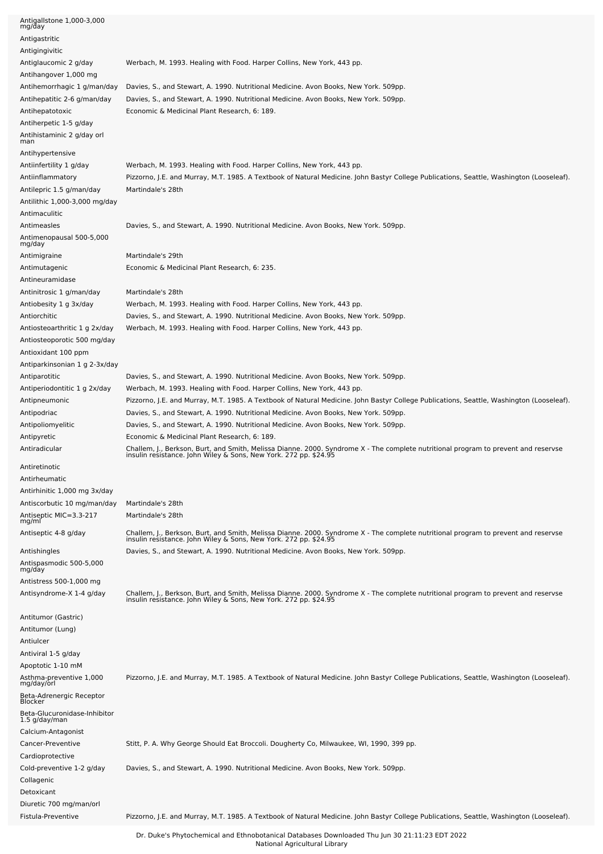| Antigallstone 1,000-3,000<br>mg/day                                        |                                                                                                                                                                                                        |
|----------------------------------------------------------------------------|--------------------------------------------------------------------------------------------------------------------------------------------------------------------------------------------------------|
| Antigastritic                                                              |                                                                                                                                                                                                        |
| Antigingivitic                                                             |                                                                                                                                                                                                        |
| Antiglaucomic 2 g/day                                                      | Werbach, M. 1993. Healing with Food. Harper Collins, New York, 443 pp.                                                                                                                                 |
| Antihangover 1,000 mg                                                      |                                                                                                                                                                                                        |
| Antihemorrhagic 1 g/man/day                                                | Davies, S., and Stewart, A. 1990. Nutritional Medicine. Avon Books, New York. 509pp.                                                                                                                   |
| Antihepatitic 2-6 g/man/day                                                | Davies, S., and Stewart, A. 1990. Nutritional Medicine. Avon Books, New York. 509pp.                                                                                                                   |
| Antihepatotoxic                                                            | Economic & Medicinal Plant Research, 6: 189.                                                                                                                                                           |
| Antiherpetic 1-5 g/day                                                     |                                                                                                                                                                                                        |
| Antihistaminic 2 g/day orl                                                 |                                                                                                                                                                                                        |
| man                                                                        |                                                                                                                                                                                                        |
| Antihypertensive<br>Antiinfertility 1 g/day                                | Werbach, M. 1993. Healing with Food. Harper Collins, New York, 443 pp.                                                                                                                                 |
| Antiinflammatory                                                           | Pizzorno, J.E. and Murray, M.T. 1985. A Textbook of Natural Medicine. John Bastyr College Publications, Seattle, Washington (Looseleaf).                                                               |
| Antilepric 1.5 g/man/day<br>Antilithic 1,000-3,000 mg/day<br>Antimaculitic | Martindale's 28th                                                                                                                                                                                      |
| Antimeasles                                                                | Davies, S., and Stewart, A. 1990. Nutritional Medicine. Avon Books, New York. 509pp.                                                                                                                   |
| Antimenopausal 500-5,000<br>mg/day                                         |                                                                                                                                                                                                        |
| Antimigraine                                                               | Martindale's 29th                                                                                                                                                                                      |
| Antimutagenic                                                              | Economic & Medicinal Plant Research, 6: 235.                                                                                                                                                           |
| Antineuramidase                                                            |                                                                                                                                                                                                        |
| Antinitrosic 1 g/man/day                                                   | Martindale's 28th                                                                                                                                                                                      |
| Antiobesity 1 g 3x/day                                                     | Werbach, M. 1993. Healing with Food. Harper Collins, New York, 443 pp.                                                                                                                                 |
| Antiorchitic                                                               | Davies, S., and Stewart, A. 1990. Nutritional Medicine. Avon Books, New York. 509pp.                                                                                                                   |
| Antiosteoarthritic 1 g 2x/day<br>Antiosteoporotic 500 mg/day               | Werbach, M. 1993. Healing with Food. Harper Collins, New York, 443 pp.                                                                                                                                 |
| Antioxidant 100 ppm                                                        |                                                                                                                                                                                                        |
| Antiparkinsonian 1 g 2-3x/day                                              |                                                                                                                                                                                                        |
| Antiparotitic                                                              | Davies, S., and Stewart, A. 1990. Nutritional Medicine. Avon Books, New York. 509pp.                                                                                                                   |
| Antiperiodontitic 1 g 2x/day                                               | Werbach, M. 1993. Healing with Food. Harper Collins, New York, 443 pp.                                                                                                                                 |
| Antipneumonic                                                              | Pizzorno, J.E. and Murray, M.T. 1985. A Textbook of Natural Medicine. John Bastyr College Publications, Seattle, Washington (Looseleaf).                                                               |
| Antipodriac                                                                | Davies, S., and Stewart, A. 1990. Nutritional Medicine. Avon Books, New York. 509pp.                                                                                                                   |
| Antipoliomyelitic                                                          | Davies, S., and Stewart, A. 1990. Nutritional Medicine. Avon Books, New York. 509pp.                                                                                                                   |
| Antipyretic<br>Antiradicular                                               | Economic & Medicinal Plant Research, 6: 189.                                                                                                                                                           |
|                                                                            | Challem, J., Berkson, Burt, and Smith, Melissa Dianne. 2000. Syndrome X - The complete nutritional program to prevent and reservse<br>insulin resistance. John Wiley & Sons, New York. 272 pp. \$24.95 |
| Antiretinotic                                                              |                                                                                                                                                                                                        |
| Antirheumatic                                                              |                                                                                                                                                                                                        |
| Antirhinitic 1,000 mg 3x/day                                               |                                                                                                                                                                                                        |
| Antiscorbutic 10 mg/man/day                                                | Martindale's 28th                                                                                                                                                                                      |
| Antiseptic MIC=3.3-217<br>mg/ml                                            | Martindale's 28th                                                                                                                                                                                      |
| Antiseptic 4-8 g/day                                                       | Challem, J., Berkson, Burt, and Smith, Melissa Dianne. 2000. Syndrome X - The complete nutritional program to prevent and reservse<br>insulin resistance. John Wiley & Sons, New York. 272 pp. \$24.95 |
| Antishingles                                                               | Davies, S., and Stewart, A. 1990. Nutritional Medicine. Avon Books, New York. 509pp.                                                                                                                   |
| Antispasmodic 500-5,000                                                    |                                                                                                                                                                                                        |
| mg/day<br>Antistress 500-1,000 mg                                          |                                                                                                                                                                                                        |
| Antisyndrome-X 1-4 g/day                                                   | Challem, J., Berkson, Burt, and Smith, Melissa Dianne. 2000. Syndrome X - The complete nutritional program to prevent and reservse<br>insulin resistance. John Wiley & Sons, New York. 272 pp. \$24.95 |
| Antitumor (Gastric)                                                        |                                                                                                                                                                                                        |
| Antitumor (Lung)                                                           |                                                                                                                                                                                                        |
| Antiulcer                                                                  |                                                                                                                                                                                                        |
| Antiviral 1-5 g/day                                                        |                                                                                                                                                                                                        |
| Apoptotic 1-10 mM                                                          |                                                                                                                                                                                                        |
| Asthma-preventive 1,000                                                    | Pizzorno, J.E. and Murray, M.T. 1985. A Textbook of Natural Medicine. John Bastyr College Publications, Seattle, Washington (Looseleaf).                                                               |
| mg/day/orl<br>Beta-Adrenergic Receptor                                     |                                                                                                                                                                                                        |
| Blocker<br>Beta-Glucuronidase-Inhibitor                                    |                                                                                                                                                                                                        |
| 1.5 g/day/man                                                              |                                                                                                                                                                                                        |
| Calcium-Antagonist                                                         |                                                                                                                                                                                                        |
| Cancer-Preventive                                                          | Stitt, P. A. Why George Should Eat Broccoli. Dougherty Co, Milwaukee, WI, 1990, 399 pp.                                                                                                                |
| Cardioprotective                                                           |                                                                                                                                                                                                        |
| Cold-preventive 1-2 g/day                                                  | Davies, S., and Stewart, A. 1990. Nutritional Medicine. Avon Books, New York. 509pp.                                                                                                                   |
| Collagenic                                                                 |                                                                                                                                                                                                        |
| Detoxicant                                                                 |                                                                                                                                                                                                        |
| Diuretic 700 mg/man/orl                                                    |                                                                                                                                                                                                        |
| Fistula-Preventive                                                         | Pizzorno, J.E. and Murray, M.T. 1985. A Textbook of Natural Medicine. John Bastyr College Publications, Seattle, Washington (Looseleaf).                                                               |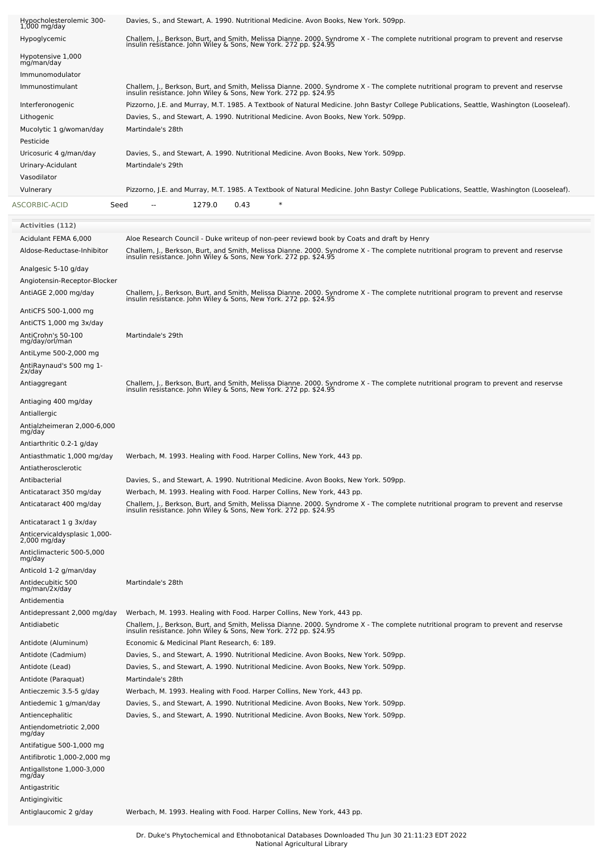| Hypocholesterolemic 300-<br>$1,000$ mg/day              | Davies, S., and Stewart, A. 1990. Nutritional Medicine. Avon Books, New York. 509pp.                                                                                                                   |
|---------------------------------------------------------|--------------------------------------------------------------------------------------------------------------------------------------------------------------------------------------------------------|
| Hypoglycemic                                            | Challem, J., Berkson, Burt, and Smith, Melissa Dianne. 2000. Syndrome X - The complete nutritional program to prevent and reservse<br>insulin resistance. John Wiley & Sons, New York. 272 pp. \$24.95 |
| Hypotensive 1,000<br>mg/man/day                         |                                                                                                                                                                                                        |
| Immunomodulator                                         |                                                                                                                                                                                                        |
| Immunostimulant                                         | Challem, J., Berkson, Burt, and Smith, Melissa Dianne. 2000. Syndrome X - The complete nutritional program to prevent and reservse<br>insulin resistance. John Wiley & Sons, New York. 272 pp. \$24.95 |
| Interferonogenic                                        | Pizzorno, J.E. and Murray, M.T. 1985. A Textbook of Natural Medicine. John Bastyr College Publications, Seattle, Washington (Looseleaf).                                                               |
| Lithogenic                                              | Davies, S., and Stewart, A. 1990. Nutritional Medicine. Avon Books, New York. 509pp.                                                                                                                   |
| Mucolytic 1 g/woman/day                                 | Martindale's 28th                                                                                                                                                                                      |
| Pesticide                                               |                                                                                                                                                                                                        |
| Uricosuric 4 g/man/day<br>Urinary-Acidulant             | Davies, S., and Stewart, A. 1990. Nutritional Medicine. Avon Books, New York. 509pp.<br>Martindale's 29th                                                                                              |
| Vasodilator                                             |                                                                                                                                                                                                        |
| Vulnerary                                               | Pizzorno, J.E. and Murray, M.T. 1985. A Textbook of Natural Medicine. John Bastyr College Publications, Seattle, Washington (Looseleaf).                                                               |
| ASCORBIC-ACID<br>Seed                                   | 1279.0<br>∗<br>0.43                                                                                                                                                                                    |
|                                                         |                                                                                                                                                                                                        |
| <b>Activities (112)</b><br>Acidulant FEMA 6,000         | Aloe Research Council - Duke writeup of non-peer reviewd book by Coats and draft by Henry                                                                                                              |
| Aldose-Reductase-Inhibitor                              | Challem, J., Berkson, Burt, and Smith, Melissa Dianne. 2000. Syndrome X - The complete nutritional program to prevent and reservse<br>insulin resistance. John Wiley & Sons, New York. 272 pp. \$24.95 |
|                                                         |                                                                                                                                                                                                        |
| Analgesic 5-10 g/day<br>Angiotensin-Receptor-Blocker    |                                                                                                                                                                                                        |
| AntiAGE 2,000 mg/day                                    | Challem, J., Berkson, Burt, and Smith, Melissa Dianne. 2000. Syndrome X - The complete nutritional program to prevent and reservse<br>insulin resistance. John Wiley & Sons, New York. 272 pp. \$24.95 |
|                                                         |                                                                                                                                                                                                        |
| AntiCFS 500-1,000 mg<br>AntiCTS 1,000 mg 3x/day         |                                                                                                                                                                                                        |
| AntiCrohn's 50-100                                      | Martindale's 29th                                                                                                                                                                                      |
| mg/day/orl/man<br>AntiLyme 500-2,000 mg                 |                                                                                                                                                                                                        |
| AntiRaynaud's 500 mg 1-                                 |                                                                                                                                                                                                        |
| 2x/day                                                  |                                                                                                                                                                                                        |
| Antiaggregant                                           | Challem, J., Berkson, Burt, and Smith, Melissa Dianne. 2000. Syndrome X - The complete nutritional program to prevent and reservse<br>insulin resistance. John Wiley & Sons, New York. 272 pp. \$24.95 |
| Antiaging 400 mg/day                                    |                                                                                                                                                                                                        |
| Antiallergic<br>Antialzheimeran 2,000-6,000             |                                                                                                                                                                                                        |
| mg/day                                                  |                                                                                                                                                                                                        |
| Antiarthritic 0.2-1 g/day<br>Antiasthmatic 1,000 mg/day | Werbach, M. 1993. Healing with Food. Harper Collins, New York, 443 pp.                                                                                                                                 |
| Antiatherosclerotic                                     |                                                                                                                                                                                                        |
| Antibacterial                                           | Davies, S., and Stewart, A. 1990. Nutritional Medicine. Avon Books, New York. 509pp.                                                                                                                   |
| Anticataract 350 mg/day                                 | Werbach, M. 1993. Healing with Food. Harper Collins, New York, 443 pp.                                                                                                                                 |
| Anticataract 400 mg/day                                 | Challem, J., Berkson, Burt, and Smith, Melissa Dianne. 2000. Syndrome X - The complete nutritional program to prevent and reservse<br>insulin resistance. John Wiley & Sons, New York. 272 pp. \$24.95 |
| Anticataract 1 g 3x/day                                 |                                                                                                                                                                                                        |
| Anticervicaldysplasic 1,000-<br>2,000 mg/day            |                                                                                                                                                                                                        |
| Anticlimacteric 500-5,000                               |                                                                                                                                                                                                        |
| mg/day<br>Anticold 1-2 g/man/day                        |                                                                                                                                                                                                        |
| Antidecubitic 500<br>mg/man/2x/day                      | Martindale's 28th                                                                                                                                                                                      |
| Antidementia                                            |                                                                                                                                                                                                        |
| Antidepressant 2,000 mg/day                             | Werbach, M. 1993. Healing with Food. Harper Collins, New York, 443 pp.                                                                                                                                 |
| Antidiabetic                                            | Challem, J., Berkson, Burt, and Smith, Melissa Dianne. 2000. Syndrome X - The complete nutritional program to prevent and reservse<br>insulin resistance. John Wiley & Sons, New York. 272 pp. \$24.95 |
| Antidote (Aluminum)                                     | Economic & Medicinal Plant Research, 6: 189.                                                                                                                                                           |
| Antidote (Cadmium)                                      | Davies, S., and Stewart, A. 1990. Nutritional Medicine. Avon Books, New York. 509pp.                                                                                                                   |
| Antidote (Lead)                                         | Davies, S., and Stewart, A. 1990. Nutritional Medicine. Avon Books, New York. 509pp.                                                                                                                   |
| Antidote (Paraquat)                                     | Martindale's 28th                                                                                                                                                                                      |
| Antieczemic 3.5-5 g/day<br>Antiedemic 1 g/man/day       | Werbach, M. 1993. Healing with Food. Harper Collins, New York, 443 pp.<br>Davies, S., and Stewart, A. 1990. Nutritional Medicine. Avon Books, New York. 509pp.                                         |
| Antiencephalitic                                        | Davies, S., and Stewart, A. 1990. Nutritional Medicine. Avon Books, New York. 509pp.                                                                                                                   |
| Antiendometriotic 2,000                                 |                                                                                                                                                                                                        |
| mg/day<br>Antifatigue 500-1,000 mg                      |                                                                                                                                                                                                        |
| Antifibrotic 1,000-2,000 mg                             |                                                                                                                                                                                                        |
| Antigallstone 1,000-3,000<br>mg/day                     |                                                                                                                                                                                                        |
| Antigastritic                                           |                                                                                                                                                                                                        |
| Antigingivitic                                          |                                                                                                                                                                                                        |
| Antiglaucomic 2 g/day                                   | Werbach, M. 1993. Healing with Food. Harper Collins, New York, 443 pp.                                                                                                                                 |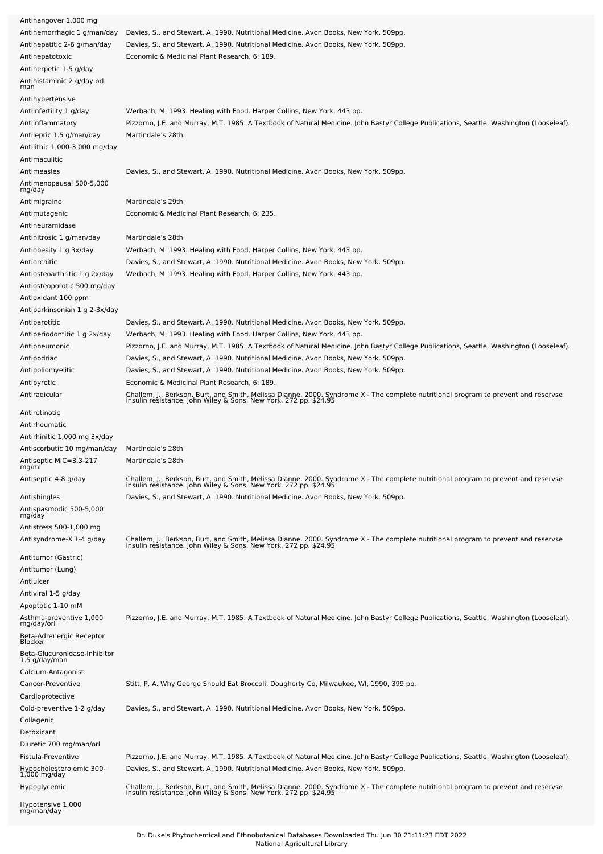| Antihangover 1,000 mg                              |                                                                                                                                                                                                        |
|----------------------------------------------------|--------------------------------------------------------------------------------------------------------------------------------------------------------------------------------------------------------|
| Antihemorrhagic 1 g/man/day                        | Davies, S., and Stewart, A. 1990. Nutritional Medicine. Avon Books, New York. 509pp.                                                                                                                   |
| Antihepatitic 2-6 g/man/day                        | Davies, S., and Stewart, A. 1990. Nutritional Medicine. Avon Books, New York. 509pp.                                                                                                                   |
| Antihepatotoxic                                    | Economic & Medicinal Plant Research, 6: 189.                                                                                                                                                           |
| Antiherpetic 1-5 g/day                             |                                                                                                                                                                                                        |
| Antihistaminic 2 g/day orl<br>man                  |                                                                                                                                                                                                        |
| Antihypertensive                                   |                                                                                                                                                                                                        |
| Antiinfertility 1 g/day                            | Werbach, M. 1993. Healing with Food. Harper Collins, New York, 443 pp.                                                                                                                                 |
| Antiinflammatory                                   | Pizzorno, J.E. and Murray, M.T. 1985. A Textbook of Natural Medicine. John Bastyr College Publications, Seattle, Washington (Looseleaf).                                                               |
| Antilepric 1.5 g/man/day                           | Martindale's 28th                                                                                                                                                                                      |
| Antilithic 1,000-3,000 mg/day                      |                                                                                                                                                                                                        |
| Antimaculitic                                      |                                                                                                                                                                                                        |
| Antimeasles                                        | Davies, S., and Stewart, A. 1990. Nutritional Medicine. Avon Books, New York. 509pp.                                                                                                                   |
| Antimenopausal 500-5,000                           |                                                                                                                                                                                                        |
| mg/day                                             |                                                                                                                                                                                                        |
| Antimigraine                                       | Martindale's 29th                                                                                                                                                                                      |
| Antimutagenic                                      | Economic & Medicinal Plant Research, 6: 235.                                                                                                                                                           |
| Antineuramidase                                    |                                                                                                                                                                                                        |
| Antinitrosic 1 g/man/day                           | Martindale's 28th                                                                                                                                                                                      |
| Antiobesity 1 g 3x/day                             | Werbach, M. 1993. Healing with Food. Harper Collins, New York, 443 pp.                                                                                                                                 |
| Antiorchitic                                       | Davies, S., and Stewart, A. 1990. Nutritional Medicine. Avon Books, New York. 509pp.<br>Werbach, M. 1993. Healing with Food. Harper Collins, New York, 443 pp.                                         |
| Antiosteoarthritic 1 g 2x/day                      |                                                                                                                                                                                                        |
| Antiosteoporotic 500 mg/day<br>Antioxidant 100 ppm |                                                                                                                                                                                                        |
|                                                    |                                                                                                                                                                                                        |
| Antiparkinsonian 1 g 2-3x/day<br>Antiparotitic     | Davies, S., and Stewart, A. 1990. Nutritional Medicine. Avon Books, New York. 509pp.                                                                                                                   |
| Antiperiodontitic 1 g 2x/day                       | Werbach, M. 1993. Healing with Food. Harper Collins, New York, 443 pp.                                                                                                                                 |
| Antipneumonic                                      | Pizzorno, J.E. and Murray, M.T. 1985. A Textbook of Natural Medicine. John Bastyr College Publications, Seattle, Washington (Looseleaf).                                                               |
| Antipodriac                                        | Davies, S., and Stewart, A. 1990. Nutritional Medicine. Avon Books, New York. 509pp.                                                                                                                   |
| Antipoliomyelitic                                  | Davies, S., and Stewart, A. 1990. Nutritional Medicine. Avon Books, New York. 509pp.                                                                                                                   |
| Antipyretic                                        | Economic & Medicinal Plant Research, 6: 189.                                                                                                                                                           |
| Antiradicular                                      |                                                                                                                                                                                                        |
|                                                    | Challem, J., Berkson, Burt, and Smith, Melissa Dianne. 2000. Syndrome X - The complete nutritional program to prevent and reservse<br>insulin resistance. John Wiley & Sons, New York. 272 pp. \$24.95 |
| Antiretinotic                                      |                                                                                                                                                                                                        |
|                                                    |                                                                                                                                                                                                        |
| Antirheumatic                                      |                                                                                                                                                                                                        |
| Antirhinitic 1,000 mg 3x/day                       |                                                                                                                                                                                                        |
| Antiscorbutic 10 mg/man/day                        | Martindale's 28th                                                                                                                                                                                      |
| Antiseptic MIC=3.3-217<br>mg/ml                    | Martindale's 28th                                                                                                                                                                                      |
| Antiseptic 4-8 g/day                               |                                                                                                                                                                                                        |
|                                                    | Challem, J., Berkson, Burt, and Smith, Melissa Dianne. 2000. Syndrome X - The complete nutritional program to prevent and reservse<br>insulin resistance. John Wiley & Sons, New York. 272 pp. \$24.95 |
| Antishingles                                       | Davies, S., and Stewart, A. 1990. Nutritional Medicine. Avon Books, New York. 509pp.                                                                                                                   |
| Antispasmodic 500-5,000<br>mg/day                  |                                                                                                                                                                                                        |
| Antistress 500-1,000 mg                            |                                                                                                                                                                                                        |
| Antisyndrome-X 1-4 g/day                           |                                                                                                                                                                                                        |
|                                                    | Challem, J., Berkson, Burt, and Smith, Melissa Dianne. 2000. Syndrome X - The complete nutritional program to prevent and reservse<br>insulin resistance. John Wiley & Sons, New York. 272 pp. \$24.95 |
| Antitumor (Gastric)                                |                                                                                                                                                                                                        |
| Antitumor (Lung)                                   |                                                                                                                                                                                                        |
| Antiulcer                                          |                                                                                                                                                                                                        |
| Antiviral 1-5 g/day                                |                                                                                                                                                                                                        |
| Apoptotic 1-10 mM                                  |                                                                                                                                                                                                        |
| Asthma-preventive 1,000<br>mg/day/orl              | Pizzorno, J.E. and Murray, M.T. 1985. A Textbook of Natural Medicine. John Bastyr College Publications, Seattle, Washington (Looseleaf).                                                               |
| Beta-Adrenergic Receptor<br>Blocker                |                                                                                                                                                                                                        |
| Beta-Glucuronidase-Inhibitor<br>1.5 g/day/man      |                                                                                                                                                                                                        |
| Calcium-Antagonist                                 |                                                                                                                                                                                                        |
| Cancer-Preventive                                  | Stitt, P. A. Why George Should Eat Broccoli. Dougherty Co, Milwaukee, WI, 1990, 399 pp.                                                                                                                |
| Cardioprotective                                   |                                                                                                                                                                                                        |
| Cold-preventive 1-2 g/day                          | Davies, S., and Stewart, A. 1990. Nutritional Medicine. Avon Books, New York. 509pp.                                                                                                                   |
| Collagenic                                         |                                                                                                                                                                                                        |
| Detoxicant                                         |                                                                                                                                                                                                        |
| Diuretic 700 mg/man/orl                            |                                                                                                                                                                                                        |
| Fistula-Preventive                                 | Pizzorno, J.E. and Murray, M.T. 1985. A Textbook of Natural Medicine. John Bastyr College Publications, Seattle, Washington (Looseleaf).                                                               |
| Hypocholesterolemic 300-<br>1,000 mg/day           | Davies, S., and Stewart, A. 1990. Nutritional Medicine. Avon Books, New York. 509pp.                                                                                                                   |
| Hypoglycemic                                       |                                                                                                                                                                                                        |
| Hypotensive 1,000<br>mg/man/day                    | Challem, J., Berkson, Burt, and Smith, Melissa Dianne. 2000. Syndrome X - The complete nutritional program to prevent and reservse<br>insulin resistance. John Wiley & Sons, New York. 272 pp. \$24.95 |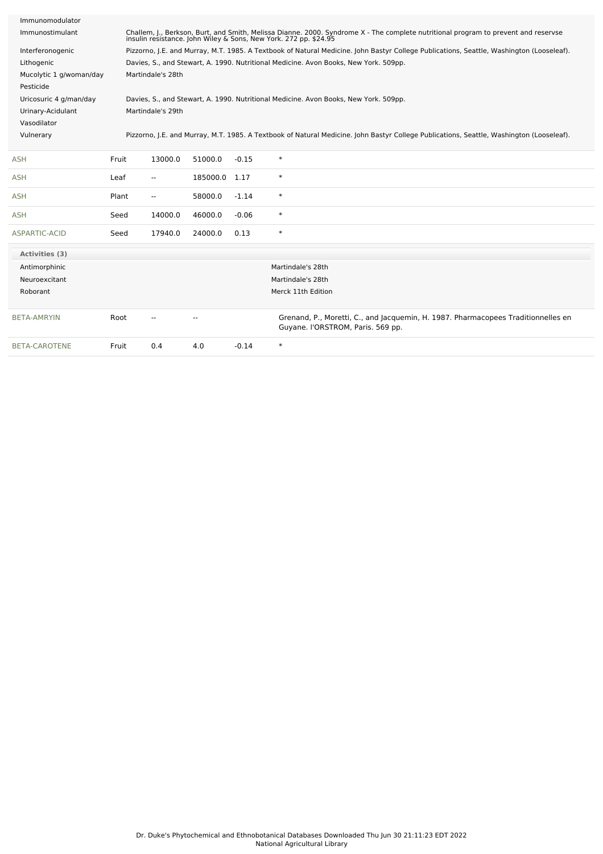| Immunomodulator         |       |                                                                  |          |         |        |                                                                                                                                          |
|-------------------------|-------|------------------------------------------------------------------|----------|---------|--------|------------------------------------------------------------------------------------------------------------------------------------------|
| Immunostimulant         |       | insulin resistance. John Wiley & Sons, New York. 272 pp. \$24.95 |          |         |        | Challem, J., Berkson, Burt, and Smith, Melissa Dianne. 2000. Syndrome X - The complete nutritional program to prevent and reservse       |
| Interferonogenic        |       |                                                                  |          |         |        | Pizzorno, J.E. and Murray, M.T. 1985. A Textbook of Natural Medicine. John Bastyr College Publications, Seattle, Washington (Looseleaf). |
| Lithogenic              |       |                                                                  |          |         |        | Davies, S., and Stewart, A. 1990. Nutritional Medicine. Avon Books, New York. 509pp.                                                     |
| Mucolytic 1 g/woman/day |       | Martindale's 28th                                                |          |         |        |                                                                                                                                          |
| Pesticide               |       |                                                                  |          |         |        |                                                                                                                                          |
| Uricosuric 4 g/man/day  |       |                                                                  |          |         |        | Davies, S., and Stewart, A. 1990. Nutritional Medicine. Avon Books, New York. 509pp.                                                     |
| Urinary-Acidulant       |       | Martindale's 29th                                                |          |         |        |                                                                                                                                          |
| Vasodilator             |       |                                                                  |          |         |        |                                                                                                                                          |
| Vulnerary               |       |                                                                  |          |         |        | Pizzorno, J.E. and Murray, M.T. 1985. A Textbook of Natural Medicine. John Bastyr College Publications, Seattle, Washington (Looseleaf). |
|                         |       |                                                                  |          |         |        |                                                                                                                                          |
| ASH                     | Fruit | 13000.0                                                          | 51000.0  | $-0.15$ | $\ast$ |                                                                                                                                          |
| ASH                     | Leaf  | $\overline{\phantom{a}}$                                         | 185000.0 | 1.17    | $\ast$ |                                                                                                                                          |
| <b>ASH</b>              | Plant | --                                                               | 58000.0  | $-1.14$ | $\ast$ |                                                                                                                                          |
| <b>ASH</b>              | Seed  | 14000.0                                                          | 46000.0  | $-0.06$ | $\ast$ |                                                                                                                                          |
| <b>ASPARTIC-ACID</b>    | Seed  | 17940.0                                                          | 24000.0  | 0.13    | $\ast$ |                                                                                                                                          |
| Activities (3)          |       |                                                                  |          |         |        |                                                                                                                                          |
| Antimorphinic           |       |                                                                  |          |         |        | Martindale's 28th                                                                                                                        |
| Neuroexcitant           |       |                                                                  |          |         |        | Martindale's 28th                                                                                                                        |
| Roborant                |       |                                                                  |          |         |        | Merck 11th Edition                                                                                                                       |
| <b>BETA-AMRYIN</b>      | Root  |                                                                  |          |         |        | Grenand, P., Moretti, C., and Jacquemin, H. 1987. Pharmacopees Traditionnelles en<br>Guyane. I'ORSTROM, Paris. 569 pp.                   |
| <b>BETA-CAROTENE</b>    | Fruit | 0.4                                                              | 4.0      | $-0.14$ | $\ast$ |                                                                                                                                          |
|                         |       |                                                                  |          |         |        |                                                                                                                                          |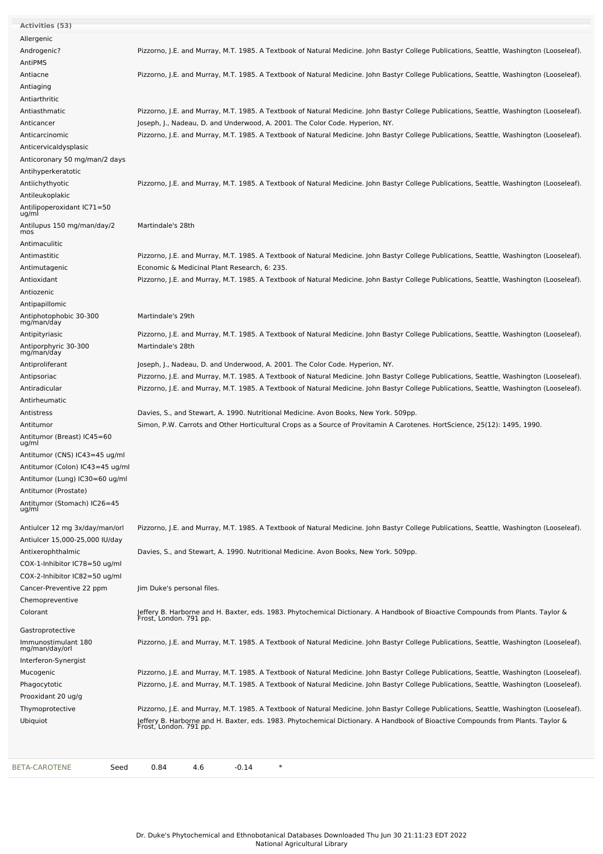| <b>Activities (53)</b>                |                                                                                                                                                                                                                   |
|---------------------------------------|-------------------------------------------------------------------------------------------------------------------------------------------------------------------------------------------------------------------|
| Allergenic                            |                                                                                                                                                                                                                   |
| Androgenic?                           | Pizzorno, J.E. and Murray, M.T. 1985. A Textbook of Natural Medicine. John Bastyr College Publications, Seattle, Washington (Looseleaf).                                                                          |
| AntiPMS                               |                                                                                                                                                                                                                   |
| Antiacne                              | Pizzorno, J.E. and Murray, M.T. 1985. A Textbook of Natural Medicine. John Bastyr College Publications, Seattle, Washington (Looseleaf).                                                                          |
| Antiaging                             |                                                                                                                                                                                                                   |
| Antiarthritic                         |                                                                                                                                                                                                                   |
| Antiasthmatic                         | Pizzorno, J.E. and Murray, M.T. 1985. A Textbook of Natural Medicine. John Bastyr College Publications, Seattle, Washington (Looseleaf).                                                                          |
| Anticancer                            | Joseph, J., Nadeau, D. and Underwood, A. 2001. The Color Code. Hyperion, NY.                                                                                                                                      |
| Anticarcinomic                        | Pizzorno, J.E. and Murray, M.T. 1985. A Textbook of Natural Medicine. John Bastyr College Publications, Seattle, Washington (Looseleaf).                                                                          |
| Anticervicaldysplasic                 |                                                                                                                                                                                                                   |
| Anticoronary 50 mg/man/2 days         |                                                                                                                                                                                                                   |
| Antihyperkeratotic                    |                                                                                                                                                                                                                   |
| Antiichythyotic                       | Pizzorno, J.E. and Murray, M.T. 1985. A Textbook of Natural Medicine. John Bastyr College Publications, Seattle, Washington (Looseleaf).                                                                          |
| Antileukoplakic                       |                                                                                                                                                                                                                   |
| Antilipoperoxidant IC71=50<br>ug/ml   |                                                                                                                                                                                                                   |
| Antilupus 150 mg/man/day/2            | Martindale's 28th                                                                                                                                                                                                 |
| mos                                   |                                                                                                                                                                                                                   |
| Antimaculitic                         |                                                                                                                                                                                                                   |
| Antimastitic                          | Pizzorno, J.E. and Murray, M.T. 1985. A Textbook of Natural Medicine. John Bastyr College Publications, Seattle, Washington (Looseleaf).                                                                          |
| Antimutagenic                         | Economic & Medicinal Plant Research, 6: 235.                                                                                                                                                                      |
| Antioxidant                           | Pizzorno, J.E. and Murray, M.T. 1985. A Textbook of Natural Medicine. John Bastyr College Publications, Seattle, Washington (Looseleaf).                                                                          |
| Antiozenic                            |                                                                                                                                                                                                                   |
| Antipapillomic                        |                                                                                                                                                                                                                   |
| Antiphotophobic 30-300<br>mg/man/day  | Martindale's 29th                                                                                                                                                                                                 |
| Antipityriasic                        | Pizzorno, J.E. and Murray, M.T. 1985. A Textbook of Natural Medicine. John Bastyr College Publications, Seattle, Washington (Looseleaf).                                                                          |
| Antiporphyric 30-300                  | Martindale's 28th                                                                                                                                                                                                 |
| mg/man/day                            |                                                                                                                                                                                                                   |
| Antiproliferant                       | Joseph, J., Nadeau, D. and Underwood, A. 2001. The Color Code. Hyperion, NY.                                                                                                                                      |
| Antipsoriac                           | Pizzorno, J.E. and Murray, M.T. 1985. A Textbook of Natural Medicine. John Bastyr College Publications, Seattle, Washington (Looseleaf).                                                                          |
| Antiradicular<br>Antirheumatic        | Pizzorno, J.E. and Murray, M.T. 1985. A Textbook of Natural Medicine. John Bastyr College Publications, Seattle, Washington (Looseleaf).                                                                          |
| Antistress                            |                                                                                                                                                                                                                   |
| Antitumor                             | Davies, S., and Stewart, A. 1990. Nutritional Medicine. Avon Books, New York. 509pp.<br>Simon, P.W. Carrots and Other Horticultural Crops as a Source of Provitamin A Carotenes. HortScience, 25(12): 1495, 1990. |
| Antitumor (Breast) IC45=60            |                                                                                                                                                                                                                   |
| ug/ml                                 |                                                                                                                                                                                                                   |
| Antitumor (CNS) IC43=45 ug/ml         |                                                                                                                                                                                                                   |
| Antitumor (Colon) IC43=45 ug/ml       |                                                                                                                                                                                                                   |
| Antitumor (Lung) IC30=60 ug/ml        |                                                                                                                                                                                                                   |
| Antitumor (Prostate)                  |                                                                                                                                                                                                                   |
| Antitumor (Stomach) IC26=45<br>ug/ml  |                                                                                                                                                                                                                   |
|                                       |                                                                                                                                                                                                                   |
| Antiulcer 12 mg 3x/day/man/orl        | Pizzorno, J.E. and Murray, M.T. 1985. A Textbook of Natural Medicine. John Bastyr College Publications, Seattle, Washington (Looseleaf).                                                                          |
| Antiulcer 15,000-25,000 IU/day        |                                                                                                                                                                                                                   |
| Antixerophthalmic                     | Davies, S., and Stewart, A. 1990. Nutritional Medicine. Avon Books, New York. 509pp.                                                                                                                              |
| COX-1-Inhibitor IC78=50 ug/ml         |                                                                                                                                                                                                                   |
| COX-2-Inhibitor IC82=50 ug/ml         |                                                                                                                                                                                                                   |
| Cancer-Preventive 22 ppm              | Jim Duke's personal files.                                                                                                                                                                                        |
| Chemopreventive                       |                                                                                                                                                                                                                   |
| Colorant                              | Jeffery B. Harborne and H. Baxter, eds. 1983. Phytochemical Dictionary. A Handbook of Bioactive Compounds from Plants. Taylor &<br>Frost, London. 791 pp.                                                         |
| Gastroprotective                      |                                                                                                                                                                                                                   |
| Immunostimulant 180<br>mg/man/day/orl | Pizzorno, J.E. and Murray, M.T. 1985. A Textbook of Natural Medicine. John Bastyr College Publications, Seattle, Washington (Looseleaf).                                                                          |
| Interferon-Synergist                  |                                                                                                                                                                                                                   |
| Mucogenic                             | Pizzorno, J.E. and Murray, M.T. 1985. A Textbook of Natural Medicine. John Bastyr College Publications, Seattle, Washington (Looseleaf).                                                                          |
| Phagocytotic                          | Pizzorno, J.E. and Murray, M.T. 1985. A Textbook of Natural Medicine. John Bastyr College Publications, Seattle, Washington (Looseleaf).                                                                          |
| Prooxidant 20 ug/g                    |                                                                                                                                                                                                                   |
| Thymoprotective                       | Pizzorno, J.E. and Murray, M.T. 1985. A Textbook of Natural Medicine. John Bastyr College Publications, Seattle, Washington (Looseleaf).                                                                          |
| Ubiquiot                              | Jeffery B. Harborne and H. Baxter, eds. 1983. Phytochemical Dictionary. A Handbook of Bioactive Compounds from Plants. Taylor &                                                                                   |
|                                       | Frost, London. 791 pp.                                                                                                                                                                                            |
|                                       |                                                                                                                                                                                                                   |
|                                       |                                                                                                                                                                                                                   |
| BETA-CAROTENE<br>Seed                 | $-0.14$<br>$\ast$<br>0.84<br>4.6                                                                                                                                                                                  |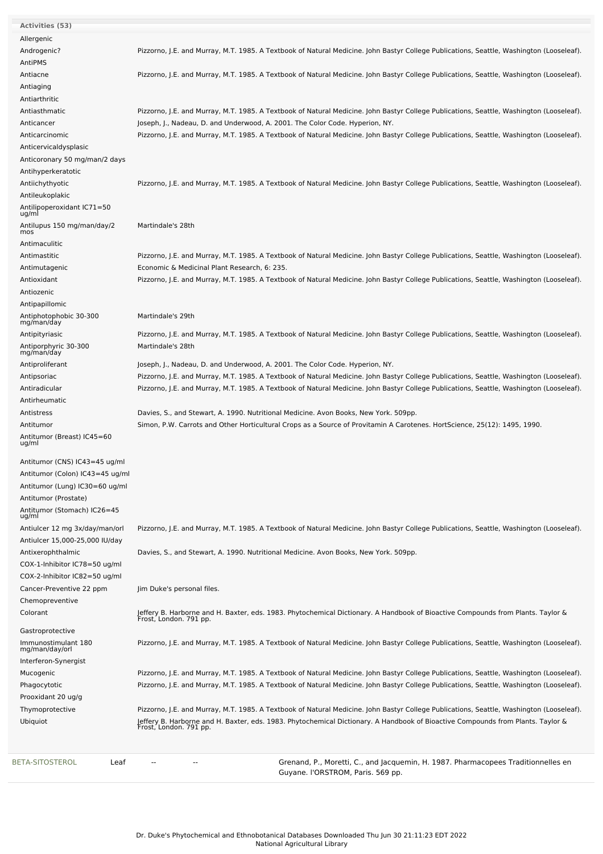| <b>Activities (53)</b>                |                                                                                                                                                           |
|---------------------------------------|-----------------------------------------------------------------------------------------------------------------------------------------------------------|
| Allergenic                            |                                                                                                                                                           |
| Androgenic?                           | Pizzorno, J.E. and Murray, M.T. 1985. A Textbook of Natural Medicine. John Bastyr College Publications, Seattle, Washington (Looseleaf).                  |
| AntiPMS                               |                                                                                                                                                           |
| Antiacne                              | Pizzorno, J.E. and Murray, M.T. 1985. A Textbook of Natural Medicine. John Bastyr College Publications, Seattle, Washington (Looseleaf).                  |
| Antiaging                             |                                                                                                                                                           |
| Antiarthritic                         |                                                                                                                                                           |
| Antiasthmatic                         | Pizzorno, J.E. and Murray, M.T. 1985. A Textbook of Natural Medicine. John Bastyr College Publications, Seattle, Washington (Looseleaf).                  |
| Anticancer                            | Joseph, J., Nadeau, D. and Underwood, A. 2001. The Color Code. Hyperion, NY.                                                                              |
| Anticarcinomic                        | Pizzorno, J.E. and Murray, M.T. 1985. A Textbook of Natural Medicine. John Bastyr College Publications, Seattle, Washington (Looseleaf).                  |
| Anticervicaldysplasic                 |                                                                                                                                                           |
| Anticoronary 50 mg/man/2 days         |                                                                                                                                                           |
| Antihyperkeratotic                    |                                                                                                                                                           |
| Antiichythyotic                       | Pizzorno, J.E. and Murray, M.T. 1985. A Textbook of Natural Medicine. John Bastyr College Publications, Seattle, Washington (Looseleaf).                  |
| Antileukoplakic                       |                                                                                                                                                           |
| Antilipoperoxidant IC71=50<br>ug/ml   |                                                                                                                                                           |
| Antilupus 150 mg/man/day/2            | Martindale's 28th                                                                                                                                         |
| mos                                   |                                                                                                                                                           |
| Antimaculitic                         |                                                                                                                                                           |
| Antimastitic                          | Pizzorno, J.E. and Murray, M.T. 1985. A Textbook of Natural Medicine. John Bastyr College Publications, Seattle, Washington (Looseleaf).                  |
| Antimutagenic                         | Economic & Medicinal Plant Research, 6: 235.                                                                                                              |
| Antioxidant                           | Pizzorno, J.E. and Murray, M.T. 1985. A Textbook of Natural Medicine. John Bastyr College Publications, Seattle, Washington (Looseleaf).                  |
| Antiozenic                            |                                                                                                                                                           |
| Antipapillomic                        |                                                                                                                                                           |
| Antiphotophobic 30-300<br>mg/man/day  | Martindale's 29th                                                                                                                                         |
| Antipityriasic                        | Pizzorno, J.E. and Murray, M.T. 1985. A Textbook of Natural Medicine. John Bastyr College Publications, Seattle, Washington (Looseleaf).                  |
| Antiporphyric 30-300                  | Martindale's 28th                                                                                                                                         |
| mg/man/day                            |                                                                                                                                                           |
| Antiproliferant                       | Joseph, J., Nadeau, D. and Underwood, A. 2001. The Color Code. Hyperion, NY.                                                                              |
| Antipsoriac                           | Pizzorno, J.E. and Murray, M.T. 1985. A Textbook of Natural Medicine. John Bastyr College Publications, Seattle, Washington (Looseleaf).                  |
| Antiradicular                         | Pizzorno, J.E. and Murray, M.T. 1985. A Textbook of Natural Medicine. John Bastyr College Publications, Seattle, Washington (Looseleaf).                  |
| Antirheumatic                         |                                                                                                                                                           |
| Antistress                            | Davies, S., and Stewart, A. 1990. Nutritional Medicine. Avon Books, New York. 509pp.                                                                      |
| Antitumor                             | Simon, P.W. Carrots and Other Horticultural Crops as a Source of Provitamin A Carotenes. HortScience, 25(12): 1495, 1990.                                 |
| Antitumor (Breast) IC45=60<br>ug/ml   |                                                                                                                                                           |
|                                       |                                                                                                                                                           |
| Antitumor (CNS) IC43=45 ug/ml         |                                                                                                                                                           |
| Antitumor (Colon) IC43=45 ug/ml       |                                                                                                                                                           |
| Antitumor (Lung) IC30=60 ug/ml        |                                                                                                                                                           |
| Antitumor (Prostate)                  |                                                                                                                                                           |
| Antitumor (Stomach) IC26=45<br>ug/ml  |                                                                                                                                                           |
| Antiulcer 12 mg 3x/day/man/orl        | Pizzorno, J.E. and Murray, M.T. 1985. A Textbook of Natural Medicine. John Bastyr College Publications, Seattle, Washington (Looseleaf).                  |
| Antiulcer 15,000-25,000 IU/day        |                                                                                                                                                           |
| Antixerophthalmic                     | Davies, S., and Stewart, A. 1990. Nutritional Medicine. Avon Books, New York. 509pp.                                                                      |
| COX-1-Inhibitor IC78=50 ug/ml         |                                                                                                                                                           |
| COX-2-Inhibitor IC82=50 ug/ml         |                                                                                                                                                           |
| Cancer-Preventive 22 ppm              | Jim Duke's personal files.                                                                                                                                |
| Chemopreventive                       |                                                                                                                                                           |
| Colorant                              | Jeffery B. Harborne and H. Baxter, eds. 1983. Phytochemical Dictionary. A Handbook of Bioactive Compounds from Plants. Taylor &<br>Frost, London. 791 pp. |
|                                       |                                                                                                                                                           |
| Gastroprotective                      |                                                                                                                                                           |
| Immunostimulant 180<br>mg/man/day/orl | Pizzorno, J.E. and Murray, M.T. 1985. A Textbook of Natural Medicine. John Bastyr College Publications, Seattle, Washington (Looseleaf).                  |
| Interferon-Synergist                  |                                                                                                                                                           |
| Mucogenic                             | Pizzorno, J.E. and Murray, M.T. 1985. A Textbook of Natural Medicine. John Bastyr College Publications, Seattle, Washington (Looseleaf).                  |
| Phagocytotic                          | Pizzorno, J.E. and Murray, M.T. 1985. A Textbook of Natural Medicine. John Bastyr College Publications, Seattle, Washington (Looseleaf).                  |
| Prooxidant 20 ug/g                    |                                                                                                                                                           |
| Thymoprotective                       | Pizzorno, J.E. and Murray, M.T. 1985. A Textbook of Natural Medicine. John Bastyr College Publications, Seattle, Washington (Looseleaf).                  |
| Ubiquiot                              | Jeffery B. Harborne and H. Baxter, eds. 1983. Phytochemical Dictionary. A Handbook of Bioactive Compounds from Plants. Taylor &<br>Frost, London. 791 pp. |
|                                       |                                                                                                                                                           |
|                                       |                                                                                                                                                           |
| BETA-SITOSTEROL<br>Leaf               | Grenand, P., Moretti, C., and Jacquemin, H. 1987. Pharmacopees Traditionnelles en<br>Guyane. I'ORSTROM, Paris. 569 pp.                                    |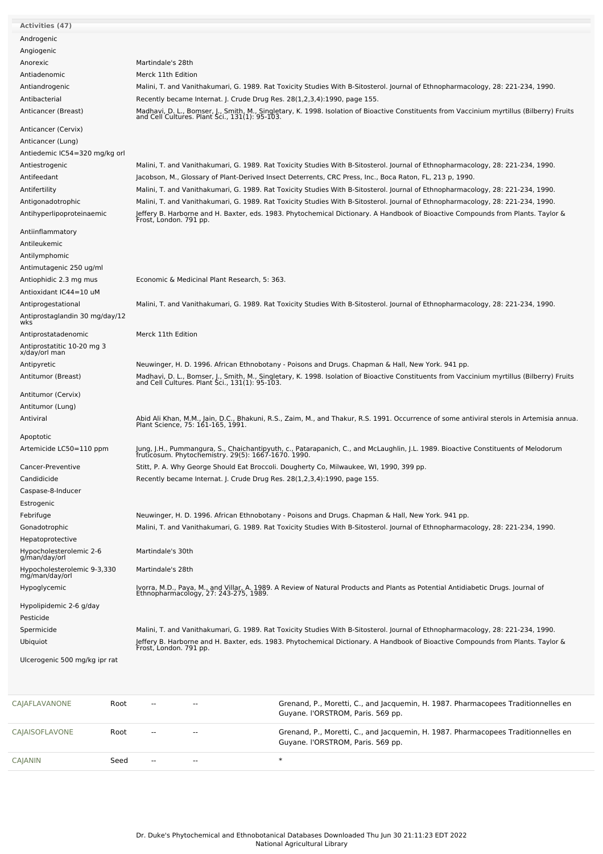| <b>Activities (47)</b>                        |      |                                                                                         |                                              |                                                                                                                                                                                              |  |  |
|-----------------------------------------------|------|-----------------------------------------------------------------------------------------|----------------------------------------------|----------------------------------------------------------------------------------------------------------------------------------------------------------------------------------------------|--|--|
| Androgenic                                    |      |                                                                                         |                                              |                                                                                                                                                                                              |  |  |
| Angiogenic                                    |      |                                                                                         |                                              |                                                                                                                                                                                              |  |  |
| Anorexic                                      |      | Martindale's 28th                                                                       |                                              |                                                                                                                                                                                              |  |  |
| Antiadenomic                                  |      | Merck 11th Edition                                                                      |                                              |                                                                                                                                                                                              |  |  |
| Antiandrogenic                                |      |                                                                                         |                                              | Malini, T. and Vanithakumari, G. 1989. Rat Toxicity Studies With B-Sitosterol. Journal of Ethnopharmacology, 28: 221-234, 1990.                                                              |  |  |
| Antibacterial                                 |      |                                                                                         |                                              | Recently became Internat. J. Crude Drug Res. 28(1,2,3,4):1990, page 155.                                                                                                                     |  |  |
| Anticancer (Breast)                           |      |                                                                                         |                                              | Madhavi, D. L., Bomser, J., Smith, M., Singletary, K. 1998. Isolation of Bioactive Constituents from Vaccinium myrtillus (Bilberry) Fruits<br>and Cell Cultures. Plant Sci., 131(1): 95-103. |  |  |
| Anticancer (Cervix)                           |      |                                                                                         |                                              |                                                                                                                                                                                              |  |  |
| Anticancer (Lung)                             |      |                                                                                         |                                              |                                                                                                                                                                                              |  |  |
| Antiedemic IC54=320 mg/kg orl                 |      |                                                                                         |                                              |                                                                                                                                                                                              |  |  |
| Antiestrogenic                                |      |                                                                                         |                                              | Malini, T. and Vanithakumari, G. 1989. Rat Toxicity Studies With B-Sitosterol. Journal of Ethnopharmacology, 28: 221-234, 1990.                                                              |  |  |
| Antifeedant                                   |      |                                                                                         |                                              | Jacobson, M., Glossary of Plant-Derived Insect Deterrents, CRC Press, Inc., Boca Raton, FL, 213 p, 1990.                                                                                     |  |  |
| Antifertility                                 |      |                                                                                         |                                              | Malini, T. and Vanithakumari, G. 1989. Rat Toxicity Studies With B-Sitosterol. Journal of Ethnopharmacology, 28: 221-234, 1990.                                                              |  |  |
| Antigonadotrophic                             |      |                                                                                         |                                              | Malini, T. and Vanithakumari, G. 1989. Rat Toxicity Studies With B-Sitosterol. Journal of Ethnopharmacology, 28: 221-234, 1990.                                                              |  |  |
| Antihyperlipoproteinaemic                     |      |                                                                                         |                                              | Jeffery B. Harborne and H. Baxter, eds. 1983. Phytochemical Dictionary. A Handbook of Bioactive Compounds from Plants. Taylor &<br>Frost, London. 791 pp.                                    |  |  |
| Antiinflammatory                              |      |                                                                                         |                                              |                                                                                                                                                                                              |  |  |
| Antileukemic                                  |      |                                                                                         |                                              |                                                                                                                                                                                              |  |  |
| Antilymphomic                                 |      |                                                                                         |                                              |                                                                                                                                                                                              |  |  |
| Antimutagenic 250 ug/ml                       |      |                                                                                         |                                              |                                                                                                                                                                                              |  |  |
| Antiophidic 2.3 mg mus                        |      |                                                                                         | Economic & Medicinal Plant Research, 5: 363. |                                                                                                                                                                                              |  |  |
| Antioxidant IC44=10 uM                        |      |                                                                                         |                                              |                                                                                                                                                                                              |  |  |
| Antiprogestational                            |      |                                                                                         |                                              | Malini, T. and Vanithakumari, G. 1989. Rat Toxicity Studies With B-Sitosterol. Journal of Ethnopharmacology, 28: 221-234, 1990.                                                              |  |  |
| Antiprostaglandin 30 mg/day/12                |      |                                                                                         |                                              |                                                                                                                                                                                              |  |  |
| wks                                           |      |                                                                                         |                                              |                                                                                                                                                                                              |  |  |
| Antiprostatadenomic                           |      | Merck 11th Edition                                                                      |                                              |                                                                                                                                                                                              |  |  |
| Antiprostatitic 10-20 mg 3<br>x/day/orl man   |      |                                                                                         |                                              |                                                                                                                                                                                              |  |  |
| Antipyretic                                   |      |                                                                                         |                                              | Neuwinger, H. D. 1996. African Ethnobotany - Poisons and Drugs. Chapman & Hall, New York. 941 pp.                                                                                            |  |  |
| Antitumor (Breast)                            |      |                                                                                         |                                              | Madhavi, D. L., Bomser, J., Smith, M., Singletary, K. 1998. Isolation of Bioactive Constituents from Vaccinium myrtillus (Bilberry) Fruits<br>and Cell Cultures. Plant Sci., 131(1): 95-103. |  |  |
| Antitumor (Cervix)                            |      |                                                                                         |                                              |                                                                                                                                                                                              |  |  |
| Antitumor (Lung)                              |      |                                                                                         |                                              |                                                                                                                                                                                              |  |  |
| Antiviral                                     |      |                                                                                         |                                              | Abid Ali Khan, M.M., Jain, D.C., Bhakuni, R.S., Zaim, M., and Thakur, R.S. 1991. Occurrence of some antiviral sterols in Artemisia annua.<br>Plant Science, 75: 161-165, 1991.               |  |  |
| Apoptotic                                     |      |                                                                                         |                                              |                                                                                                                                                                                              |  |  |
| Artemicide LC50=110 ppm                       |      |                                                                                         |                                              |                                                                                                                                                                                              |  |  |
|                                               |      |                                                                                         |                                              | Jung, J.H., Pummangura, S., Chaichantipyuth, c., Patarapanich, C., and McLaughlin, J.L. 1989. Bioactive Constituents of Melodorum<br>fruticosum. Phytochemistry. 29(5): 1667-1670. 1990.     |  |  |
| Cancer-Preventive                             |      | Stitt, P. A. Why George Should Eat Broccoli. Dougherty Co, Milwaukee, WI, 1990, 399 pp. |                                              |                                                                                                                                                                                              |  |  |
| Candidicide                                   |      | Recently became Internat. J. Crude Drug Res. 28(1,2,3,4):1990, page 155.                |                                              |                                                                                                                                                                                              |  |  |
| Caspase-8-Inducer                             |      |                                                                                         |                                              |                                                                                                                                                                                              |  |  |
| Estrogenic                                    |      |                                                                                         |                                              |                                                                                                                                                                                              |  |  |
| Febrifuge                                     |      |                                                                                         |                                              | Neuwinger, H. D. 1996. African Ethnobotany - Poisons and Drugs. Chapman & Hall, New York. 941 pp.                                                                                            |  |  |
| Gonadotrophic                                 |      |                                                                                         |                                              | Malini, T. and Vanithakumari, G. 1989. Rat Toxicity Studies With B-Sitosterol. Journal of Ethnopharmacology, 28: 221-234, 1990.                                                              |  |  |
| Hepatoprotective                              |      |                                                                                         |                                              |                                                                                                                                                                                              |  |  |
| Hypocholesterolemic 2-6<br>g/man/day/orl      |      | Martindale's 30th                                                                       |                                              |                                                                                                                                                                                              |  |  |
| Hypocholesterolemic 9-3,330<br>mg/man/day/orl |      | Martindale's 28th                                                                       |                                              |                                                                                                                                                                                              |  |  |
| Hypoglycemic                                  |      |                                                                                         |                                              | Ivorra, M.D., Paya, M., and Villar, A. 1989. A Review of Natural Products and Plants as Potential Antidiabetic Drugs. Journal of<br>Ethnopharmacology, 27: 243-275, 1989.                    |  |  |
| Hypolipidemic 2-6 g/day                       |      |                                                                                         |                                              |                                                                                                                                                                                              |  |  |
| Pesticide                                     |      |                                                                                         |                                              |                                                                                                                                                                                              |  |  |
| Spermicide                                    |      |                                                                                         |                                              | Malini, T. and Vanithakumari, G. 1989. Rat Toxicity Studies With B-Sitosterol. Journal of Ethnopharmacology, 28: 221-234, 1990.                                                              |  |  |
| Ubiquiot                                      |      |                                                                                         |                                              |                                                                                                                                                                                              |  |  |
|                                               |      |                                                                                         |                                              | Jeffery B. Harborne and H. Baxter, eds. 1983. Phytochemical Dictionary. A Handbook of Bioactive Compounds from Plants. Taylor &<br>Frost, London. 791 pp.                                    |  |  |
| Ulcerogenic 500 mg/kg ipr rat                 |      |                                                                                         |                                              |                                                                                                                                                                                              |  |  |
| CAJAFLAVANONE                                 | Root | ٠.                                                                                      |                                              | Grenand, P., Moretti, C., and Jacquemin, H. 1987. Pharmacopees Traditionnelles en                                                                                                            |  |  |
|                                               |      |                                                                                         |                                              | Guyane. I'ORSTROM, Paris. 569 pp.                                                                                                                                                            |  |  |
| CAJAISOFLAVONE                                | Root |                                                                                         |                                              | Grenand, P., Moretti, C., and Jacquemin, H. 1987. Pharmacopees Traditionnelles en<br>Guyane. I'ORSTROM, Paris. 569 pp.                                                                       |  |  |
| <b>CAJANIN</b>                                | Seed | --                                                                                      |                                              | $\ast$                                                                                                                                                                                       |  |  |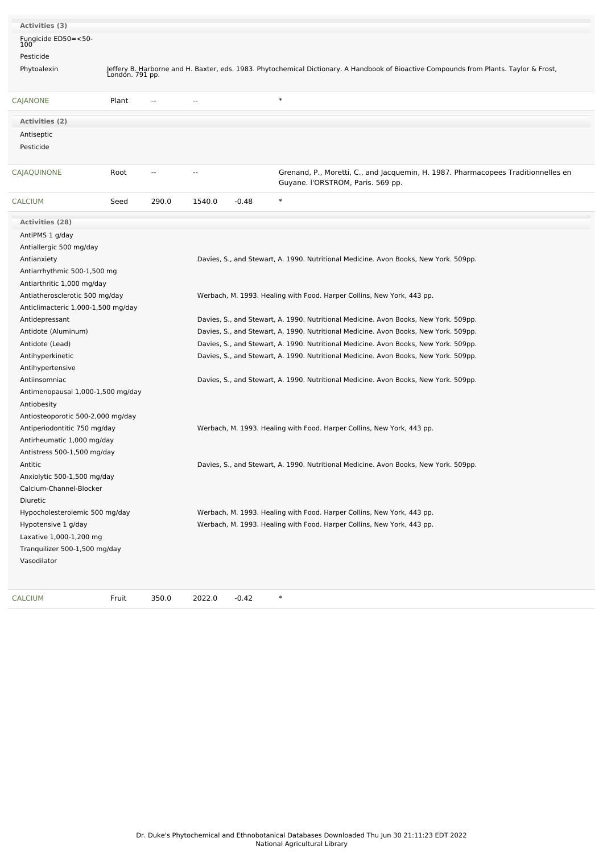| Activities (3)                     |                 |                |                |         |                                                                                                                                        |
|------------------------------------|-----------------|----------------|----------------|---------|----------------------------------------------------------------------------------------------------------------------------------------|
| Fungicide ED50=<50-                |                 |                |                |         |                                                                                                                                        |
| $100^{\circ}$                      |                 |                |                |         |                                                                                                                                        |
| Pesticide                          |                 |                |                |         |                                                                                                                                        |
| Phytoalexin                        | Londón. 791 pp. |                |                |         | Jeffery B. Harborne and H. Baxter, eds. 1983. Phytochemical Dictionary. A Handbook of Bioactive Compounds from Plants. Taylor & Frost, |
|                                    |                 |                |                |         |                                                                                                                                        |
| CAJANONE                           | Plant           |                | $\overline{a}$ |         | $\ast$                                                                                                                                 |
| <b>Activities (2)</b>              |                 |                |                |         |                                                                                                                                        |
| Antiseptic                         |                 |                |                |         |                                                                                                                                        |
| Pesticide                          |                 |                |                |         |                                                                                                                                        |
|                                    |                 |                |                |         |                                                                                                                                        |
| CAJAQUINONE                        | Root            | $\overline{a}$ | $\sim$ $\sim$  |         | Grenand, P., Moretti, C., and Jacquemin, H. 1987. Pharmacopees Traditionnelles en<br>Guyane. I'ORSTROM, Paris. 569 pp.                 |
| CALCIUM                            | Seed            | 290.0          | 1540.0         | $-0.48$ | $\ast$                                                                                                                                 |
| <b>Activities (28)</b>             |                 |                |                |         |                                                                                                                                        |
| AntiPMS 1 g/day                    |                 |                |                |         |                                                                                                                                        |
| Antiallergic 500 mg/day            |                 |                |                |         |                                                                                                                                        |
| Antianxiety                        |                 |                |                |         | Davies, S., and Stewart, A. 1990. Nutritional Medicine. Avon Books, New York. 509pp.                                                   |
| Antiarrhythmic 500-1,500 mg        |                 |                |                |         |                                                                                                                                        |
|                                    |                 |                |                |         |                                                                                                                                        |
| Antiarthritic 1,000 mg/day         |                 |                |                |         |                                                                                                                                        |
| Antiatherosclerotic 500 mg/day     |                 |                |                |         | Werbach, M. 1993. Healing with Food. Harper Collins, New York, 443 pp.                                                                 |
| Anticlimacteric 1,000-1,500 mg/day |                 |                |                |         |                                                                                                                                        |
| Antidepressant                     |                 |                |                |         | Davies, S., and Stewart, A. 1990. Nutritional Medicine. Avon Books, New York. 509pp.                                                   |
| Antidote (Aluminum)                |                 |                |                |         | Davies, S., and Stewart, A. 1990. Nutritional Medicine. Avon Books, New York. 509pp.                                                   |
| Antidote (Lead)                    |                 |                |                |         | Davies, S., and Stewart, A. 1990. Nutritional Medicine. Avon Books, New York. 509pp.                                                   |
| Antihyperkinetic                   |                 |                |                |         | Davies, S., and Stewart, A. 1990. Nutritional Medicine. Avon Books, New York. 509pp.                                                   |
| Antihypertensive                   |                 |                |                |         |                                                                                                                                        |
| Antiinsomniac                      |                 |                |                |         | Davies, S., and Stewart, A. 1990. Nutritional Medicine. Avon Books, New York. 509pp.                                                   |
| Antimenopausal 1,000-1,500 mg/day  |                 |                |                |         |                                                                                                                                        |
| Antiobesity                        |                 |                |                |         |                                                                                                                                        |
| Antiosteoporotic 500-2,000 mg/day  |                 |                |                |         |                                                                                                                                        |
| Antiperiodontitic 750 mg/day       |                 |                |                |         | Werbach, M. 1993. Healing with Food. Harper Collins, New York, 443 pp.                                                                 |
| Antirheumatic 1,000 mg/day         |                 |                |                |         |                                                                                                                                        |
| Antistress 500-1,500 mg/day        |                 |                |                |         |                                                                                                                                        |
| Antitic                            |                 |                |                |         | Davies, S., and Stewart, A. 1990. Nutritional Medicine. Avon Books, New York. 509pp.                                                   |
| Anxiolytic 500-1,500 mg/day        |                 |                |                |         |                                                                                                                                        |
| Calcium-Channel-Blocker            |                 |                |                |         |                                                                                                                                        |
| Diuretic                           |                 |                |                |         |                                                                                                                                        |
| Hypocholesterolemic 500 mg/day     |                 |                |                |         | Werbach, M. 1993. Healing with Food. Harper Collins, New York, 443 pp.                                                                 |
| Hypotensive 1 g/day                |                 |                |                |         | Werbach, M. 1993. Healing with Food. Harper Collins, New York, 443 pp.                                                                 |
| Laxative 1,000-1,200 mg            |                 |                |                |         |                                                                                                                                        |
| Tranquilizer 500-1,500 mg/day      |                 |                |                |         |                                                                                                                                        |
| Vasodilator                        |                 |                |                |         |                                                                                                                                        |
|                                    |                 |                |                |         |                                                                                                                                        |
|                                    |                 |                |                |         |                                                                                                                                        |
| <b>CALCIUM</b>                     | Fruit           | 350.0          | 2022.0         | $-0.42$ | $\ast$                                                                                                                                 |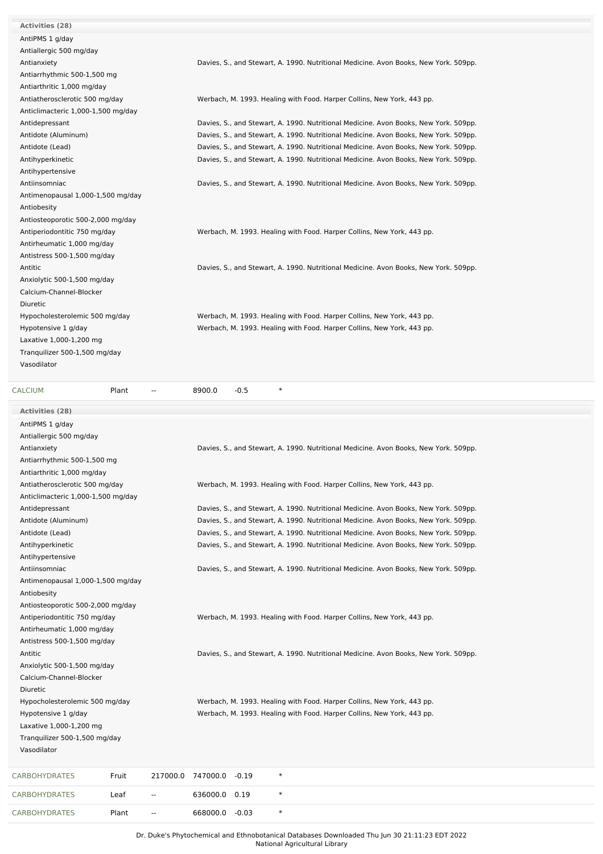| <b>Activities (28)</b>             |                                                                                      |
|------------------------------------|--------------------------------------------------------------------------------------|
| AntiPMS 1 g/day                    |                                                                                      |
| Antiallergic 500 mg/day            |                                                                                      |
| Antianxiety                        | Davies, S., and Stewart, A. 1990. Nutritional Medicine. Avon Books, New York. 509pp. |
| Antiarrhythmic 500-1,500 mg        |                                                                                      |
| Antiarthritic 1,000 mg/day         |                                                                                      |
| Antiatherosclerotic 500 mg/day     | Werbach, M. 1993. Healing with Food. Harper Collins, New York, 443 pp.               |
| Anticlimacteric 1,000-1,500 mg/day |                                                                                      |
| Antidepressant                     | Davies, S., and Stewart, A. 1990. Nutritional Medicine. Avon Books, New York. 509pp. |
| Antidote (Aluminum)                | Davies, S., and Stewart, A. 1990. Nutritional Medicine. Avon Books, New York. 509pp. |
| Antidote (Lead)                    | Davies, S., and Stewart, A. 1990. Nutritional Medicine. Avon Books, New York. 509pp. |
| Antihyperkinetic                   | Davies, S., and Stewart, A. 1990. Nutritional Medicine. Avon Books, New York. 509pp. |
| Antihypertensive                   |                                                                                      |
| Antiinsomniac                      | Davies, S., and Stewart, A. 1990. Nutritional Medicine. Avon Books, New York. 509pp. |
| Antimenopausal 1,000-1,500 mg/day  |                                                                                      |
| Antiobesity                        |                                                                                      |
| Antiosteoporotic 500-2,000 mg/day  |                                                                                      |
| Antiperiodontitic 750 mg/day       | Werbach, M. 1993. Healing with Food. Harper Collins, New York, 443 pp.               |
| Antirheumatic 1,000 mg/day         |                                                                                      |
| Antistress 500-1,500 mg/day        |                                                                                      |
| Antitic                            | Davies, S., and Stewart, A. 1990. Nutritional Medicine. Avon Books, New York. 509pp. |
| Anxiolytic 500-1,500 mg/day        |                                                                                      |
| Calcium-Channel-Blocker            |                                                                                      |
| Diuretic                           |                                                                                      |
| Hypocholesterolemic 500 mg/day     | Werbach, M. 1993. Healing with Food. Harper Collins, New York, 443 pp.               |
| Hypotensive 1 g/day                | Werbach, M. 1993. Healing with Food. Harper Collins, New York, 443 pp.               |
| Laxative 1,000-1,200 mg            |                                                                                      |
| Tranquilizer 500-1,500 mg/day      |                                                                                      |
| Vasodilator                        |                                                                                      |
|                                    |                                                                                      |

[CALCIUM](file:///phytochem/chemicals/show/5137) Plant -- 8900.0 -0.5 \*

[CARBOHYDRATES](file:///phytochem/chemicals/show/5326) Plant -- 668000.0 -0.03 \*

| <b>Activities (28)</b>             |       |    |                                                                                      |
|------------------------------------|-------|----|--------------------------------------------------------------------------------------|
| AntiPMS 1 g/day                    |       |    |                                                                                      |
| Antiallergic 500 mg/day            |       |    |                                                                                      |
| Antianxiety                        |       |    | Davies, S., and Stewart, A. 1990. Nutritional Medicine. Avon Books, New York. 509pp. |
| Antiarrhythmic 500-1,500 mg        |       |    |                                                                                      |
| Antiarthritic 1,000 mg/day         |       |    |                                                                                      |
| Antiatherosclerotic 500 mg/day     |       |    | Werbach, M. 1993. Healing with Food. Harper Collins, New York, 443 pp.               |
| Anticlimacteric 1,000-1,500 mg/day |       |    |                                                                                      |
| Antidepressant                     |       |    | Davies, S., and Stewart, A. 1990. Nutritional Medicine. Avon Books, New York. 509pp. |
| Antidote (Aluminum)                |       |    | Davies, S., and Stewart, A. 1990. Nutritional Medicine. Avon Books, New York. 509pp. |
| Antidote (Lead)                    |       |    | Davies, S., and Stewart, A. 1990. Nutritional Medicine. Avon Books, New York. 509pp. |
| Antihyperkinetic                   |       |    | Davies, S., and Stewart, A. 1990. Nutritional Medicine. Avon Books, New York. 509pp. |
| Antihypertensive                   |       |    |                                                                                      |
| Antiinsomniac                      |       |    | Davies, S., and Stewart, A. 1990. Nutritional Medicine. Avon Books, New York. 509pp. |
| Antimenopausal 1,000-1,500 mg/day  |       |    |                                                                                      |
| Antiobesity                        |       |    |                                                                                      |
| Antiosteoporotic 500-2,000 mg/day  |       |    |                                                                                      |
| Antiperiodontitic 750 mg/day       |       |    | Werbach, M. 1993. Healing with Food. Harper Collins, New York, 443 pp.               |
| Antirheumatic 1,000 mg/day         |       |    |                                                                                      |
| Antistress 500-1,500 mg/day        |       |    |                                                                                      |
| Antitic                            |       |    | Davies, S., and Stewart, A. 1990. Nutritional Medicine. Avon Books, New York. 509pp. |
| Anxiolytic 500-1,500 mg/day        |       |    |                                                                                      |
| Calcium-Channel-Blocker            |       |    |                                                                                      |
| Diuretic                           |       |    |                                                                                      |
| Hypocholesterolemic 500 mg/day     |       |    | Werbach, M. 1993. Healing with Food. Harper Collins, New York, 443 pp.               |
| Hypotensive 1 g/day                |       |    | Werbach, M. 1993. Healing with Food. Harper Collins, New York, 443 pp.               |
| Laxative 1,000-1,200 mg            |       |    |                                                                                      |
| Tranquilizer 500-1,500 mg/day      |       |    |                                                                                      |
| Vasodilator                        |       |    |                                                                                      |
| <b>CARBOHYDRATES</b>               | Fruit |    | $\ast$<br>217000.0 747000.0 -0.19                                                    |
| <b>CARBOHYDRATES</b>               | Leaf  | -- | $\ast$<br>636000.0<br>0.19                                                           |
|                                    |       |    |                                                                                      |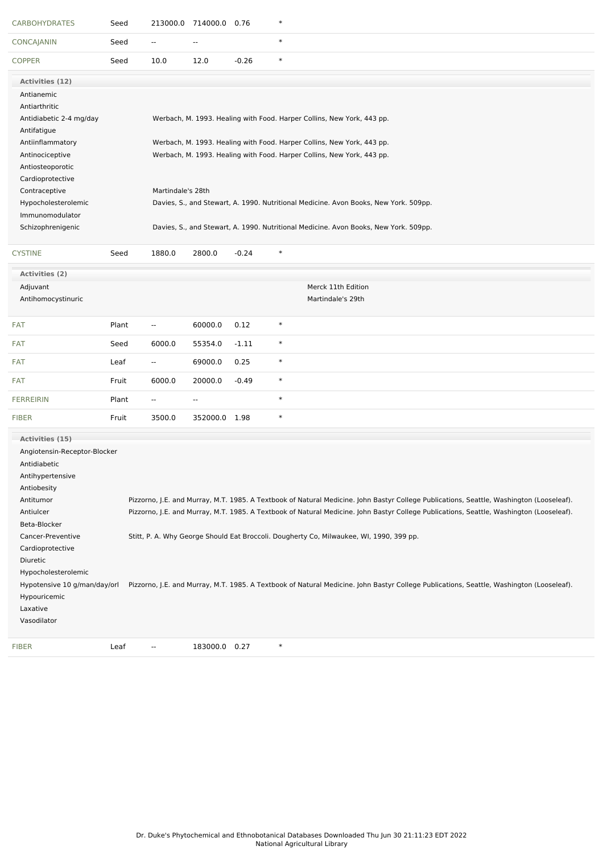| <b>CARBOHYDRATES</b>         | Seed  |                          | 213000.0 714000.0 0.76   |         | $\ast$                                                                                                                                   |
|------------------------------|-------|--------------------------|--------------------------|---------|------------------------------------------------------------------------------------------------------------------------------------------|
| <b>CONCAJANIN</b>            | Seed  | $\overline{\phantom{a}}$ | $\overline{\phantom{a}}$ |         | $\ast$                                                                                                                                   |
| <b>COPPER</b>                | Seed  | 10.0                     | 12.0                     | $-0.26$ | $\ast$                                                                                                                                   |
| Activities (12)              |       |                          |                          |         |                                                                                                                                          |
| Antianemic                   |       |                          |                          |         |                                                                                                                                          |
| Antiarthritic                |       |                          |                          |         |                                                                                                                                          |
| Antidiabetic 2-4 mg/day      |       |                          |                          |         | Werbach, M. 1993. Healing with Food. Harper Collins, New York, 443 pp.                                                                   |
| Antifatigue                  |       |                          |                          |         |                                                                                                                                          |
| Antiinflammatory             |       |                          |                          |         | Werbach, M. 1993. Healing with Food. Harper Collins, New York, 443 pp.                                                                   |
| Antinociceptive              |       |                          |                          |         | Werbach, M. 1993. Healing with Food. Harper Collins, New York, 443 pp.                                                                   |
| Antiosteoporotic             |       |                          |                          |         |                                                                                                                                          |
| Cardioprotective             |       |                          |                          |         |                                                                                                                                          |
| Contraceptive                |       | Martindale's 28th        |                          |         |                                                                                                                                          |
| Hypocholesterolemic          |       |                          |                          |         | Davies, S., and Stewart, A. 1990. Nutritional Medicine. Avon Books, New York. 509pp.                                                     |
| Immunomodulator              |       |                          |                          |         |                                                                                                                                          |
| Schizophrenigenic            |       |                          |                          |         | Davies, S., and Stewart, A. 1990. Nutritional Medicine. Avon Books, New York. 509pp.                                                     |
|                              |       |                          |                          |         |                                                                                                                                          |
| <b>CYSTINE</b>               | Seed  | 1880.0                   | 2800.0                   | $-0.24$ | $\ast$                                                                                                                                   |
| Activities (2)               |       |                          |                          |         |                                                                                                                                          |
| Adjuvant                     |       |                          |                          |         | Merck 11th Edition                                                                                                                       |
| Antihomocystinuric           |       |                          |                          |         | Martindale's 29th                                                                                                                        |
|                              |       |                          |                          |         |                                                                                                                                          |
| <b>FAT</b>                   | Plant | $\overline{\phantom{a}}$ | 60000.0                  | 0.12    | $\ast$                                                                                                                                   |
| FAT                          | Seed  | 6000.0                   | 55354.0                  | $-1.11$ | $\ast$                                                                                                                                   |
| FAT                          | Leaf  | $\overline{\phantom{a}}$ | 69000.0                  | 0.25    | $\ast$                                                                                                                                   |
| FAT                          | Fruit | 6000.0                   | 20000.0                  | $-0.49$ | $\ast$                                                                                                                                   |
| <b>FERREIRIN</b>             | Plant | $\overline{\phantom{a}}$ | $\overline{\phantom{a}}$ |         | $\ast$                                                                                                                                   |
| <b>FIBER</b>                 | Fruit | 3500.0                   | 352000.0 1.98            |         | $\ast$                                                                                                                                   |
| Activities (15)              |       |                          |                          |         |                                                                                                                                          |
| Angiotensin-Receptor-Blocker |       |                          |                          |         |                                                                                                                                          |
| Antidiabetic                 |       |                          |                          |         |                                                                                                                                          |
| Antihypertensive             |       |                          |                          |         |                                                                                                                                          |
| Antiobesity                  |       |                          |                          |         |                                                                                                                                          |
| Antitumor                    |       |                          |                          |         | Pizzorno, J.E. and Murray, M.T. 1985. A Textbook of Natural Medicine. John Bastyr College Publications, Seattle, Washington (Looseleaf). |
| Antiulcer                    |       |                          |                          |         | Pizzorno, J.E. and Murray, M.T. 1985. A Textbook of Natural Medicine. John Bastyr College Publications, Seattle, Washington (Looseleaf). |
| Beta-Blocker                 |       |                          |                          |         |                                                                                                                                          |
|                              |       |                          |                          |         |                                                                                                                                          |
| Cancer-Preventive            |       |                          |                          |         | Stitt, P. A. Why George Should Eat Broccoli. Dougherty Co, Milwaukee, WI, 1990, 399 pp.                                                  |
| Cardioprotective             |       |                          |                          |         |                                                                                                                                          |
| Diuretic                     |       |                          |                          |         |                                                                                                                                          |
| Hypocholesterolemic          |       |                          |                          |         |                                                                                                                                          |
| Hypotensive 10 g/man/day/orl |       |                          |                          |         | Pizzorno, J.E. and Murray, M.T. 1985. A Textbook of Natural Medicine. John Bastyr College Publications, Seattle, Washington (Looseleaf). |
| Hypouricemic                 |       |                          |                          |         |                                                                                                                                          |
| Laxative                     |       |                          |                          |         |                                                                                                                                          |
| Vasodilator                  |       |                          |                          |         |                                                                                                                                          |
| <b>FIBER</b>                 | Leaf  |                          | 183000.0 0.27            |         | $\ast$                                                                                                                                   |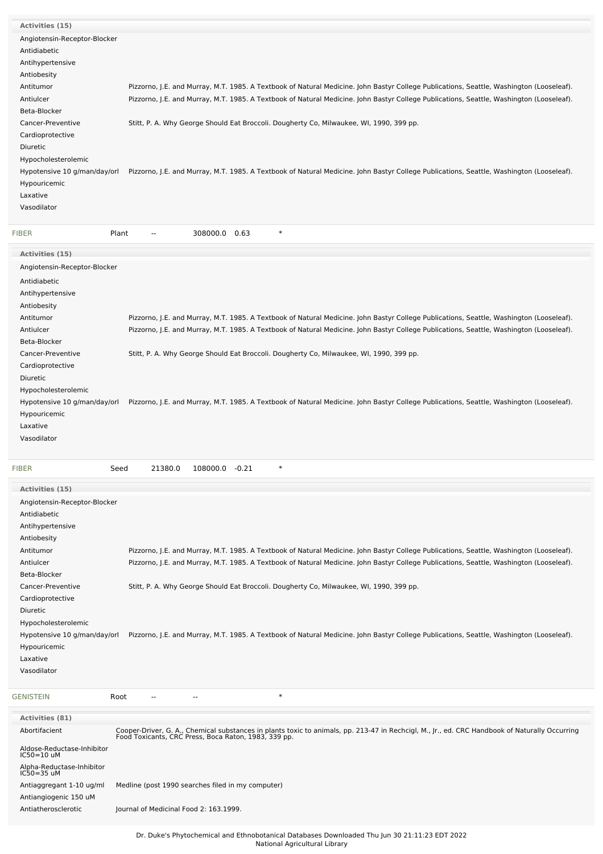| Activities (15)              |                                                                                                                                          |
|------------------------------|------------------------------------------------------------------------------------------------------------------------------------------|
| Angiotensin-Receptor-Blocker |                                                                                                                                          |
| Antidiabetic                 |                                                                                                                                          |
| Antihypertensive             |                                                                                                                                          |
| Antiobesity                  |                                                                                                                                          |
| Antitumor                    | Pizzorno, J.E. and Murray, M.T. 1985. A Textbook of Natural Medicine. John Bastyr College Publications, Seattle, Washington (Looseleaf). |
| Antiulcer                    | Pizzorno, J.E. and Murray, M.T. 1985. A Textbook of Natural Medicine. John Bastyr College Publications, Seattle, Washington (Looseleaf). |
| Beta-Blocker                 |                                                                                                                                          |
| Cancer-Preventive            | Stitt, P. A. Why George Should Eat Broccoli. Dougherty Co, Milwaukee, WI, 1990, 399 pp.                                                  |
| Cardioprotective             |                                                                                                                                          |
| Diuretic                     |                                                                                                                                          |
| Hypocholesterolemic          |                                                                                                                                          |
| Hypotensive 10 g/man/day/orl | Pizzorno, J.E. and Murray, M.T. 1985. A Textbook of Natural Medicine. John Bastyr College Publications, Seattle, Washington (Looseleaf). |
| Hypouricemic                 |                                                                                                                                          |
| Laxative                     |                                                                                                                                          |
| Vasodilator                  |                                                                                                                                          |
|                              |                                                                                                                                          |

| <b>FIBER</b>                 | 308000.0<br>$\ast$<br>Plant<br>0.63                                                                                                      |
|------------------------------|------------------------------------------------------------------------------------------------------------------------------------------|
| Activities (15)              |                                                                                                                                          |
| Angiotensin-Receptor-Blocker |                                                                                                                                          |
| Antidiabetic                 |                                                                                                                                          |
| Antihypertensive             |                                                                                                                                          |
| Antiobesity                  |                                                                                                                                          |
| Antitumor                    | Pizzorno, J.E. and Murray, M.T. 1985. A Textbook of Natural Medicine. John Bastyr College Publications, Seattle, Washington (Looseleaf). |
| Antiulcer                    | Pizzorno, J.E. and Murray, M.T. 1985. A Textbook of Natural Medicine. John Bastyr College Publications, Seattle, Washington (Looseleaf). |
| Beta-Blocker                 |                                                                                                                                          |
| Cancer-Preventive            | Stitt, P. A. Why George Should Eat Broccoli. Dougherty Co, Milwaukee, WI, 1990, 399 pp.                                                  |
| Cardioprotective             |                                                                                                                                          |
| Diuretic                     |                                                                                                                                          |
| Hypocholesterolemic          |                                                                                                                                          |
| Hypotensive 10 g/man/day/orl | Pizzorno, J.E. and Murray, M.T. 1985. A Textbook of Natural Medicine. John Bastyr College Publications, Seattle, Washington (Looseleaf). |
| Hypouricemic                 |                                                                                                                                          |
| Laxative                     |                                                                                                                                          |
| Vasodilator                  |                                                                                                                                          |
|                              |                                                                                                                                          |

| <b>FIBER</b><br>Seed         | $\ast$<br>21380.0<br>108000.0<br>$-0.21$                                                                                                 |
|------------------------------|------------------------------------------------------------------------------------------------------------------------------------------|
| Activities (15)              |                                                                                                                                          |
|                              |                                                                                                                                          |
| Angiotensin-Receptor-Blocker |                                                                                                                                          |
| Antidiabetic                 |                                                                                                                                          |
| Antihypertensive             |                                                                                                                                          |
| Antiobesity                  |                                                                                                                                          |
| Antitumor                    | Pizzorno, J.E. and Murray, M.T. 1985. A Textbook of Natural Medicine. John Bastyr College Publications, Seattle, Washington (Looseleaf). |
| Antiulcer                    | Pizzorno, J.E. and Murray, M.T. 1985. A Textbook of Natural Medicine. John Bastyr College Publications, Seattle, Washington (Looseleaf). |
| Beta-Blocker                 |                                                                                                                                          |
| Cancer-Preventive            | Stitt, P. A. Why George Should Eat Broccoli. Dougherty Co, Milwaukee, WI, 1990, 399 pp.                                                  |
| Cardioprotective             |                                                                                                                                          |
| Diuretic                     |                                                                                                                                          |
| Hypocholesterolemic          |                                                                                                                                          |
| Hypotensive 10 g/man/day/orl | Pizzorno, J.E. and Murray, M.T. 1985. A Textbook of Natural Medicine. John Bastyr College Publications, Seattle, Washington (Looseleaf). |
| Hypouricemic                 |                                                                                                                                          |
| Laxative                     |                                                                                                                                          |
| Vasodilator                  |                                                                                                                                          |
| <b>GENISTEIN</b><br>Root     | $\ast$<br>--                                                                                                                             |

| <b>Activities (81)</b>                      |                                                                                                                                                                                                        |
|---------------------------------------------|--------------------------------------------------------------------------------------------------------------------------------------------------------------------------------------------------------|
| Abortifacient                               | Cooper-Driver, G. A., Chemical substances in plants toxic to animals, pp. 213-47 in Rechcigl, M., Jr., ed. CRC Handbook of Naturally Occurring<br>Food Toxicants, CRC Press, Boca Raton, 1983, 339 pp. |
| Aldose-Reductase-Inhibitor<br>$IC50=10$ uM  |                                                                                                                                                                                                        |
| Alpha-Reductase-Inhibitor<br>$IC50 = 35$ uM |                                                                                                                                                                                                        |
| Antiaggregant 1-10 ug/ml                    | Medline (post 1990 searches filed in my computer)                                                                                                                                                      |
| Antiangiogenic 150 uM                       |                                                                                                                                                                                                        |
| Antiatherosclerotic                         | Journal of Medicinal Food 2: 163.1999.                                                                                                                                                                 |
|                                             |                                                                                                                                                                                                        |
|                                             |                                                                                                                                                                                                        |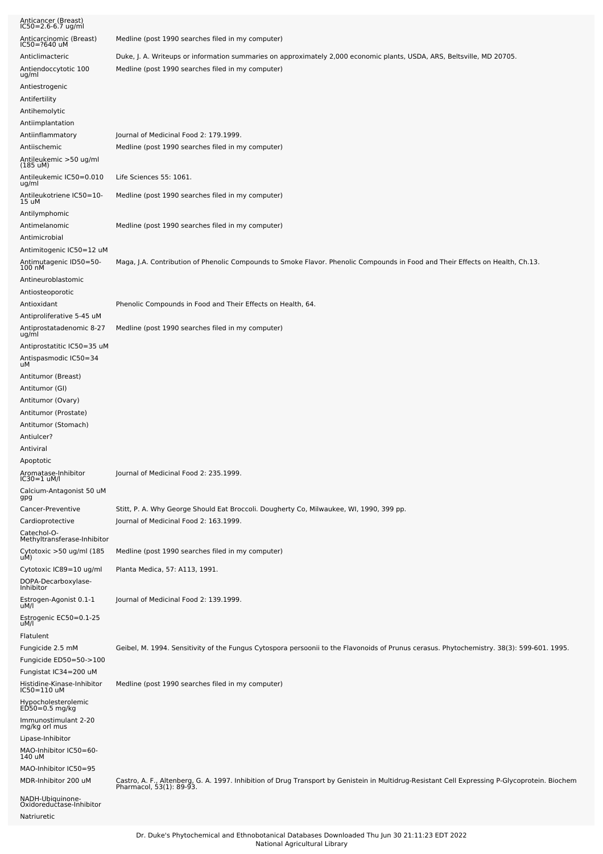| Anticancer (Breast)<br>IC50=2.6-6.7 ug/ml       |                                                                                                                                                                            |
|-------------------------------------------------|----------------------------------------------------------------------------------------------------------------------------------------------------------------------------|
| Anticarcinomic (Breast)<br>IC50=?640 uM         | Medline (post 1990 searches filed in my computer)                                                                                                                          |
| Anticlimacteric                                 | Duke, J. A. Writeups or information summaries on approximately 2,000 economic plants, USDA, ARS, Beltsville, MD 20705.                                                     |
| Antiendoccytotic 100<br>ug/ml                   | Medline (post 1990 searches filed in my computer)                                                                                                                          |
| Antiestrogenic                                  |                                                                                                                                                                            |
| Antifertility<br>Antihemolytic                  |                                                                                                                                                                            |
| Antiimplantation                                |                                                                                                                                                                            |
| Antiinflammatory                                | Journal of Medicinal Food 2: 179.1999.                                                                                                                                     |
| Antiischemic                                    | Medline (post 1990 searches filed in my computer)                                                                                                                          |
| Antileukemic >50 ug/ml<br>(185 uM)              |                                                                                                                                                                            |
| Antileukemic IC50=0.010<br>ug/ml                | Life Sciences 55: 1061.                                                                                                                                                    |
| Antileukotriene IC50=10-<br>15 uM               | Medline (post 1990 searches filed in my computer)                                                                                                                          |
| Antilymphomic                                   |                                                                                                                                                                            |
| Antimelanomic<br>Antimicrobial                  | Medline (post 1990 searches filed in my computer)                                                                                                                          |
| Antimitogenic IC50=12 uM                        |                                                                                                                                                                            |
| Antimutagenic ID50=50-<br>100 nM                | Maga, J.A. Contribution of Phenolic Compounds to Smoke Flavor. Phenolic Compounds in Food and Their Effects on Health, Ch.13.                                              |
| Antineuroblastomic                              |                                                                                                                                                                            |
| Antiosteoporotic                                |                                                                                                                                                                            |
| Antioxidant<br>Antiproliferative 5-45 uM        | Phenolic Compounds in Food and Their Effects on Health, 64.                                                                                                                |
| Antiprostatadenomic 8-27                        | Medline (post 1990 searches filed in my computer)                                                                                                                          |
| ug/ml<br>Antiprostatitic IC50=35 uM             |                                                                                                                                                                            |
| Antispasmodic IC50=34<br>uМ                     |                                                                                                                                                                            |
| Antitumor (Breast)                              |                                                                                                                                                                            |
| Antitumor (GI)                                  |                                                                                                                                                                            |
| Antitumor (Ovary)<br>Antitumor (Prostate)       |                                                                                                                                                                            |
| Antitumor (Stomach)                             |                                                                                                                                                                            |
| Antiulcer?                                      |                                                                                                                                                                            |
| Antiviral                                       |                                                                                                                                                                            |
| Apoptotic<br>Aromatase-Inhibitor                | Journal of Medicinal Food 2: 235.1999.                                                                                                                                     |
| $IC30=1$ uM/l<br>Calcium-Antagonist 50 uM       |                                                                                                                                                                            |
| gpg<br>Cancer-Preventive                        | Stitt, P. A. Why George Should Eat Broccoli. Dougherty Co, Milwaukee, WI, 1990, 399 pp.                                                                                    |
| Cardioprotective                                | Journal of Medicinal Food 2: 163.1999.                                                                                                                                     |
| Catechol-O-<br>Methyltransferase-Inhibitor      |                                                                                                                                                                            |
| Cytotoxic >50 ug/ml (185<br>uM)                 | Medline (post 1990 searches filed in my computer)                                                                                                                          |
| Cytotoxic IC89=10 ug/ml                         | Planta Medica, 57: A113, 1991.                                                                                                                                             |
| DOPA-Decarboxylase-<br>Inhibitor                |                                                                                                                                                                            |
| Estrogen-Agonist 0.1-1<br>uM/l                  | Journal of Medicinal Food 2: 139.1999.                                                                                                                                     |
| Estrogenic EC50=0.1-25<br>uM/l                  |                                                                                                                                                                            |
| Flatulent                                       |                                                                                                                                                                            |
| Fungicide 2.5 mM                                | Geibel, M. 1994. Sensitivity of the Fungus Cytospora persoonii to the Flavonoids of Prunus cerasus. Phytochemistry. 38(3): 599-601. 1995.                                  |
| Fungicide ED50=50->100<br>Fungistat IC34=200 uM |                                                                                                                                                                            |
| Histidine-Kinase-Inhibitor<br>IC50=110 uM       | Medline (post 1990 searches filed in my computer)                                                                                                                          |
| Hypocholesterolemic                             |                                                                                                                                                                            |
| $EDS0=0.5$ mg/kg<br>Immunostimulant 2-20        |                                                                                                                                                                            |
| mg/kg orl mus                                   |                                                                                                                                                                            |
| Lipase-Inhibitor<br>MAO-Inhibitor IC50=60-      |                                                                                                                                                                            |
| 140 uM                                          |                                                                                                                                                                            |
| MAO-Inhibitor IC50=95<br>MDR-Inhibitor 200 uM   | Castro, A. F., Altenberg, G. A. 1997. Inhibition of Drug Transport by Genistein in Multidrug-Resistant Cell Expressing P-Glycoprotein. Biochem<br>Pharmacol, 53(1): 89-93. |
| NADH-Ubiquinone-                                |                                                                                                                                                                            |
| Oxidoreductase-Inhibitor<br>Natriuretic         |                                                                                                                                                                            |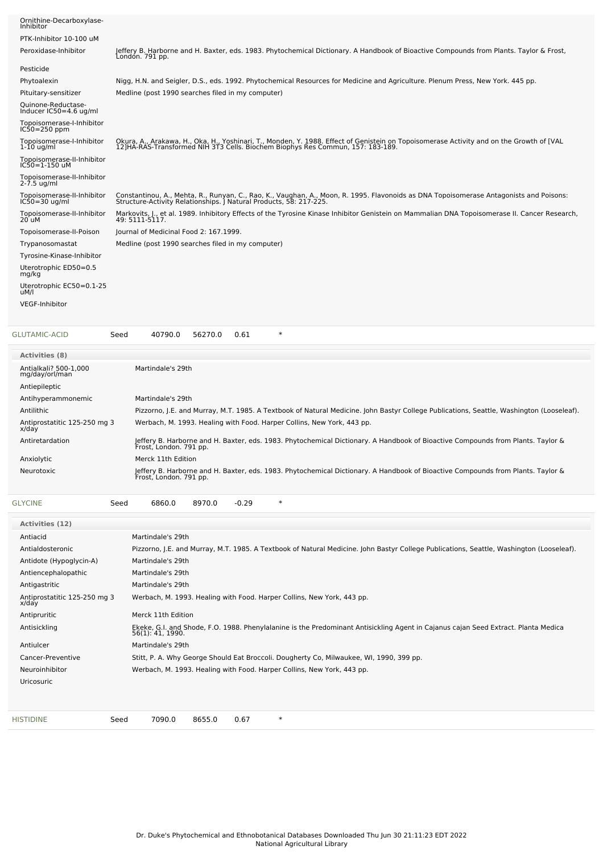| Ornithine-Decarboxylase-<br>Inhibitor           |                                                                                                                                                                                                                            |
|-------------------------------------------------|----------------------------------------------------------------------------------------------------------------------------------------------------------------------------------------------------------------------------|
| PTK-Inhibitor 10-100 uM                         |                                                                                                                                                                                                                            |
| Peroxidase-Inhibitor                            | Jeffery B. Harborne and H. Baxter, eds. 1983. Phytochemical Dictionary. A Handbook of Bioactive Compounds from Plants. Taylor & Frost,<br>Londón. 791 pp.                                                                  |
| Pesticide                                       |                                                                                                                                                                                                                            |
| Phytoalexin                                     | Nigg, H.N. and Seigler, D.S., eds. 1992. Phytochemical Resources for Medicine and Agriculture. Plenum Press, New York. 445 pp.                                                                                             |
| Pituitary-sensitizer                            | Medline (post 1990 searches filed in my computer)                                                                                                                                                                          |
| Quinone-Reductase-<br>Inducer $IC50=4.6$ ug/ml  |                                                                                                                                                                                                                            |
| Topoisomerase-I-Inhibitor<br>$IC50 = 250$ ppm   |                                                                                                                                                                                                                            |
| Topoisomerase-I-Inhibitor<br>$1-10$ ug/ml       | Okura, A., Arakawa, H., Oka, H., Yoshinari, T., Monden, Y. 1988. Effect of Genistein on Topoisomerase Activity and on the Growth of [VAL<br>12]HA-RAS-Transformed NIH 3T3 Cells. Biochem Biophys Res Commun, 157: 183-189. |
| Topoisomerase-II-Inhibitor<br>IC50=1-150 uM     |                                                                                                                                                                                                                            |
| Topoisomerase-II-Inhibitor<br>$2 - 7.5$ ug/ml   |                                                                                                                                                                                                                            |
| Topoisomerase-II-Inhibitor<br>$IC50 = 30$ ug/ml | Constantinou, A., Mehta, R., Runyan, C., Rao, K., Vaughan, A., Moon, R. 1995. Flavonoids as DNA Topoisomerase Antagonists and Poisons:<br>Structure-Activity Relationships. J Natural Products, 58: 217-225.               |
| Topoisomerase-II-Inhibitor<br>20'uM             | Markovits, J., et al. 1989. Inhibitory Effects of the Tyrosine Kinase Inhibitor Genistein on Mammalian DNA Topoisomerase II. Cancer Research,<br>49: 5111-5117.                                                            |
| Topoisomerase-II-Poison                         | Journal of Medicinal Food 2: 167.1999.                                                                                                                                                                                     |
| Trypanosomastat                                 | Medline (post 1990 searches filed in my computer)                                                                                                                                                                          |
| Tyrosine-Kinase-Inhibitor                       |                                                                                                                                                                                                                            |
| Uterotrophic ED50=0.5<br>mg/kg                  |                                                                                                                                                                                                                            |
| Uterotrophic EC50=0.1-25<br>uM/l                |                                                                                                                                                                                                                            |
| <b>VEGF-Inhibitor</b>                           |                                                                                                                                                                                                                            |
|                                                 |                                                                                                                                                                                                                            |

| <b>Activities (8)</b>                   |                                                                                                                                                           |
|-----------------------------------------|-----------------------------------------------------------------------------------------------------------------------------------------------------------|
| Antialkali? 500-1.000<br>mg/day/orl/man | Martindale's 29th                                                                                                                                         |
| Antiepileptic                           |                                                                                                                                                           |
| Antihyperammonemic                      | Martindale's 29th                                                                                                                                         |
| Antilithic                              | Pizzorno, J.E. and Murray, M.T. 1985. A Textbook of Natural Medicine. John Bastyr College Publications, Seattle, Washington (Looseleaf).                  |
| Antiprostatitic 125-250 mg 3<br>x/day   | Werbach, M. 1993. Healing with Food. Harper Collins, New York, 443 pp.                                                                                    |
| Antiretardation                         | Jeffery B. Harborne and H. Baxter, eds. 1983. Phytochemical Dictionary. A Handbook of Bioactive Compounds from Plants. Taylor &<br>Frost, London. 791 pp. |
| Anxiolytic                              | Merck 11th Edition                                                                                                                                        |
| Neurotoxic                              | Jeffery B. Harborne and H. Baxter, eds. 1983. Phytochemical Dictionary. A Handbook of Bioactive Compounds from Plants. Taylor &<br>Frost, London. 791 pp. |
|                                         |                                                                                                                                                           |

[GLYCINE](file:///phytochem/chemicals/show/9249) Seed 6860.0 8970.0 -0.29 \*

[GLUTAMIC-ACID](file:///phytochem/chemicals/show/9209) Seed 40790.0 56270.0 0.61 \*

| <b>Activities (12)</b>                |                                                                                                                                                        |
|---------------------------------------|--------------------------------------------------------------------------------------------------------------------------------------------------------|
| Antiacid                              | Martindale's 29th                                                                                                                                      |
| Antialdosteronic                      | Pizzorno, J.E. and Murray, M.T. 1985. A Textbook of Natural Medicine. John Bastyr College Publications, Seattle, Washington (Looseleaf).               |
| Antidote (Hypoglycin-A)               | Martindale's 29th                                                                                                                                      |
| Antiencephalopathic                   | Martindale's 29th                                                                                                                                      |
| Antigastritic                         | Martindale's 29th                                                                                                                                      |
| Antiprostatitic 125-250 mg 3<br>x/day | Werbach, M. 1993. Healing with Food. Harper Collins, New York, 443 pp.                                                                                 |
| Antipruritic                          | Merck 11th Edition                                                                                                                                     |
| Antisickling                          | Ekeke, G.I. and Shode, F.O. 1988. Phenylalanine is the Predominant Antisickling Agent in Cajanus cajan Seed Extract. Planta Medica<br>56(1): 41, 1990. |
| Antiulcer                             | Martindale's 29th                                                                                                                                      |
| Cancer-Preventive                     | Stitt, P. A. Why George Should Eat Broccoli. Dougherty Co, Milwaukee, WI, 1990, 399 pp.                                                                |
| Neuroinhibitor                        | Werbach, M. 1993. Healing with Food. Harper Collins, New York, 443 pp.                                                                                 |
| Uricosuric                            |                                                                                                                                                        |
|                                       |                                                                                                                                                        |
|                                       |                                                                                                                                                        |
| <b>HISTIDINE</b>                      | $\ast$<br>7090.0<br>8655.0<br>0.67<br>Seed                                                                                                             |
|                                       |                                                                                                                                                        |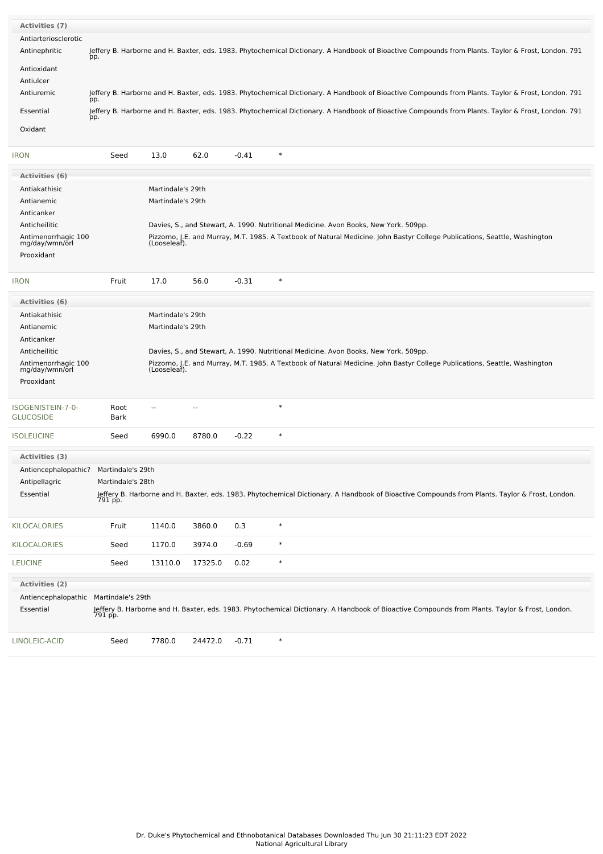| <b>Activities (7)</b>                        |                                        |                   |                |         |        |                                                                                                                                                           |
|----------------------------------------------|----------------------------------------|-------------------|----------------|---------|--------|-----------------------------------------------------------------------------------------------------------------------------------------------------------|
| Antiarteriosclerotic                         |                                        |                   |                |         |        |                                                                                                                                                           |
| Antinephritic                                | pp.                                    |                   |                |         |        | Jeffery B. Harborne and H. Baxter, eds. 1983. Phytochemical Dictionary. A Handbook of Bioactive Compounds from Plants. Taylor & Frost, London. 791        |
| Antioxidant                                  |                                        |                   |                |         |        |                                                                                                                                                           |
| Antiulcer                                    |                                        |                   |                |         |        |                                                                                                                                                           |
| Antiuremic                                   | pp.                                    |                   |                |         |        | Jeffery B. Harborne and H. Baxter, eds. 1983. Phytochemical Dictionary. A Handbook of Bioactive Compounds from Plants. Taylor & Frost, London. 791        |
| Essential                                    | pp.                                    |                   |                |         |        | Jeffery B. Harborne and H. Baxter, eds. 1983. Phytochemical Dictionary. A Handbook of Bioactive Compounds from Plants. Taylor & Frost, London. 791        |
| Oxidant                                      |                                        |                   |                |         |        |                                                                                                                                                           |
| <b>IRON</b>                                  | Seed                                   | 13.0              | 62.0           | $-0.41$ | $\ast$ |                                                                                                                                                           |
| <b>Activities (6)</b>                        |                                        |                   |                |         |        |                                                                                                                                                           |
| Antiakathisic                                |                                        | Martindale's 29th |                |         |        |                                                                                                                                                           |
| Antianemic                                   |                                        | Martindale's 29th |                |         |        |                                                                                                                                                           |
| Anticanker                                   |                                        |                   |                |         |        |                                                                                                                                                           |
| Anticheilitic                                |                                        |                   |                |         |        | Davies, S., and Stewart, A. 1990. Nutritional Medicine. Avon Books, New York. 509pp.                                                                      |
| Antimenorrhagic 100<br>mg/day/wmn/orl        |                                        | (Looseleaf).      |                |         |        | Pizzorno, J.E. and Murray, M.T. 1985. A Textbook of Natural Medicine. John Bastyr College Publications, Seattle, Washington                               |
| Prooxidant                                   |                                        |                   |                |         |        |                                                                                                                                                           |
|                                              |                                        |                   |                |         |        |                                                                                                                                                           |
| IRON                                         | Fruit                                  | 17.0              | 56.0           | $-0.31$ | $\ast$ |                                                                                                                                                           |
| <b>Activities (6)</b>                        |                                        |                   |                |         |        |                                                                                                                                                           |
| Antiakathisic                                |                                        | Martindale's 29th |                |         |        |                                                                                                                                                           |
| Antianemic                                   |                                        | Martindale's 29th |                |         |        |                                                                                                                                                           |
| Anticanker                                   |                                        |                   |                |         |        |                                                                                                                                                           |
| Anticheilitic                                |                                        |                   |                |         |        | Davies, S., and Stewart, A. 1990. Nutritional Medicine. Avon Books, New York. 509pp.                                                                      |
| Antimenorrhagic 100<br>mg/day/wmn/orl        |                                        | (Looseleaf).      |                |         |        | Pizzorno, J.E. and Murray, M.T. 1985. A Textbook of Natural Medicine. John Bastyr College Publications, Seattle, Washington                               |
| Prooxidant                                   |                                        |                   |                |         |        |                                                                                                                                                           |
|                                              |                                        |                   |                |         |        |                                                                                                                                                           |
| <b>ISOGENISTEIN-7-0-</b><br><b>GLUCOSIDE</b> | Root<br>Bark                           | --                | $\overline{a}$ |         | $\ast$ |                                                                                                                                                           |
| <b>SOLEUCINE</b>                             | Seed                                   | 6990.0            | 8780.0         | $-0.22$ | $\ast$ |                                                                                                                                                           |
|                                              |                                        |                   |                |         |        |                                                                                                                                                           |
| Activities (3)                               |                                        |                   |                |         |        |                                                                                                                                                           |
| Antiencephalopathic?                         | Martindale's 29th<br>Martindale's 28th |                   |                |         |        |                                                                                                                                                           |
| Antipellagric<br>Essential                   |                                        |                   |                |         |        | Jeffery B. Harborne and H. Baxter, eds. 1983. Phytochemical Dictionary. A Handbook of Bioactive Compounds from Plants. Taylor & Frost, London.            |
|                                              | 791 pp.                                |                   |                |         |        |                                                                                                                                                           |
| KILOCALORIES                                 | Fruit                                  | 1140.0            | 3860.0         | 0.3     | $\ast$ |                                                                                                                                                           |
| KILOCALORIES                                 | Seed                                   | 1170.0            | 3974.0         | $-0.69$ | $\ast$ |                                                                                                                                                           |
| <b>LEUCINE</b>                               | Seed                                   | 13110.0           | 17325.0        | 0.02    | $\ast$ |                                                                                                                                                           |
| <b>Activities (2)</b>                        |                                        |                   |                |         |        |                                                                                                                                                           |
| Antiencephalopathic Martindale's 29th        |                                        |                   |                |         |        |                                                                                                                                                           |
| Essential                                    |                                        |                   |                |         |        | Jeffery B. Harborne and H. Baxter, eds. 1983. Phytochemical Dictionary. A Handbook of Bioactive Compounds from Plants. Taylor & Frost, London.<br>791 pp. |
| LINOLEIC-ACID                                | Seed                                   | 7780.0            | 24472.0        | $-0.71$ | $\ast$ |                                                                                                                                                           |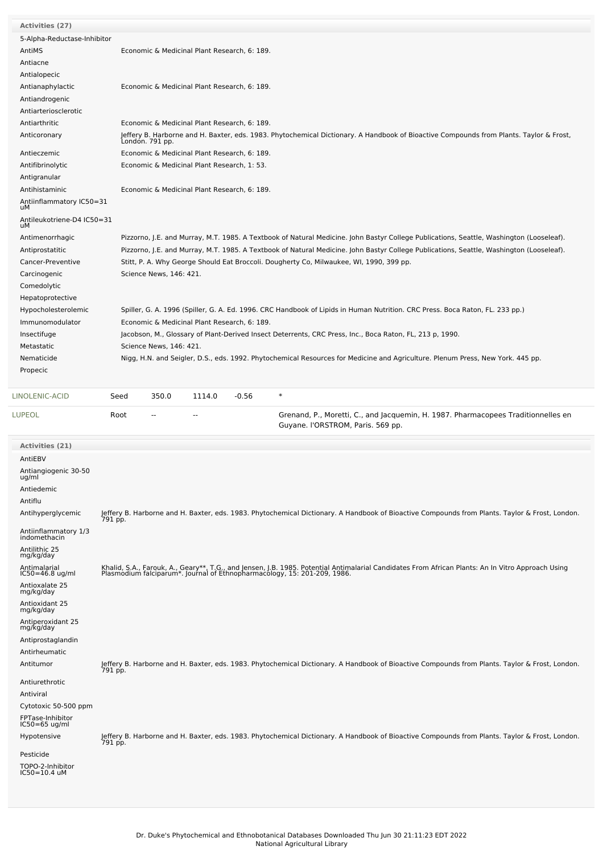| Activities (27)                  |                                                                                                                                                           |
|----------------------------------|-----------------------------------------------------------------------------------------------------------------------------------------------------------|
| 5-Alpha-Reductase-Inhibitor      |                                                                                                                                                           |
| AntiMS                           | Economic & Medicinal Plant Research, 6: 189.                                                                                                              |
| Antiacne                         |                                                                                                                                                           |
| Antialopecic                     |                                                                                                                                                           |
| Antianaphylactic                 | Economic & Medicinal Plant Research, 6: 189.                                                                                                              |
| Antiandrogenic                   |                                                                                                                                                           |
| Antiarteriosclerotic             |                                                                                                                                                           |
| Antiarthritic                    | Economic & Medicinal Plant Research, 6: 189.                                                                                                              |
| Anticoronary                     | Jeffery B. Harborne and H. Baxter, eds. 1983. Phytochemical Dictionary. A Handbook of Bioactive Compounds from Plants. Taylor & Frost,<br>Londón. 791 pp. |
| Antieczemic                      | Economic & Medicinal Plant Research, 6: 189.                                                                                                              |
| Antifibrinolytic                 | Economic & Medicinal Plant Research, 1: 53.                                                                                                               |
| Antigranular                     |                                                                                                                                                           |
| Antihistaminic                   | Economic & Medicinal Plant Research, 6: 189.                                                                                                              |
| Antiinflammatory IC50=31<br>uМ   |                                                                                                                                                           |
| Antileukotriene-D4 IC50=31<br>uМ |                                                                                                                                                           |
| Antimenorrhagic                  | Pizzorno, J.E. and Murray, M.T. 1985. A Textbook of Natural Medicine. John Bastyr College Publications, Seattle, Washington (Looseleaf).                  |
| Antiprostatitic                  | Pizzorno, J.E. and Murray, M.T. 1985. A Textbook of Natural Medicine. John Bastyr College Publications, Seattle, Washington (Looseleaf).                  |
| Cancer-Preventive                | Stitt, P. A. Why George Should Eat Broccoli. Dougherty Co, Milwaukee, WI, 1990, 399 pp.                                                                   |
| Carcinogenic                     | Science News, 146: 421.                                                                                                                                   |
| Comedolytic                      |                                                                                                                                                           |
| Hepatoprotective                 |                                                                                                                                                           |
| Hypocholesterolemic              | Spiller, G. A. 1996 (Spiller, G. A. Ed. 1996. CRC Handbook of Lipids in Human Nutrition. CRC Press. Boca Raton, FL. 233 pp.)                              |
| Immunomodulator                  | Economic & Medicinal Plant Research, 6: 189.                                                                                                              |
| Insectifuge                      | Jacobson, M., Glossary of Plant-Derived Insect Deterrents, CRC Press, Inc., Boca Raton, FL, 213 p, 1990.                                                  |
| Metastatic                       | Science News, 146: 421.                                                                                                                                   |
| Nematicide                       | Nigg, H.N. and Seigler, D.S., eds. 1992. Phytochemical Resources for Medicine and Agriculture. Plenum Press, New York. 445 pp.                            |
| Propecic                         |                                                                                                                                                           |
| LINOLENIC-ACID                   | $-0.56$<br>$\ast$<br>350.0<br>1114.0<br>Seed                                                                                                              |
|                                  |                                                                                                                                                           |

| LIIVULLIVIU AUD | JUJ J | - 770.0 | <b>++++</b> |                                                                                                                        |
|-----------------|-------|---------|-------------|------------------------------------------------------------------------------------------------------------------------|
| <b>LUPEOL</b>   | Root  | $- -$   | $- -$       | Grenand, P., Moretti, C., and Jacquemin, H. 1987. Pharmacopees Traditionnelles en<br>Guyane. I'ORSTROM, Paris. 569 pp. |

| Activities (21)                      |                                                                                                                                                                                                                               |
|--------------------------------------|-------------------------------------------------------------------------------------------------------------------------------------------------------------------------------------------------------------------------------|
| AntiEBV                              |                                                                                                                                                                                                                               |
| Antiangiogenic 30-50<br>ug/ml        |                                                                                                                                                                                                                               |
| Antiedemic                           |                                                                                                                                                                                                                               |
| Antiflu                              |                                                                                                                                                                                                                               |
| Antihyperglycemic                    | Jeffery B. Harborne and H. Baxter, eds. 1983. Phytochemical Dictionary. A Handbook of Bioactive Compounds from Plants. Taylor & Frost, London.<br>791 pp.                                                                     |
| Antiinflammatory 1/3<br>indomethacin |                                                                                                                                                                                                                               |
| Antilithic 25<br>mg/kg/day           |                                                                                                                                                                                                                               |
| Antimalarial<br>$IC50 = 46.8$ ug/ml  | Khalid, S.A., Farouk, A., Geary**, T.G., and Jensen, J.B. 1985. Potential Antimalarial Candidates From African Plants: An In Vitro Approach Using<br>Plasmodium falciparum*. Journal of Ethnopharmacology, 15: 201-209, 1986. |
| Antioxalate 25<br>mg/kg/day          |                                                                                                                                                                                                                               |
| Antioxidant 25<br>mg/kg/day          |                                                                                                                                                                                                                               |
| Antiperoxidant 25<br>mg/kg/day       |                                                                                                                                                                                                                               |
| Antiprostaglandin                    |                                                                                                                                                                                                                               |
| Antirheumatic                        |                                                                                                                                                                                                                               |
| Antitumor                            | Jeffery B. Harborne and H. Baxter, eds. 1983. Phytochemical Dictionary. A Handbook of Bioactive Compounds from Plants. Taylor & Frost, London.<br>791 pp.                                                                     |
| Antiurethrotic                       |                                                                                                                                                                                                                               |
| Antiviral                            |                                                                                                                                                                                                                               |
| Cytotoxic 50-500 ppm                 |                                                                                                                                                                                                                               |
| FPTase-Inhibitor<br>IC50=65 ug/ml    |                                                                                                                                                                                                                               |
| Hypotensive                          | Jeffery B. Harborne and H. Baxter, eds. 1983. Phytochemical Dictionary. A Handbook of Bioactive Compounds from Plants. Taylor & Frost, London.<br>791 pp.                                                                     |
| Pesticide                            |                                                                                                                                                                                                                               |
| TOPO-2-Inhibitor<br>$IC50 = 10.4$ uM |                                                                                                                                                                                                                               |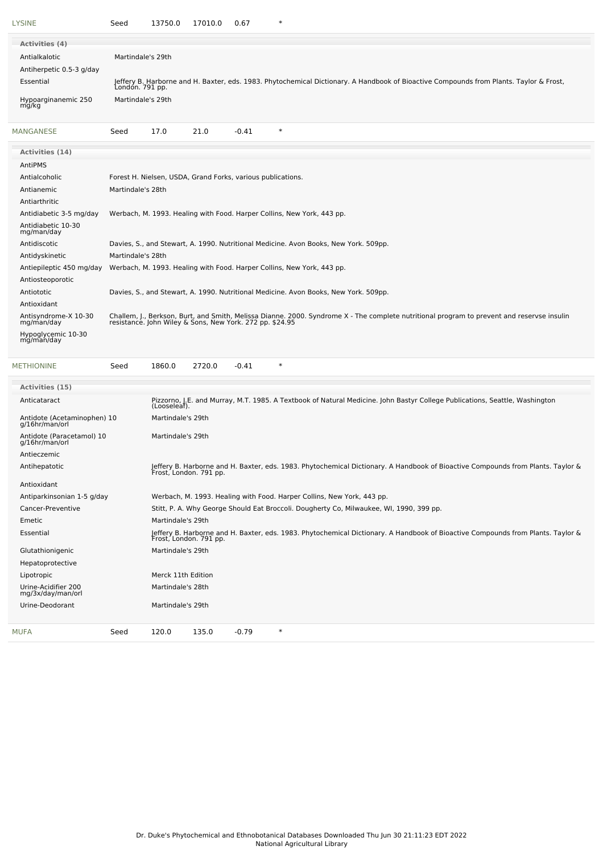| <b>LYSINE</b>                                 | Seed              | 13750.0                                                                | 17010.0 | 0.67                                                        | $\ast$                                                                                                                                                                                              |  |
|-----------------------------------------------|-------------------|------------------------------------------------------------------------|---------|-------------------------------------------------------------|-----------------------------------------------------------------------------------------------------------------------------------------------------------------------------------------------------|--|
| Activities (4)                                |                   |                                                                        |         |                                                             |                                                                                                                                                                                                     |  |
| Antialkalotic                                 | Martindale's 29th |                                                                        |         |                                                             |                                                                                                                                                                                                     |  |
| Antiherpetic 0.5-3 g/day                      |                   |                                                                        |         |                                                             |                                                                                                                                                                                                     |  |
| Essential                                     | Londón. 791 pp.   |                                                                        |         |                                                             | Jeffery B. Harborne and H. Baxter, eds. 1983. Phytochemical Dictionary. A Handbook of Bioactive Compounds from Plants. Taylor & Frost,                                                              |  |
| Hypoarginanemic 250<br>mg/kg                  | Martindale's 29th |                                                                        |         |                                                             |                                                                                                                                                                                                     |  |
| <b>MANGANESE</b>                              | Seed              | 17.0                                                                   | 21.0    | $-0.41$                                                     | $\ast$                                                                                                                                                                                              |  |
| Activities (14)                               |                   |                                                                        |         |                                                             |                                                                                                                                                                                                     |  |
| <b>AntiPMS</b>                                |                   |                                                                        |         |                                                             |                                                                                                                                                                                                     |  |
| Antialcoholic                                 |                   |                                                                        |         | Forest H. Nielsen, USDA, Grand Forks, various publications. |                                                                                                                                                                                                     |  |
| Antianemic                                    | Martindale's 28th |                                                                        |         |                                                             |                                                                                                                                                                                                     |  |
| Antiarthritic                                 |                   |                                                                        |         |                                                             |                                                                                                                                                                                                     |  |
| Antidiabetic 3-5 mg/day                       |                   |                                                                        |         |                                                             | Werbach, M. 1993. Healing with Food. Harper Collins, New York, 443 pp.                                                                                                                              |  |
| Antidiabetic 10-30<br>mg/man/day              |                   |                                                                        |         |                                                             |                                                                                                                                                                                                     |  |
| Antidiscotic                                  |                   |                                                                        |         |                                                             | Davies, S., and Stewart, A. 1990. Nutritional Medicine. Avon Books, New York. 509pp.                                                                                                                |  |
| Antidyskinetic                                | Martindale's 28th |                                                                        |         |                                                             |                                                                                                                                                                                                     |  |
| Antiepileptic 450 mg/day                      |                   | Werbach, M. 1993. Healing with Food. Harper Collins, New York, 443 pp. |         |                                                             |                                                                                                                                                                                                     |  |
| Antiosteoporotic                              |                   |                                                                        |         |                                                             |                                                                                                                                                                                                     |  |
| Antiototic                                    |                   |                                                                        |         |                                                             | Davies, S., and Stewart, A. 1990. Nutritional Medicine. Avon Books, New York. 509pp.                                                                                                                |  |
| Antioxidant                                   |                   |                                                                        |         |                                                             |                                                                                                                                                                                                     |  |
| Antisyndrome-X 10-30<br>mg/man/day            |                   |                                                                        |         |                                                             | Challem, J., Berkson, Burt, and Smith, Melissa Dianne. 2000. Syndrome X - The complete nutritional program to prevent and reservse insulin resistance. John Wiley & Sons, New York. 272 pp. \$24.95 |  |
| Hypoglycemic 10-30<br>mg/man/day              |                   |                                                                        |         |                                                             |                                                                                                                                                                                                     |  |
| <b>METHIONINE</b>                             | Seed              | 1860.0                                                                 | 2720.0  | $-0.41$                                                     | $\ast$                                                                                                                                                                                              |  |
| Activities (15)                               |                   |                                                                        |         |                                                             |                                                                                                                                                                                                     |  |
| Anticataract                                  |                   | (Looseleaf).                                                           |         |                                                             | Pizzorno, J.E. and Murray, M.T. 1985. A Textbook of Natural Medicine. John Bastyr College Publications, Seattle, Washington                                                                         |  |
| Antidote (Acetaminophen) 10<br>g/16hr/man/orl |                   | Martindale's 29th                                                      |         |                                                             |                                                                                                                                                                                                     |  |

| Antidote (Paracetamol) 10<br>g/16hr/man/orl | Martindale's 29th                                                                                                                                         |  |  |  |  |  |  |  |
|---------------------------------------------|-----------------------------------------------------------------------------------------------------------------------------------------------------------|--|--|--|--|--|--|--|
| Antieczemic                                 |                                                                                                                                                           |  |  |  |  |  |  |  |
| Antihepatotic                               | Jeffery B. Harborne and H. Baxter, eds. 1983. Phytochemical Dictionary. A Handbook of Bioactive Compounds from Plants. Taylor &<br>Frost, London. 791 pp. |  |  |  |  |  |  |  |
| Antioxidant                                 |                                                                                                                                                           |  |  |  |  |  |  |  |
| Antiparkinsonian 1-5 g/day                  | Werbach, M. 1993. Healing with Food. Harper Collins, New York, 443 pp.                                                                                    |  |  |  |  |  |  |  |
| Cancer-Preventive                           | Stitt, P. A. Why George Should Eat Broccoli. Dougherty Co, Milwaukee, WI, 1990, 399 pp.                                                                   |  |  |  |  |  |  |  |
| Emetic                                      | Martindale's 29th                                                                                                                                         |  |  |  |  |  |  |  |
| Essential                                   | Jeffery B. Harborne and H. Baxter, eds. 1983. Phytochemical Dictionary. A Handbook of Bioactive Compounds from Plants. Taylor &<br>Frost, London. 791 pp. |  |  |  |  |  |  |  |
| Glutathionigenic                            | Martindale's 29th                                                                                                                                         |  |  |  |  |  |  |  |
| Hepatoprotective                            |                                                                                                                                                           |  |  |  |  |  |  |  |
| Lipotropic                                  | Merck 11th Edition                                                                                                                                        |  |  |  |  |  |  |  |
| Urine-Acidifier 200<br>mg/3x/day/man/orl    | Martindale's 28th                                                                                                                                         |  |  |  |  |  |  |  |
| Urine-Deodorant                             | Martindale's 29th                                                                                                                                         |  |  |  |  |  |  |  |
| MUFA<br>Seed                                | $\ast$<br>120.0<br>135.0<br>$-0.79$                                                                                                                       |  |  |  |  |  |  |  |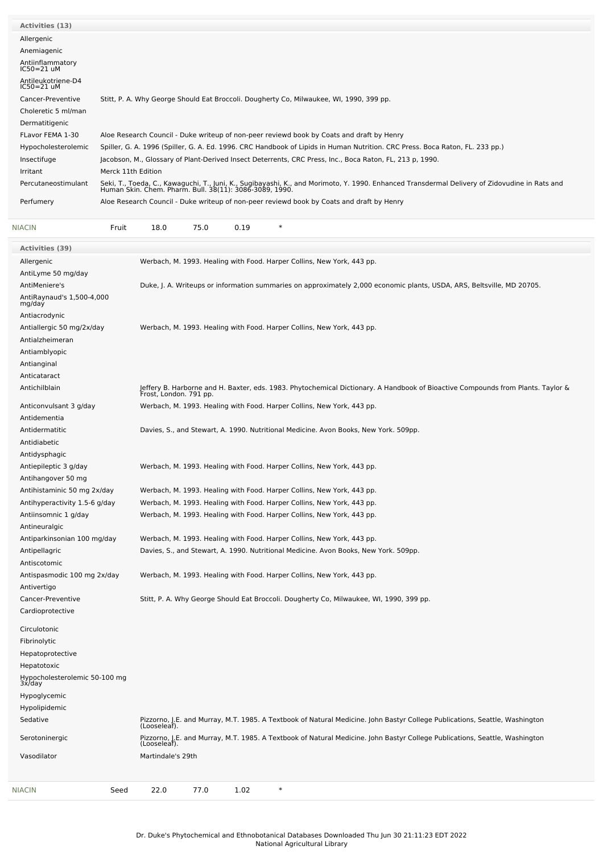| <b>Activities (13)</b>             |                                                                                                                                                                                                          |
|------------------------------------|----------------------------------------------------------------------------------------------------------------------------------------------------------------------------------------------------------|
| Allergenic                         |                                                                                                                                                                                                          |
| Anemiagenic                        |                                                                                                                                                                                                          |
| Antiinflammatory<br>IC50=21 uM     |                                                                                                                                                                                                          |
| Antileukotriene-D4<br>$IC50=21$ uM |                                                                                                                                                                                                          |
| Cancer-Preventive                  | Stitt, P. A. Why George Should Eat Broccoli. Dougherty Co, Milwaukee, WI, 1990, 399 pp.                                                                                                                  |
| Choleretic 5 ml/man                |                                                                                                                                                                                                          |
| Dermatitigenic                     |                                                                                                                                                                                                          |
| FLavor FEMA 1-30                   | Aloe Research Council - Duke writeup of non-peer reviewd book by Coats and draft by Henry                                                                                                                |
| Hypocholesterolemic                | Spiller, G. A. 1996 (Spiller, G. A. Ed. 1996. CRC Handbook of Lipids in Human Nutrition. CRC Press. Boca Raton, FL. 233 pp.)                                                                             |
| Insectifuge                        | Jacobson, M., Glossary of Plant-Derived Insect Deterrents, CRC Press, Inc., Boca Raton, FL, 213 p, 1990.                                                                                                 |
| Irritant                           | Merck 11th Edition                                                                                                                                                                                       |
| Percutaneostimulant                | Seki, T., Toeda, C., Kawaguchi, T., Juni, K., Sugibayashi, K., and Morimoto, Y. 1990. Enhanced Transdermal Delivery of Zidovudine in Rats and<br>Human Skin. Chem. Pharm. Bull. 38(11): 3086-3089, 1990. |
| Perfumery                          | Aloe Research Council - Duke writeup of non-peer reviewd book by Coats and draft by Henry                                                                                                                |

[NIACIN](file:///phytochem/chemicals/show/13066) Fruit 18.0 75.0 0.19 \*

| Activities (39)                         |                                                                                                                                                           |
|-----------------------------------------|-----------------------------------------------------------------------------------------------------------------------------------------------------------|
| Allergenic                              | Werbach, M. 1993. Healing with Food. Harper Collins, New York, 443 pp.                                                                                    |
| AntiLyme 50 mg/day                      |                                                                                                                                                           |
| AntiMeniere's                           | Duke, J. A. Writeups or information summaries on approximately 2,000 economic plants, USDA, ARS, Beltsville, MD 20705.                                    |
| AntiRaynaud's 1,500-4,000<br>mg/day     |                                                                                                                                                           |
| Antiacrodynic                           |                                                                                                                                                           |
| Antiallergic 50 mg/2x/day               | Werbach, M. 1993. Healing with Food. Harper Collins, New York, 443 pp.                                                                                    |
| Antialzheimeran                         |                                                                                                                                                           |
| Antiamblyopic                           |                                                                                                                                                           |
| Antianginal                             |                                                                                                                                                           |
| Anticataract                            |                                                                                                                                                           |
| Antichilblain                           | Jeffery B. Harborne and H. Baxter, eds. 1983. Phytochemical Dictionary. A Handbook of Bioactive Compounds from Plants. Taylor &<br>Frost, London. 791 pp. |
| Anticonvulsant 3 g/day                  | Werbach, M. 1993. Healing with Food. Harper Collins, New York, 443 pp.                                                                                    |
| Antidementia                            |                                                                                                                                                           |
| Antidermatitic                          | Davies, S., and Stewart, A. 1990. Nutritional Medicine. Avon Books, New York. 509pp.                                                                      |
| Antidiabetic                            |                                                                                                                                                           |
| Antidysphagic                           |                                                                                                                                                           |
| Antiepileptic 3 g/day                   | Werbach, M. 1993. Healing with Food. Harper Collins, New York, 443 pp.                                                                                    |
| Antihangover 50 mg                      |                                                                                                                                                           |
| Antihistaminic 50 mg 2x/day             | Werbach, M. 1993. Healing with Food. Harper Collins, New York, 443 pp.                                                                                    |
| Antihyperactivity 1.5-6 g/day           | Werbach, M. 1993. Healing with Food. Harper Collins, New York, 443 pp.                                                                                    |
| Antiinsomnic 1 g/day                    | Werbach, M. 1993. Healing with Food. Harper Collins, New York, 443 pp.                                                                                    |
| Antineuralgic                           |                                                                                                                                                           |
| Antiparkinsonian 100 mg/day             | Werbach, M. 1993. Healing with Food. Harper Collins, New York, 443 pp.                                                                                    |
| Antipellagric                           | Davies, S., and Stewart, A. 1990. Nutritional Medicine. Avon Books, New York. 509pp.                                                                      |
| Antiscotomic                            |                                                                                                                                                           |
| Antispasmodic 100 mg 2x/day             | Werbach, M. 1993. Healing with Food. Harper Collins, New York, 443 pp.                                                                                    |
| Antivertigo                             |                                                                                                                                                           |
| Cancer-Preventive                       | Stitt, P. A. Why George Should Eat Broccoli. Dougherty Co, Milwaukee, WI, 1990, 399 pp.                                                                   |
| Cardioprotective                        |                                                                                                                                                           |
| Circulotonic                            |                                                                                                                                                           |
| Fibrinolytic                            |                                                                                                                                                           |
| Hepatoprotective                        |                                                                                                                                                           |
| Hepatotoxic                             |                                                                                                                                                           |
| Hypocholesterolemic 50-100 mg<br>3x/day |                                                                                                                                                           |
| Hypoglycemic                            |                                                                                                                                                           |
| Hypolipidemic                           |                                                                                                                                                           |
| Sedative                                | Pizzorno, J.E. and Murray, M.T. 1985. A Textbook of Natural Medicine. John Bastyr College Publications, Seattle, Washington<br>(Looseleaf).               |
| Serotoninergic                          | Pizzorno, J.E. and Murray, M.T. 1985. A Textbook of Natural Medicine. John Bastyr College Publications, Seattle, Washington<br>(Looseleaf).               |
| Vasodilator                             | Martindale's 29th                                                                                                                                         |
| <b>NIACIN</b><br>Seed                   | 22.0<br>77.0<br>1.02<br>$\ast$                                                                                                                            |
|                                         |                                                                                                                                                           |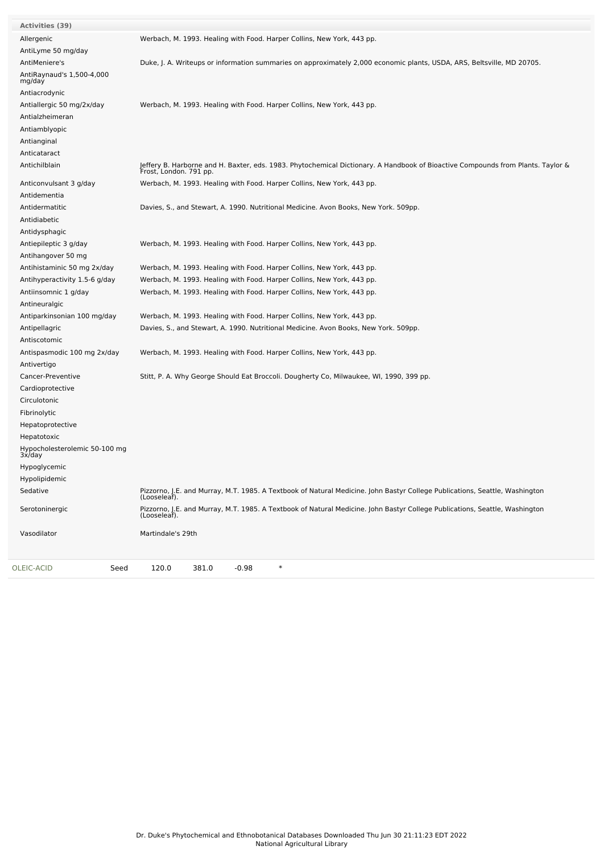| Allergenic                              | Werbach, M. 1993. Healing with Food. Harper Collins, New York, 443 pp.                                                                                    |
|-----------------------------------------|-----------------------------------------------------------------------------------------------------------------------------------------------------------|
| AntiLyme 50 mg/day                      |                                                                                                                                                           |
| AntiMeniere's                           | Duke, J. A. Writeups or information summaries on approximately 2,000 economic plants, USDA, ARS, Beltsville, MD 20705.                                    |
| AntiRaynaud's 1,500-4,000<br>mg/day     |                                                                                                                                                           |
| Antiacrodynic                           |                                                                                                                                                           |
| Antiallergic 50 mg/2x/day               | Werbach, M. 1993. Healing with Food. Harper Collins, New York, 443 pp.                                                                                    |
| Antialzheimeran                         |                                                                                                                                                           |
| Antiamblyopic                           |                                                                                                                                                           |
| Antianginal                             |                                                                                                                                                           |
| Anticataract                            |                                                                                                                                                           |
| Antichilblain                           | Jeffery B. Harborne and H. Baxter, eds. 1983. Phytochemical Dictionary. A Handbook of Bioactive Compounds from Plants. Taylor &<br>Frost, London. 791 pp. |
| Anticonvulsant 3 g/day                  | Werbach, M. 1993. Healing with Food. Harper Collins, New York, 443 pp.                                                                                    |
| Antidementia                            |                                                                                                                                                           |
| Antidermatitic                          | Davies, S., and Stewart, A. 1990. Nutritional Medicine. Avon Books, New York. 509pp.                                                                      |
| Antidiabetic                            |                                                                                                                                                           |
| Antidysphagic                           |                                                                                                                                                           |
| Antiepileptic 3 g/day                   | Werbach, M. 1993. Healing with Food. Harper Collins, New York, 443 pp.                                                                                    |
| Antihangover 50 mg                      |                                                                                                                                                           |
| Antihistaminic 50 mg 2x/day             | Werbach, M. 1993. Healing with Food. Harper Collins, New York, 443 pp.                                                                                    |
| Antihyperactivity 1.5-6 g/day           | Werbach, M. 1993. Healing with Food. Harper Collins, New York, 443 pp.                                                                                    |
| Antiinsomnic 1 g/day                    | Werbach, M. 1993. Healing with Food. Harper Collins, New York, 443 pp.                                                                                    |
| Antineuralgic                           |                                                                                                                                                           |
| Antiparkinsonian 100 mg/day             | Werbach, M. 1993. Healing with Food. Harper Collins, New York, 443 pp.                                                                                    |
| Antipellagric                           | Davies, S., and Stewart, A. 1990. Nutritional Medicine. Avon Books, New York. 509pp.                                                                      |
| Antiscotomic                            |                                                                                                                                                           |
| Antispasmodic 100 mg 2x/day             | Werbach, M. 1993. Healing with Food. Harper Collins, New York, 443 pp.                                                                                    |
| Antivertigo                             |                                                                                                                                                           |
| Cancer-Preventive                       | Stitt, P. A. Why George Should Eat Broccoli. Dougherty Co, Milwaukee, WI, 1990, 399 pp.                                                                   |
| Cardioprotective                        |                                                                                                                                                           |
| Circulotonic                            |                                                                                                                                                           |
| Fibrinolytic                            |                                                                                                                                                           |
| Hepatoprotective                        |                                                                                                                                                           |
| Hepatotoxic                             |                                                                                                                                                           |
| Hypocholesterolemic 50-100 mg<br>3x/day |                                                                                                                                                           |
| Hypoglycemic                            |                                                                                                                                                           |
| Hypolipidemic                           |                                                                                                                                                           |
| Sedative                                | Pizzorno, J.E. and Murray, M.T. 1985. A Textbook of Natural Medicine. John Bastyr College Publications, Seattle, Washington<br>(Looseleaf).               |
| Serotoninergic                          | Pizzorno, J.E. and Murray, M.T. 1985. A Textbook of Natural Medicine. John Bastyr College Publications, Seattle, Washington<br>(Looseleaf).               |
| Vasodilator                             | Martindale's 29th                                                                                                                                         |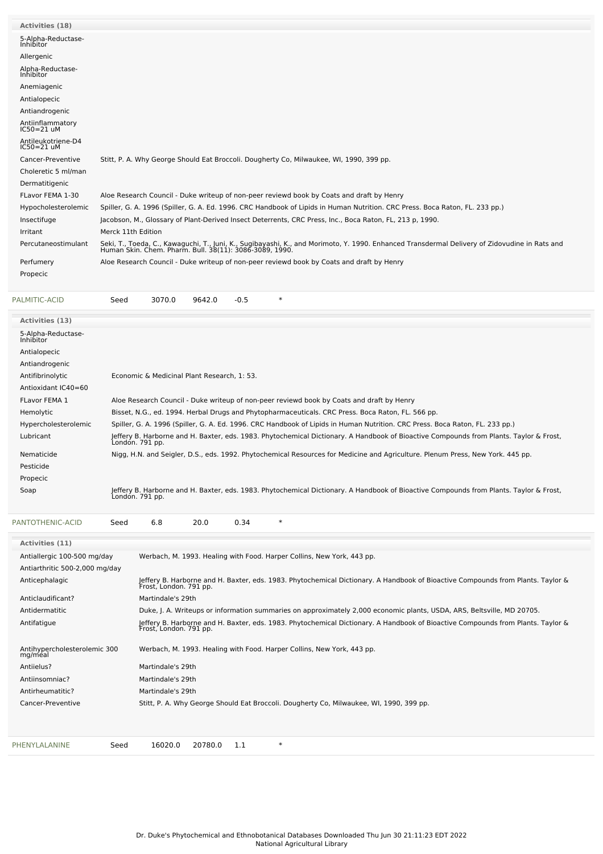| Activities (18)                    |                                                                                                                                                                                                          |
|------------------------------------|----------------------------------------------------------------------------------------------------------------------------------------------------------------------------------------------------------|
| 5-Alpha-Reductase-<br>Inhibitor    |                                                                                                                                                                                                          |
| Allergenic                         |                                                                                                                                                                                                          |
| Alpha-Reductase-<br>Inhibitor      |                                                                                                                                                                                                          |
| Anemiagenic                        |                                                                                                                                                                                                          |
| Antialopecic                       |                                                                                                                                                                                                          |
| Antiandrogenic                     |                                                                                                                                                                                                          |
| Antiinflammatory<br>IC50=21 uM     |                                                                                                                                                                                                          |
| Antileukotriene-D4<br>$IC50=21$ uM |                                                                                                                                                                                                          |
| Cancer-Preventive                  | Stitt, P. A. Why George Should Eat Broccoli. Dougherty Co, Milwaukee, WI, 1990, 399 pp.                                                                                                                  |
| Choleretic 5 ml/man                |                                                                                                                                                                                                          |
| Dermatitigenic                     |                                                                                                                                                                                                          |
| FLavor FEMA 1-30                   | Aloe Research Council - Duke writeup of non-peer reviewd book by Coats and draft by Henry                                                                                                                |
| Hypocholesterolemic                | Spiller, G. A. 1996 (Spiller, G. A. Ed. 1996. CRC Handbook of Lipids in Human Nutrition. CRC Press. Boca Raton, FL. 233 pp.)                                                                             |
| Insectifuge                        | Jacobson, M., Glossary of Plant-Derived Insect Deterrents, CRC Press, Inc., Boca Raton, FL, 213 p, 1990.                                                                                                 |
| Irritant                           | Merck 11th Edition                                                                                                                                                                                       |
| Percutaneostimulant                | Seki, T., Toeda, C., Kawaguchi, T., Juni, K., Sugibayashi, K., and Morimoto, Y. 1990. Enhanced Transdermal Delivery of Zidovudine in Rats and<br>Human Skin. Chem. Pharm. Bull. 38(11): 3086-3089, 1990. |
| Perfumery                          | Aloe Research Council - Duke writeup of non-peer reviewd book by Coats and draft by Henry                                                                                                                |
| Propecic                           |                                                                                                                                                                                                          |
| PALMITIC-ACID                      | 3070.0<br>9642.0<br>$-0.5$<br>$\ast$<br>Seed                                                                                                                                                             |
| Activities (13)                    |                                                                                                                                                                                                          |
| 5-Alpha-Reductase-<br>Inhibitor    |                                                                                                                                                                                                          |
| Antialopecic                       |                                                                                                                                                                                                          |

Antiandrogenic

Pesticide Propecic

**Activities (11)**

Antiarthritic 500-2,000 mg/day

Antihypercholesterolemic <sup>300</sup> mg/meal

Anticlaudificant? Martindale's 29th

Antiielus? Martindale's 29th Antiinsomniac? Martindale's 29th Antirheumatitic? Martindale's 29th

Antioxidant IC40=60

Antifibrinolytic Economic & Medicinal Plant Research, 1: 53.

[PANTOTHENIC-ACID](file:///phytochem/chemicals/show/13995) Seed 6.8 20.0 0.34  $*$ 

[PHENYLALANINE](file:///phytochem/chemicals/show/14410) Seed 16020.0 20780.0 1.1 \*

FLavor FEMA 1 Aloe Research Council - Duke writeup of non-peer reviewd book by Coats and draft by Henry Hemolytic Bisset, N.G., ed. 1994. Herbal Drugs and Phytopharmaceuticals. CRC Press. Boca Raton, FL. 566 pp.

Antiallergic 100-500 mg/day Werbach, M. 1993. Healing with Food. Harper Collins, New York, 443 pp.

Hypercholesterolemic Spiller, G. A. 1996 (Spiller, G. A. Ed. 1996. CRC Handbook of Lipids in Human Nutrition. CRC Press. Boca Raton, FL. 233 pp.)

Nematicide Migg, H.N. and Seigler, D.S., eds. 1992. Phytochemical Resources for Medicine and Agriculture. Plenum Press, New York. 445 pp.

Lubricant Jeffery B. Harborne and H. Baxter, eds. 1983. Phytochemical Dictionary. A Handbook of Bioactive Compounds from Plants. Taylor & Frost, London. 791 pp.

Soap Soap Jeffery B. Harborne and H. Baxter, eds. 1983. Phytochemical Dictionary. A Handbook of Bioactive Compounds from Plants. Taylor & Frost, Soap London. 791 pp.

Anticephalagic Jeffery B. Harborne and H. Baxter, eds. 1983. Phytochemical Dictionary. A Handbook of Bioactive Compounds from Plants. Taylor & Frost, London. 791 pp.

Antifatigue Jeffery B. Harborne and H. Baxter, eds. 1983. Phytochemical Dictionary. A Handbook of Bioactive Compounds from Plants. Taylor & Frost, London. 791 pp.

Antidermatitic Duke, J. A. Writeups or information summaries on approximately 2,000 economic plants, USDA, ARS, Beltsville, MD 20705.

Werbach, M. 1993. Healing with Food. Harper Collins, New York, 443 pp.

Cancer-Preventive Stitt, P. A. Why George Should Eat Broccoli. Dougherty Co, Milwaukee, WI, 1990, 399 pp.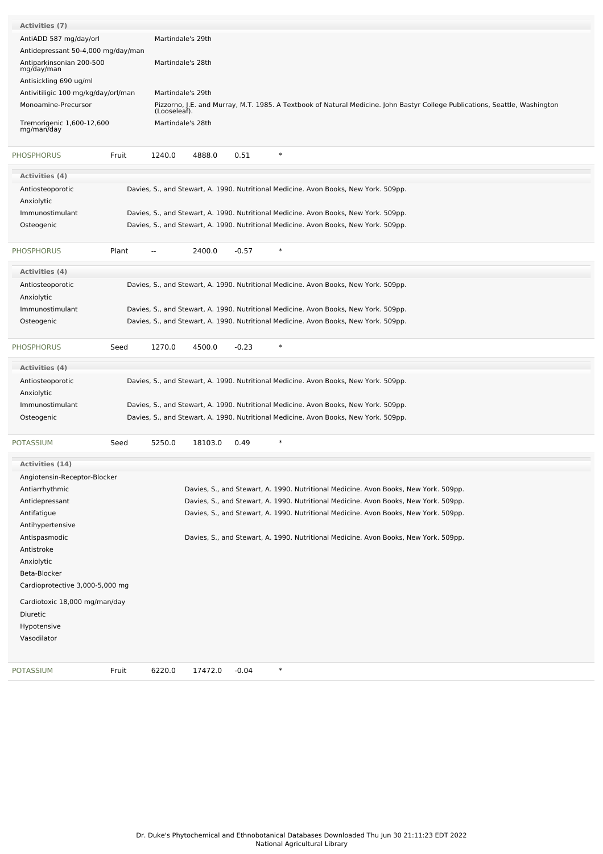| <b>Activities (7)</b>                   |                          |                   |         |                                                                                                                                             |
|-----------------------------------------|--------------------------|-------------------|---------|---------------------------------------------------------------------------------------------------------------------------------------------|
| AntiADD 587 mg/day/orl                  |                          | Martindale's 29th |         |                                                                                                                                             |
| Antidepressant 50-4,000 mg/day/man      |                          |                   |         |                                                                                                                                             |
| Antiparkinsonian 200-500<br>mg/day/man  |                          | Martindale's 28th |         |                                                                                                                                             |
| Antisickling 690 ug/ml                  |                          |                   |         |                                                                                                                                             |
| Antivitiligic 100 mg/kg/day/orl/man     |                          | Martindale's 29th |         |                                                                                                                                             |
| Monoamine-Precursor                     |                          |                   |         | Pizzorno, J.E. and Murray, M.T. 1985. A Textbook of Natural Medicine. John Bastyr College Publications, Seattle, Washington<br>(Looseleaf). |
| Tremorigenic 1,600-12,600<br>mg/man/day |                          | Martindale's 28th |         |                                                                                                                                             |
| <b>PHOSPHORUS</b><br>Fruit              |                          | 1240.0<br>4888.0  | 0.51    | $\ast$                                                                                                                                      |
| <b>Activities (4)</b>                   |                          |                   |         |                                                                                                                                             |
| Antiosteoporotic                        |                          |                   |         | Davies, S., and Stewart, A. 1990. Nutritional Medicine. Avon Books, New York. 509pp.                                                        |
| Anxiolytic                              |                          |                   |         |                                                                                                                                             |
| Immunostimulant                         |                          |                   |         | Davies, S., and Stewart, A. 1990. Nutritional Medicine. Avon Books, New York. 509pp.                                                        |
| Osteogenic                              |                          |                   |         | Davies, S., and Stewart, A. 1990. Nutritional Medicine. Avon Books, New York. 509pp.                                                        |
|                                         |                          |                   |         |                                                                                                                                             |
| <b>PHOSPHORUS</b><br>Plant              | $\overline{\phantom{a}}$ | 2400.0            | $-0.57$ | $\ast$                                                                                                                                      |
| <b>Activities (4)</b>                   |                          |                   |         |                                                                                                                                             |
| Antiosteoporotic                        |                          |                   |         | Davies, S., and Stewart, A. 1990. Nutritional Medicine. Avon Books, New York. 509pp.                                                        |
| Anxiolytic                              |                          |                   |         |                                                                                                                                             |
| Immunostimulant                         |                          |                   |         | Davies, S., and Stewart, A. 1990. Nutritional Medicine. Avon Books, New York. 509pp.                                                        |
| Osteogenic                              |                          |                   |         | Davies, S., and Stewart, A. 1990. Nutritional Medicine. Avon Books, New York. 509pp.                                                        |
|                                         |                          |                   |         |                                                                                                                                             |
| <b>PHOSPHORUS</b><br>Seed               |                          | 1270.0<br>4500.0  | $-0.23$ | $\ast$                                                                                                                                      |
| <b>Activities (4)</b>                   |                          |                   |         |                                                                                                                                             |
| Antiosteoporotic                        |                          |                   |         | Davies, S., and Stewart, A. 1990. Nutritional Medicine. Avon Books, New York. 509pp.                                                        |
| Anxiolytic                              |                          |                   |         |                                                                                                                                             |
| Immunostimulant                         |                          |                   |         | Davies, S., and Stewart, A. 1990. Nutritional Medicine. Avon Books, New York. 509pp.                                                        |
| Osteogenic                              |                          |                   |         | Davies, S., and Stewart, A. 1990. Nutritional Medicine. Avon Books, New York. 509pp.                                                        |
|                                         |                          |                   |         |                                                                                                                                             |
| <b>POTASSIUM</b><br>Seed                |                          | 5250.0<br>18103.0 | 0.49    | $\ast$                                                                                                                                      |
| <b>Activities (14)</b>                  |                          |                   |         |                                                                                                                                             |
| Angiotensin-Receptor-Blocker            |                          |                   |         |                                                                                                                                             |
| Antiarrhythmic                          |                          |                   |         | Davies, S., and Stewart, A. 1990. Nutritional Medicine. Avon Books, New York. 509pp.                                                        |
| Antidepressant                          |                          |                   |         | Davies, S., and Stewart, A. 1990. Nutritional Medicine. Avon Books, New York. 509pp.                                                        |
| Antifatigue                             |                          |                   |         | Davies, S., and Stewart, A. 1990. Nutritional Medicine. Avon Books, New York. 509pp.                                                        |
| Antihypertensive                        |                          |                   |         |                                                                                                                                             |
| Antispasmodic                           |                          |                   |         | Davies, S., and Stewart, A. 1990. Nutritional Medicine. Avon Books, New York. 509pp.                                                        |
| Antistroke                              |                          |                   |         |                                                                                                                                             |
| Anxiolytic                              |                          |                   |         |                                                                                                                                             |
|                                         |                          |                   |         |                                                                                                                                             |
| Beta-Blocker                            |                          |                   |         |                                                                                                                                             |
| Cardioprotective 3,000-5,000 mg         |                          |                   |         |                                                                                                                                             |
| Cardiotoxic 18,000 mg/man/day           |                          |                   |         |                                                                                                                                             |
| Diuretic                                |                          |                   |         |                                                                                                                                             |
| Hypotensive                             |                          |                   |         |                                                                                                                                             |
| Vasodilator                             |                          |                   |         |                                                                                                                                             |
|                                         |                          |                   |         |                                                                                                                                             |
| <b>POTASSIUM</b><br>Fruit               |                          | 6220.0<br>17472.0 | $-0.04$ | $\ast$                                                                                                                                      |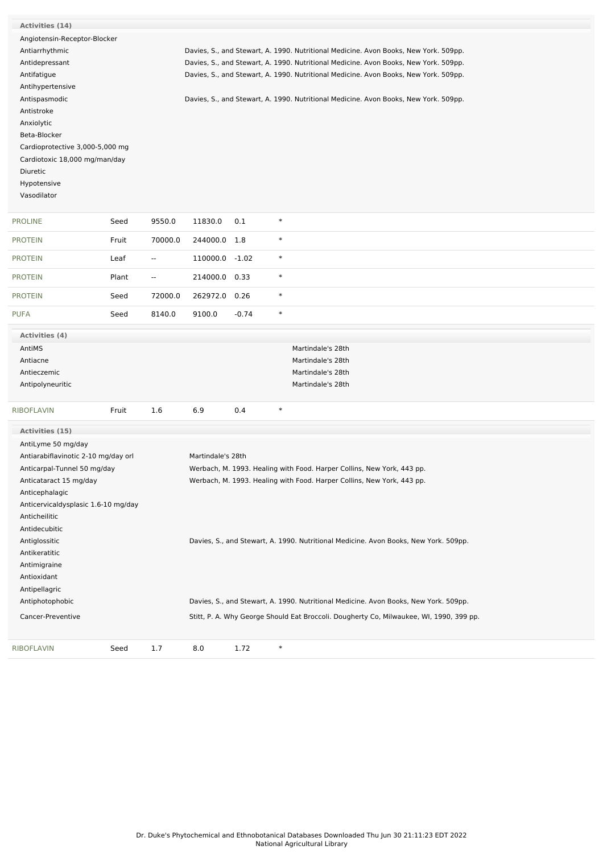| Activities (14)                     |       |                                                                                      |                                                                        |         |                                                                                      |                                                                                         |  |  |
|-------------------------------------|-------|--------------------------------------------------------------------------------------|------------------------------------------------------------------------|---------|--------------------------------------------------------------------------------------|-----------------------------------------------------------------------------------------|--|--|
| Angiotensin-Receptor-Blocker        |       |                                                                                      |                                                                        |         |                                                                                      |                                                                                         |  |  |
| Antiarrhythmic                      |       | Davies, S., and Stewart, A. 1990. Nutritional Medicine. Avon Books, New York. 509pp. |                                                                        |         |                                                                                      |                                                                                         |  |  |
| Antidepressant                      |       |                                                                                      |                                                                        |         | Davies, S., and Stewart, A. 1990. Nutritional Medicine. Avon Books, New York. 509pp. |                                                                                         |  |  |
| Antifatigue                         |       |                                                                                      |                                                                        |         |                                                                                      | Davies, S., and Stewart, A. 1990. Nutritional Medicine. Avon Books, New York. 509pp.    |  |  |
| Antihypertensive                    |       |                                                                                      |                                                                        |         |                                                                                      |                                                                                         |  |  |
| Antispasmodic                       |       |                                                                                      |                                                                        |         |                                                                                      | Davies, S., and Stewart, A. 1990. Nutritional Medicine. Avon Books, New York. 509pp.    |  |  |
| Antistroke                          |       |                                                                                      |                                                                        |         |                                                                                      |                                                                                         |  |  |
| Anxiolytic                          |       |                                                                                      |                                                                        |         |                                                                                      |                                                                                         |  |  |
| Beta-Blocker                        |       |                                                                                      |                                                                        |         |                                                                                      |                                                                                         |  |  |
| Cardioprotective 3,000-5,000 mg     |       |                                                                                      |                                                                        |         |                                                                                      |                                                                                         |  |  |
| Cardiotoxic 18,000 mg/man/day       |       |                                                                                      |                                                                        |         |                                                                                      |                                                                                         |  |  |
| Diuretic                            |       |                                                                                      |                                                                        |         |                                                                                      |                                                                                         |  |  |
| Hypotensive                         |       |                                                                                      |                                                                        |         |                                                                                      |                                                                                         |  |  |
| Vasodilator                         |       |                                                                                      |                                                                        |         |                                                                                      |                                                                                         |  |  |
|                                     |       |                                                                                      |                                                                        |         |                                                                                      |                                                                                         |  |  |
| <b>PROLINE</b>                      | Seed  | 9550.0                                                                               | 11830.0                                                                | 0.1     | $\ast$                                                                               |                                                                                         |  |  |
| <b>PROTEIN</b>                      | Fruit | 70000.0                                                                              | 244000.0                                                               | 1.8     | $\ast$                                                                               |                                                                                         |  |  |
| <b>PROTEIN</b>                      | Leaf  | $\overline{\phantom{a}}$                                                             | 110000.0                                                               | $-1.02$ | $\ast$                                                                               |                                                                                         |  |  |
| <b>PROTEIN</b>                      | Plant | $\sim$ $-$                                                                           | 214000.0                                                               | 0.33    | $\ast$                                                                               |                                                                                         |  |  |
| <b>PROTEIN</b>                      | Seed  | 72000.0                                                                              | 262972.0                                                               | 0.26    | $\ast$                                                                               |                                                                                         |  |  |
| <b>PUFA</b>                         | Seed  | 8140.0                                                                               | 9100.0                                                                 | $-0.74$ | $\ast$                                                                               |                                                                                         |  |  |
|                                     |       |                                                                                      |                                                                        |         |                                                                                      |                                                                                         |  |  |
| Activities (4)                      |       |                                                                                      |                                                                        |         |                                                                                      |                                                                                         |  |  |
| AntiMS                              |       |                                                                                      |                                                                        |         |                                                                                      | Martindale's 28th                                                                       |  |  |
| Antiacne                            |       |                                                                                      |                                                                        |         |                                                                                      | Martindale's 28th                                                                       |  |  |
| Antieczemic                         |       |                                                                                      |                                                                        |         |                                                                                      | Martindale's 28th                                                                       |  |  |
| Antipolyneuritic                    |       |                                                                                      |                                                                        |         |                                                                                      | Martindale's 28th                                                                       |  |  |
| <b>RIBOFLAVIN</b>                   | Fruit | 1.6                                                                                  | 6.9                                                                    | 0.4     | $\ast$                                                                               |                                                                                         |  |  |
| Activities (15)                     |       |                                                                                      |                                                                        |         |                                                                                      |                                                                                         |  |  |
| AntiLyme 50 mg/day                  |       |                                                                                      |                                                                        |         |                                                                                      |                                                                                         |  |  |
| Antiarabiflavinotic 2-10 mg/day orl |       |                                                                                      | Martindale's 28th                                                      |         |                                                                                      |                                                                                         |  |  |
| Anticarpal-Tunnel 50 mg/day         |       |                                                                                      | Werbach, M. 1993. Healing with Food. Harper Collins, New York, 443 pp. |         |                                                                                      |                                                                                         |  |  |
| Anticataract 15 mg/day              |       |                                                                                      |                                                                        |         |                                                                                      | Werbach, M. 1993. Healing with Food. Harper Collins, New York, 443 pp.                  |  |  |
| Anticephalagic                      |       |                                                                                      |                                                                        |         |                                                                                      |                                                                                         |  |  |
| Anticervicaldysplasic 1.6-10 mg/day |       |                                                                                      |                                                                        |         |                                                                                      |                                                                                         |  |  |
| Anticheilitic                       |       |                                                                                      |                                                                        |         |                                                                                      |                                                                                         |  |  |
| Antidecubitic                       |       |                                                                                      |                                                                        |         |                                                                                      |                                                                                         |  |  |
| Antiglossitic                       |       |                                                                                      |                                                                        |         |                                                                                      |                                                                                         |  |  |
|                                     |       |                                                                                      |                                                                        |         |                                                                                      | Davies, S., and Stewart, A. 1990. Nutritional Medicine. Avon Books, New York. 509pp.    |  |  |
| Antikeratitic                       |       |                                                                                      |                                                                        |         |                                                                                      |                                                                                         |  |  |
| Antimigraine                        |       |                                                                                      |                                                                        |         |                                                                                      |                                                                                         |  |  |
| Antioxidant                         |       |                                                                                      |                                                                        |         |                                                                                      |                                                                                         |  |  |
| Antipellagric                       |       |                                                                                      |                                                                        |         |                                                                                      |                                                                                         |  |  |
| Antiphotophobic                     |       |                                                                                      |                                                                        |         |                                                                                      | Davies, S., and Stewart, A. 1990. Nutritional Medicine. Avon Books, New York. 509pp.    |  |  |
| Cancer-Preventive                   |       |                                                                                      |                                                                        |         |                                                                                      | Stitt, P. A. Why George Should Eat Broccoli. Dougherty Co, Milwaukee, WI, 1990, 399 pp. |  |  |
| <b>RIBOFLAVIN</b>                   | Seed  | 1.7                                                                                  | 8.0                                                                    | 1.72    | $\ast$                                                                               |                                                                                         |  |  |
|                                     |       |                                                                                      |                                                                        |         |                                                                                      |                                                                                         |  |  |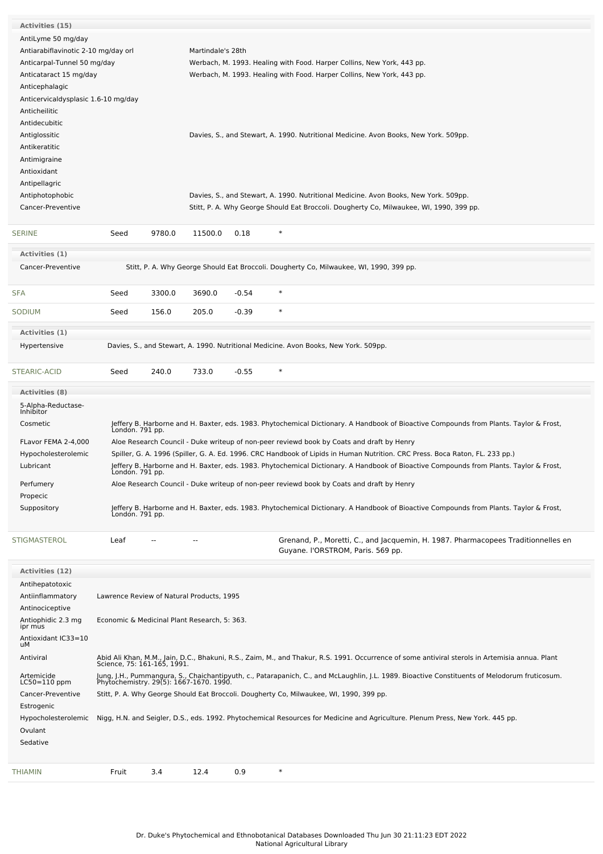| Activities (15)                     |                                              |        |                                                                                      |                                                                                         |                                                                                                                                                                                          |  |  |  |  |  |  |
|-------------------------------------|----------------------------------------------|--------|--------------------------------------------------------------------------------------|-----------------------------------------------------------------------------------------|------------------------------------------------------------------------------------------------------------------------------------------------------------------------------------------|--|--|--|--|--|--|
| AntiLyme 50 mg/day                  |                                              |        |                                                                                      |                                                                                         |                                                                                                                                                                                          |  |  |  |  |  |  |
| Antiarabiflavinotic 2-10 mg/day orl |                                              |        | Martindale's 28th                                                                    |                                                                                         |                                                                                                                                                                                          |  |  |  |  |  |  |
|                                     | Anticarpal-Tunnel 50 mg/day                  |        |                                                                                      | Werbach, M. 1993. Healing with Food. Harper Collins, New York, 443 pp.                  |                                                                                                                                                                                          |  |  |  |  |  |  |
| Anticataract 15 mg/day              |                                              |        |                                                                                      |                                                                                         | Werbach, M. 1993. Healing with Food. Harper Collins, New York, 443 pp.                                                                                                                   |  |  |  |  |  |  |
| Anticephalagic                      |                                              |        |                                                                                      |                                                                                         |                                                                                                                                                                                          |  |  |  |  |  |  |
| Anticervicaldysplasic 1.6-10 mg/day |                                              |        |                                                                                      |                                                                                         |                                                                                                                                                                                          |  |  |  |  |  |  |
| Anticheilitic                       |                                              |        |                                                                                      |                                                                                         |                                                                                                                                                                                          |  |  |  |  |  |  |
| Antidecubitic                       |                                              |        |                                                                                      |                                                                                         |                                                                                                                                                                                          |  |  |  |  |  |  |
| Antiglossitic                       |                                              |        | Davies, S., and Stewart, A. 1990. Nutritional Medicine. Avon Books, New York. 509pp. |                                                                                         |                                                                                                                                                                                          |  |  |  |  |  |  |
| Antikeratitic                       |                                              |        |                                                                                      |                                                                                         |                                                                                                                                                                                          |  |  |  |  |  |  |
| Antimigraine                        |                                              |        |                                                                                      |                                                                                         |                                                                                                                                                                                          |  |  |  |  |  |  |
| Antioxidant                         |                                              |        |                                                                                      |                                                                                         |                                                                                                                                                                                          |  |  |  |  |  |  |
| Antipellagric                       |                                              |        |                                                                                      |                                                                                         |                                                                                                                                                                                          |  |  |  |  |  |  |
| Antiphotophobic                     |                                              |        |                                                                                      | Davies, S., and Stewart, A. 1990. Nutritional Medicine. Avon Books, New York. 509pp.    |                                                                                                                                                                                          |  |  |  |  |  |  |
| Cancer-Preventive                   |                                              |        |                                                                                      | Stitt, P. A. Why George Should Eat Broccoli. Dougherty Co, Milwaukee, WI, 1990, 399 pp. |                                                                                                                                                                                          |  |  |  |  |  |  |
| <b>SERINE</b>                       | Seed                                         | 9780.0 | 11500.0                                                                              | 0.18                                                                                    | $\ast$                                                                                                                                                                                   |  |  |  |  |  |  |
|                                     |                                              |        |                                                                                      |                                                                                         |                                                                                                                                                                                          |  |  |  |  |  |  |
| Activities (1)                      |                                              |        |                                                                                      |                                                                                         |                                                                                                                                                                                          |  |  |  |  |  |  |
| Cancer-Preventive                   |                                              |        |                                                                                      |                                                                                         | Stitt, P. A. Why George Should Eat Broccoli. Dougherty Co, Milwaukee, WI, 1990, 399 pp.                                                                                                  |  |  |  |  |  |  |
| <b>SFA</b>                          | Seed                                         | 3300.0 | 3690.0                                                                               | $-0.54$                                                                                 | $\ast$                                                                                                                                                                                   |  |  |  |  |  |  |
| SODIUM                              | Seed                                         | 156.0  | 205.0                                                                                | $-0.39$                                                                                 | $\ast$                                                                                                                                                                                   |  |  |  |  |  |  |
| Activities (1)                      |                                              |        |                                                                                      |                                                                                         |                                                                                                                                                                                          |  |  |  |  |  |  |
| Hypertensive                        |                                              |        |                                                                                      |                                                                                         | Davies, S., and Stewart, A. 1990. Nutritional Medicine. Avon Books, New York. 509pp.                                                                                                     |  |  |  |  |  |  |
|                                     |                                              |        |                                                                                      |                                                                                         |                                                                                                                                                                                          |  |  |  |  |  |  |
| <b>STEARIC-ACID</b>                 | Seed                                         | 240.0  | 733.0                                                                                | $-0.55$                                                                                 | $\ast$                                                                                                                                                                                   |  |  |  |  |  |  |
| <b>Activities (8)</b>               |                                              |        |                                                                                      |                                                                                         |                                                                                                                                                                                          |  |  |  |  |  |  |
| 5-Alpha-Reductase-<br>Inhibitor     |                                              |        |                                                                                      |                                                                                         |                                                                                                                                                                                          |  |  |  |  |  |  |
| Cosmetic                            |                                              |        |                                                                                      |                                                                                         | Jeffery B. Harborne and H. Baxter, eds. 1983. Phytochemical Dictionary. A Handbook of Bioactive Compounds from Plants. Taylor & Frost,<br>London. 791 pp.                                |  |  |  |  |  |  |
| FLavor FEMA 2-4,000                 |                                              |        |                                                                                      |                                                                                         | Aloe Research Council - Duke writeup of non-peer reviewd book by Coats and draft by Henry                                                                                                |  |  |  |  |  |  |
| Hypocholesterolemic                 |                                              |        |                                                                                      |                                                                                         | Spiller, G. A. 1996 (Spiller, G. A. Ed. 1996. CRC Handbook of Lipids in Human Nutrition. CRC Press. Boca Raton, FL. 233 pp.)                                                             |  |  |  |  |  |  |
| Lubricant                           | London. 791 pp.                              |        |                                                                                      |                                                                                         | Jeffery B. Harborne and H. Baxter, eds. 1983. Phytochemical Dictionary. A Handbook of Bioactive Compounds from Plants. Taylor & Frost,                                                   |  |  |  |  |  |  |
| Perfumery                           |                                              |        |                                                                                      |                                                                                         | Aloe Research Council - Duke writeup of non-peer reviewd book by Coats and draft by Henry                                                                                                |  |  |  |  |  |  |
| Propecic                            |                                              |        |                                                                                      |                                                                                         |                                                                                                                                                                                          |  |  |  |  |  |  |
| Suppository                         | Londón. 791 pp.                              |        |                                                                                      |                                                                                         | Jeffery B. Harborne and H. Baxter, eds. 1983. Phytochemical Dictionary. A Handbook of Bioactive Compounds from Plants. Taylor & Frost,                                                   |  |  |  |  |  |  |
| <b>STIGMASTEROL</b>                 | Leaf                                         |        |                                                                                      |                                                                                         | Grenand, P., Moretti, C., and Jacquemin, H. 1987. Pharmacopees Traditionnelles en                                                                                                        |  |  |  |  |  |  |
|                                     |                                              |        |                                                                                      |                                                                                         | Guyane. I'ORSTROM, Paris. 569 pp.                                                                                                                                                        |  |  |  |  |  |  |
| Activities (12)                     |                                              |        |                                                                                      |                                                                                         |                                                                                                                                                                                          |  |  |  |  |  |  |
| Antihepatotoxic                     |                                              |        |                                                                                      |                                                                                         |                                                                                                                                                                                          |  |  |  |  |  |  |
| Antiinflammatory                    | Lawrence Review of Natural Products, 1995    |        |                                                                                      |                                                                                         |                                                                                                                                                                                          |  |  |  |  |  |  |
| Antinociceptive                     |                                              |        |                                                                                      |                                                                                         |                                                                                                                                                                                          |  |  |  |  |  |  |
| Antiophidic 2.3 mg<br>ipr mus       | Economic & Medicinal Plant Research, 5: 363. |        |                                                                                      |                                                                                         |                                                                                                                                                                                          |  |  |  |  |  |  |
| Antioxidant IC33=10<br>uМ           |                                              |        |                                                                                      |                                                                                         |                                                                                                                                                                                          |  |  |  |  |  |  |
| Antiviral                           |                                              |        |                                                                                      |                                                                                         | Abid Ali Khan, M.M., Jain, D.C., Bhakuni, R.S., Zaim, M., and Thakur, R.S. 1991. Occurrence of some antiviral sterols in Artemisia annua. Plant<br>Science, 75: 161-165, 1991.           |  |  |  |  |  |  |
| Artemicide                          |                                              |        |                                                                                      |                                                                                         | Jung, J.H., Pummangura, S., Chaichantipyuth, c., Patarapanich, C., and McLaughlin, J.L. 1989. Bioactive Constituents of Melodorum fruticosum.<br>Phytochemistry. 29(5): 1667-1670. 1990. |  |  |  |  |  |  |
| $LC50=110$ ppm                      |                                              |        |                                                                                      |                                                                                         |                                                                                                                                                                                          |  |  |  |  |  |  |
| Cancer-Preventive                   |                                              |        |                                                                                      |                                                                                         | Stitt, P. A. Why George Should Eat Broccoli. Dougherty Co, Milwaukee, WI, 1990, 399 pp.                                                                                                  |  |  |  |  |  |  |
| Estrogenic                          |                                              |        |                                                                                      |                                                                                         |                                                                                                                                                                                          |  |  |  |  |  |  |
| Hypocholesterolemic                 |                                              |        |                                                                                      |                                                                                         | Nigg, H.N. and Seigler, D.S., eds. 1992. Phytochemical Resources for Medicine and Agriculture. Plenum Press, New York. 445 pp.                                                           |  |  |  |  |  |  |
| Ovulant<br>Sedative                 |                                              |        |                                                                                      |                                                                                         |                                                                                                                                                                                          |  |  |  |  |  |  |
|                                     |                                              |        |                                                                                      |                                                                                         |                                                                                                                                                                                          |  |  |  |  |  |  |
| THIAMIN                             | Fruit                                        | 3.4    | 12.4                                                                                 | 0.9                                                                                     | $\ast$                                                                                                                                                                                   |  |  |  |  |  |  |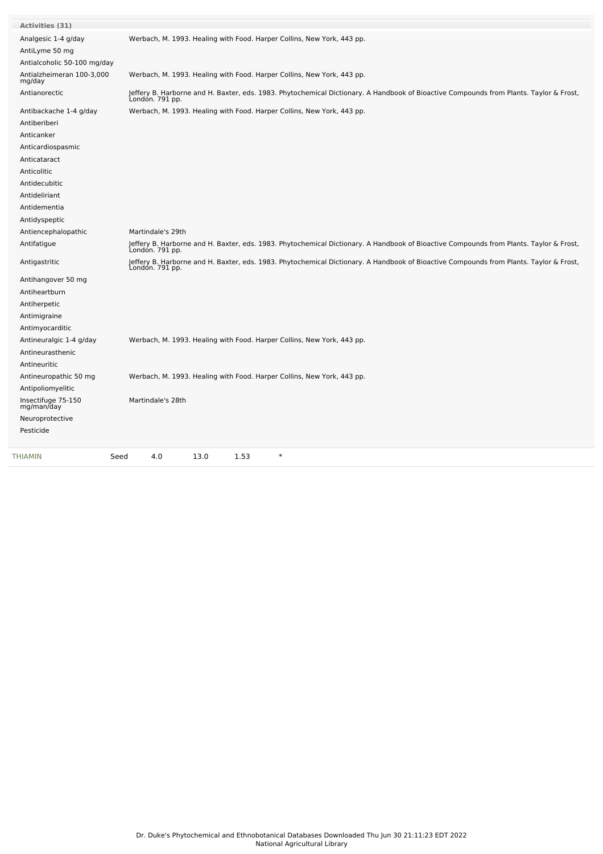| Activities (31)                     |                                                                                                                                                           |  |  |  |  |  |
|-------------------------------------|-----------------------------------------------------------------------------------------------------------------------------------------------------------|--|--|--|--|--|
| Analgesic 1-4 g/day                 | Werbach, M. 1993. Healing with Food. Harper Collins, New York, 443 pp.                                                                                    |  |  |  |  |  |
| AntiLyme 50 mg                      |                                                                                                                                                           |  |  |  |  |  |
| Antialcoholic 50-100 mg/day         |                                                                                                                                                           |  |  |  |  |  |
| Antialzheimeran 100-3,000<br>mg/day | Werbach, M. 1993. Healing with Food. Harper Collins, New York, 443 pp.                                                                                    |  |  |  |  |  |
| Antianorectic                       | Jeffery B. Harborne and H. Baxter, eds. 1983. Phytochemical Dictionary. A Handbook of Bioactive Compounds from Plants. Taylor & Frost,<br>London. 791 pp. |  |  |  |  |  |
| Antibackache 1-4 g/day              | Werbach, M. 1993. Healing with Food. Harper Collins, New York, 443 pp.                                                                                    |  |  |  |  |  |
| Antiberiberi                        |                                                                                                                                                           |  |  |  |  |  |
| Anticanker                          |                                                                                                                                                           |  |  |  |  |  |
| Anticardiospasmic                   |                                                                                                                                                           |  |  |  |  |  |
| Anticataract                        |                                                                                                                                                           |  |  |  |  |  |
| Anticolitic                         |                                                                                                                                                           |  |  |  |  |  |
| Antidecubitic                       |                                                                                                                                                           |  |  |  |  |  |
| Antideliriant                       |                                                                                                                                                           |  |  |  |  |  |
| Antidementia                        |                                                                                                                                                           |  |  |  |  |  |
| Antidyspeptic                       |                                                                                                                                                           |  |  |  |  |  |
| Antiencephalopathic                 | Martindale's 29th                                                                                                                                         |  |  |  |  |  |
| Antifatigue                         | Jeffery B. Harborne and H. Baxter, eds. 1983. Phytochemical Dictionary. A Handbook of Bioactive Compounds from Plants. Taylor & Frost,<br>Londón. 791 pp. |  |  |  |  |  |
| Antigastritic                       | Jeffery B. Harborne and H. Baxter, eds. 1983. Phytochemical Dictionary. A Handbook of Bioactive Compounds from Plants. Taylor & Frost,<br>London. 791 pp. |  |  |  |  |  |
| Antihangover 50 mg                  |                                                                                                                                                           |  |  |  |  |  |
| Antiheartburn                       |                                                                                                                                                           |  |  |  |  |  |
| Antiherpetic                        |                                                                                                                                                           |  |  |  |  |  |
| Antimigraine                        |                                                                                                                                                           |  |  |  |  |  |
| Antimyocarditic                     |                                                                                                                                                           |  |  |  |  |  |
| Antineuralgic 1-4 g/day             | Werbach, M. 1993. Healing with Food. Harper Collins, New York, 443 pp.                                                                                    |  |  |  |  |  |
| Antineurasthenic                    |                                                                                                                                                           |  |  |  |  |  |
| Antineuritic                        |                                                                                                                                                           |  |  |  |  |  |
| Antineuropathic 50 mg               | Werbach, M. 1993. Healing with Food. Harper Collins, New York, 443 pp.                                                                                    |  |  |  |  |  |
| Antipoliomyelitic                   |                                                                                                                                                           |  |  |  |  |  |
| Insectifuge 75-150<br>mg/man/day    | Martindale's 28th                                                                                                                                         |  |  |  |  |  |
| Neuroprotective                     |                                                                                                                                                           |  |  |  |  |  |
| Pesticide                           |                                                                                                                                                           |  |  |  |  |  |
| THIAMIN                             | $\ast$<br>13.0<br>Seed<br>4.0<br>1.53                                                                                                                     |  |  |  |  |  |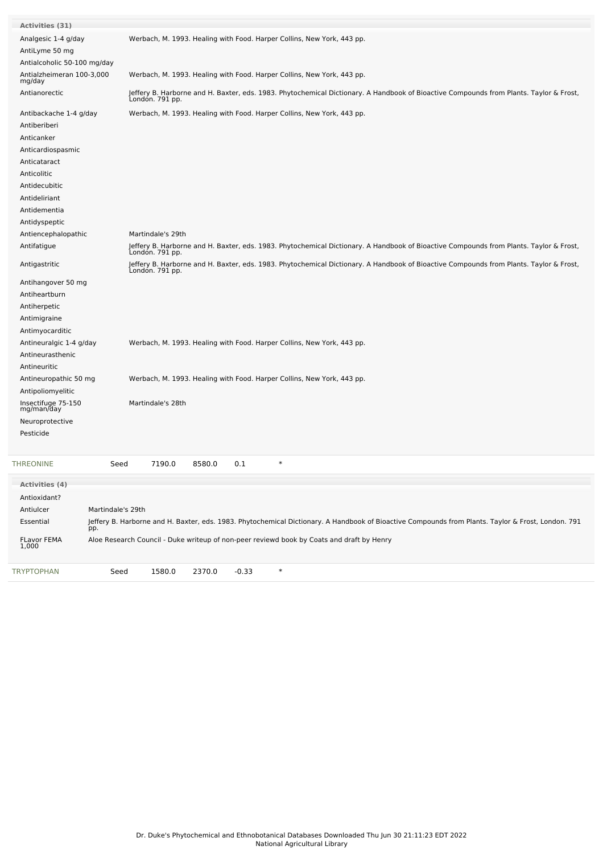| Activities (31)<br>Analgesic 1-4 g/day<br>Werbach, M. 1993. Healing with Food. Harper Collins, New York, 443 pp.<br>AntiLyme 50 mg<br>Antialcoholic 50-100 mg/day<br>Antialzheimeran 100-3,000<br>Werbach, M. 1993. Healing with Food. Harper Collins, New York, 443 pp.<br>mg/day<br>Antianorectic<br>Jeffery B. Harborne and H. Baxter, eds. 1983. Phytochemical Dictionary. A Handbook of Bioactive Compounds from Plants. Taylor & Frost,<br>London. 791 pp.<br>Werbach, M. 1993. Healing with Food. Harper Collins, New York, 443 pp.<br>Antibackache 1-4 g/day<br>Antiberiberi<br>Anticanker<br>Anticardiospasmic<br>Anticataract<br>Anticolitic<br>Antidecubitic<br>Antideliriant<br>Antidementia<br>Antidyspeptic<br>Antiencephalopathic<br>Martindale's 29th<br>Antifatigue<br>Jeffery B. Harborne and H. Baxter, eds. 1983. Phytochemical Dictionary. A Handbook of Bioactive Compounds from Plants. Taylor & Frost,<br>London. 791 pp.<br>Jeffery B. Harborne and H. Baxter, eds. 1983. Phytochemical Dictionary. A Handbook of Bioactive Compounds from Plants. Taylor & Frost,<br>Antigastritic<br>London. 791 pp.<br>Antihangover 50 mg<br>Antiheartburn<br>Antiherpetic<br>Antimigraine<br>Antimyocarditic<br>Antineuralgic 1-4 g/day<br>Werbach, M. 1993. Healing with Food. Harper Collins, New York, 443 pp.<br>Antineurasthenic<br>Antineuritic<br>Antineuropathic 50 mg<br>Werbach, M. 1993. Healing with Food. Harper Collins, New York, 443 pp.<br>Antipoliomyelitic<br>Insectifuge 75-150<br>mg/man/day<br>Martindale's 28th<br>Neuroprotective<br>Pesticide<br>$\ast$<br>7190.0<br>8580.0<br>0.1<br>Seed<br>Activities (4)<br>Antioxidant?<br>Martindale's 29th<br>Antiulcer<br>Jeffery B. Harborne and H. Baxter, eds. 1983. Phytochemical Dictionary. A Handbook of Bioactive Compounds from Plants. Taylor & Frost, London. 791<br>Essential<br>pp.<br><b>FLavor FEMA</b><br>Aloe Research Council - Duke writeup of non-peer reviewd book by Coats and draft by Henry<br>1,000 |           |  |
|------------------------------------------------------------------------------------------------------------------------------------------------------------------------------------------------------------------------------------------------------------------------------------------------------------------------------------------------------------------------------------------------------------------------------------------------------------------------------------------------------------------------------------------------------------------------------------------------------------------------------------------------------------------------------------------------------------------------------------------------------------------------------------------------------------------------------------------------------------------------------------------------------------------------------------------------------------------------------------------------------------------------------------------------------------------------------------------------------------------------------------------------------------------------------------------------------------------------------------------------------------------------------------------------------------------------------------------------------------------------------------------------------------------------------------------------------------------------------------------------------------------------------------------------------------------------------------------------------------------------------------------------------------------------------------------------------------------------------------------------------------------------------------------------------------------------------------------------------------------------------------------------------------------------------------------------------------------------------------------------------------|-----------|--|
|                                                                                                                                                                                                                                                                                                                                                                                                                                                                                                                                                                                                                                                                                                                                                                                                                                                                                                                                                                                                                                                                                                                                                                                                                                                                                                                                                                                                                                                                                                                                                                                                                                                                                                                                                                                                                                                                                                                                                                                                            |           |  |
|                                                                                                                                                                                                                                                                                                                                                                                                                                                                                                                                                                                                                                                                                                                                                                                                                                                                                                                                                                                                                                                                                                                                                                                                                                                                                                                                                                                                                                                                                                                                                                                                                                                                                                                                                                                                                                                                                                                                                                                                            |           |  |
|                                                                                                                                                                                                                                                                                                                                                                                                                                                                                                                                                                                                                                                                                                                                                                                                                                                                                                                                                                                                                                                                                                                                                                                                                                                                                                                                                                                                                                                                                                                                                                                                                                                                                                                                                                                                                                                                                                                                                                                                            |           |  |
|                                                                                                                                                                                                                                                                                                                                                                                                                                                                                                                                                                                                                                                                                                                                                                                                                                                                                                                                                                                                                                                                                                                                                                                                                                                                                                                                                                                                                                                                                                                                                                                                                                                                                                                                                                                                                                                                                                                                                                                                            |           |  |
|                                                                                                                                                                                                                                                                                                                                                                                                                                                                                                                                                                                                                                                                                                                                                                                                                                                                                                                                                                                                                                                                                                                                                                                                                                                                                                                                                                                                                                                                                                                                                                                                                                                                                                                                                                                                                                                                                                                                                                                                            |           |  |
|                                                                                                                                                                                                                                                                                                                                                                                                                                                                                                                                                                                                                                                                                                                                                                                                                                                                                                                                                                                                                                                                                                                                                                                                                                                                                                                                                                                                                                                                                                                                                                                                                                                                                                                                                                                                                                                                                                                                                                                                            |           |  |
|                                                                                                                                                                                                                                                                                                                                                                                                                                                                                                                                                                                                                                                                                                                                                                                                                                                                                                                                                                                                                                                                                                                                                                                                                                                                                                                                                                                                                                                                                                                                                                                                                                                                                                                                                                                                                                                                                                                                                                                                            |           |  |
|                                                                                                                                                                                                                                                                                                                                                                                                                                                                                                                                                                                                                                                                                                                                                                                                                                                                                                                                                                                                                                                                                                                                                                                                                                                                                                                                                                                                                                                                                                                                                                                                                                                                                                                                                                                                                                                                                                                                                                                                            |           |  |
|                                                                                                                                                                                                                                                                                                                                                                                                                                                                                                                                                                                                                                                                                                                                                                                                                                                                                                                                                                                                                                                                                                                                                                                                                                                                                                                                                                                                                                                                                                                                                                                                                                                                                                                                                                                                                                                                                                                                                                                                            |           |  |
|                                                                                                                                                                                                                                                                                                                                                                                                                                                                                                                                                                                                                                                                                                                                                                                                                                                                                                                                                                                                                                                                                                                                                                                                                                                                                                                                                                                                                                                                                                                                                                                                                                                                                                                                                                                                                                                                                                                                                                                                            |           |  |
|                                                                                                                                                                                                                                                                                                                                                                                                                                                                                                                                                                                                                                                                                                                                                                                                                                                                                                                                                                                                                                                                                                                                                                                                                                                                                                                                                                                                                                                                                                                                                                                                                                                                                                                                                                                                                                                                                                                                                                                                            |           |  |
|                                                                                                                                                                                                                                                                                                                                                                                                                                                                                                                                                                                                                                                                                                                                                                                                                                                                                                                                                                                                                                                                                                                                                                                                                                                                                                                                                                                                                                                                                                                                                                                                                                                                                                                                                                                                                                                                                                                                                                                                            |           |  |
|                                                                                                                                                                                                                                                                                                                                                                                                                                                                                                                                                                                                                                                                                                                                                                                                                                                                                                                                                                                                                                                                                                                                                                                                                                                                                                                                                                                                                                                                                                                                                                                                                                                                                                                                                                                                                                                                                                                                                                                                            |           |  |
|                                                                                                                                                                                                                                                                                                                                                                                                                                                                                                                                                                                                                                                                                                                                                                                                                                                                                                                                                                                                                                                                                                                                                                                                                                                                                                                                                                                                                                                                                                                                                                                                                                                                                                                                                                                                                                                                                                                                                                                                            |           |  |
|                                                                                                                                                                                                                                                                                                                                                                                                                                                                                                                                                                                                                                                                                                                                                                                                                                                                                                                                                                                                                                                                                                                                                                                                                                                                                                                                                                                                                                                                                                                                                                                                                                                                                                                                                                                                                                                                                                                                                                                                            |           |  |
|                                                                                                                                                                                                                                                                                                                                                                                                                                                                                                                                                                                                                                                                                                                                                                                                                                                                                                                                                                                                                                                                                                                                                                                                                                                                                                                                                                                                                                                                                                                                                                                                                                                                                                                                                                                                                                                                                                                                                                                                            |           |  |
|                                                                                                                                                                                                                                                                                                                                                                                                                                                                                                                                                                                                                                                                                                                                                                                                                                                                                                                                                                                                                                                                                                                                                                                                                                                                                                                                                                                                                                                                                                                                                                                                                                                                                                                                                                                                                                                                                                                                                                                                            |           |  |
|                                                                                                                                                                                                                                                                                                                                                                                                                                                                                                                                                                                                                                                                                                                                                                                                                                                                                                                                                                                                                                                                                                                                                                                                                                                                                                                                                                                                                                                                                                                                                                                                                                                                                                                                                                                                                                                                                                                                                                                                            |           |  |
|                                                                                                                                                                                                                                                                                                                                                                                                                                                                                                                                                                                                                                                                                                                                                                                                                                                                                                                                                                                                                                                                                                                                                                                                                                                                                                                                                                                                                                                                                                                                                                                                                                                                                                                                                                                                                                                                                                                                                                                                            |           |  |
|                                                                                                                                                                                                                                                                                                                                                                                                                                                                                                                                                                                                                                                                                                                                                                                                                                                                                                                                                                                                                                                                                                                                                                                                                                                                                                                                                                                                                                                                                                                                                                                                                                                                                                                                                                                                                                                                                                                                                                                                            |           |  |
|                                                                                                                                                                                                                                                                                                                                                                                                                                                                                                                                                                                                                                                                                                                                                                                                                                                                                                                                                                                                                                                                                                                                                                                                                                                                                                                                                                                                                                                                                                                                                                                                                                                                                                                                                                                                                                                                                                                                                                                                            |           |  |
|                                                                                                                                                                                                                                                                                                                                                                                                                                                                                                                                                                                                                                                                                                                                                                                                                                                                                                                                                                                                                                                                                                                                                                                                                                                                                                                                                                                                                                                                                                                                                                                                                                                                                                                                                                                                                                                                                                                                                                                                            |           |  |
|                                                                                                                                                                                                                                                                                                                                                                                                                                                                                                                                                                                                                                                                                                                                                                                                                                                                                                                                                                                                                                                                                                                                                                                                                                                                                                                                                                                                                                                                                                                                                                                                                                                                                                                                                                                                                                                                                                                                                                                                            |           |  |
|                                                                                                                                                                                                                                                                                                                                                                                                                                                                                                                                                                                                                                                                                                                                                                                                                                                                                                                                                                                                                                                                                                                                                                                                                                                                                                                                                                                                                                                                                                                                                                                                                                                                                                                                                                                                                                                                                                                                                                                                            |           |  |
|                                                                                                                                                                                                                                                                                                                                                                                                                                                                                                                                                                                                                                                                                                                                                                                                                                                                                                                                                                                                                                                                                                                                                                                                                                                                                                                                                                                                                                                                                                                                                                                                                                                                                                                                                                                                                                                                                                                                                                                                            |           |  |
|                                                                                                                                                                                                                                                                                                                                                                                                                                                                                                                                                                                                                                                                                                                                                                                                                                                                                                                                                                                                                                                                                                                                                                                                                                                                                                                                                                                                                                                                                                                                                                                                                                                                                                                                                                                                                                                                                                                                                                                                            |           |  |
|                                                                                                                                                                                                                                                                                                                                                                                                                                                                                                                                                                                                                                                                                                                                                                                                                                                                                                                                                                                                                                                                                                                                                                                                                                                                                                                                                                                                                                                                                                                                                                                                                                                                                                                                                                                                                                                                                                                                                                                                            |           |  |
|                                                                                                                                                                                                                                                                                                                                                                                                                                                                                                                                                                                                                                                                                                                                                                                                                                                                                                                                                                                                                                                                                                                                                                                                                                                                                                                                                                                                                                                                                                                                                                                                                                                                                                                                                                                                                                                                                                                                                                                                            |           |  |
|                                                                                                                                                                                                                                                                                                                                                                                                                                                                                                                                                                                                                                                                                                                                                                                                                                                                                                                                                                                                                                                                                                                                                                                                                                                                                                                                                                                                                                                                                                                                                                                                                                                                                                                                                                                                                                                                                                                                                                                                            |           |  |
|                                                                                                                                                                                                                                                                                                                                                                                                                                                                                                                                                                                                                                                                                                                                                                                                                                                                                                                                                                                                                                                                                                                                                                                                                                                                                                                                                                                                                                                                                                                                                                                                                                                                                                                                                                                                                                                                                                                                                                                                            |           |  |
|                                                                                                                                                                                                                                                                                                                                                                                                                                                                                                                                                                                                                                                                                                                                                                                                                                                                                                                                                                                                                                                                                                                                                                                                                                                                                                                                                                                                                                                                                                                                                                                                                                                                                                                                                                                                                                                                                                                                                                                                            |           |  |
|                                                                                                                                                                                                                                                                                                                                                                                                                                                                                                                                                                                                                                                                                                                                                                                                                                                                                                                                                                                                                                                                                                                                                                                                                                                                                                                                                                                                                                                                                                                                                                                                                                                                                                                                                                                                                                                                                                                                                                                                            |           |  |
|                                                                                                                                                                                                                                                                                                                                                                                                                                                                                                                                                                                                                                                                                                                                                                                                                                                                                                                                                                                                                                                                                                                                                                                                                                                                                                                                                                                                                                                                                                                                                                                                                                                                                                                                                                                                                                                                                                                                                                                                            |           |  |
|                                                                                                                                                                                                                                                                                                                                                                                                                                                                                                                                                                                                                                                                                                                                                                                                                                                                                                                                                                                                                                                                                                                                                                                                                                                                                                                                                                                                                                                                                                                                                                                                                                                                                                                                                                                                                                                                                                                                                                                                            | THREONINE |  |
|                                                                                                                                                                                                                                                                                                                                                                                                                                                                                                                                                                                                                                                                                                                                                                                                                                                                                                                                                                                                                                                                                                                                                                                                                                                                                                                                                                                                                                                                                                                                                                                                                                                                                                                                                                                                                                                                                                                                                                                                            |           |  |
|                                                                                                                                                                                                                                                                                                                                                                                                                                                                                                                                                                                                                                                                                                                                                                                                                                                                                                                                                                                                                                                                                                                                                                                                                                                                                                                                                                                                                                                                                                                                                                                                                                                                                                                                                                                                                                                                                                                                                                                                            |           |  |
|                                                                                                                                                                                                                                                                                                                                                                                                                                                                                                                                                                                                                                                                                                                                                                                                                                                                                                                                                                                                                                                                                                                                                                                                                                                                                                                                                                                                                                                                                                                                                                                                                                                                                                                                                                                                                                                                                                                                                                                                            |           |  |
|                                                                                                                                                                                                                                                                                                                                                                                                                                                                                                                                                                                                                                                                                                                                                                                                                                                                                                                                                                                                                                                                                                                                                                                                                                                                                                                                                                                                                                                                                                                                                                                                                                                                                                                                                                                                                                                                                                                                                                                                            |           |  |
|                                                                                                                                                                                                                                                                                                                                                                                                                                                                                                                                                                                                                                                                                                                                                                                                                                                                                                                                                                                                                                                                                                                                                                                                                                                                                                                                                                                                                                                                                                                                                                                                                                                                                                                                                                                                                                                                                                                                                                                                            |           |  |

[TRYPTOPHAN](file:///phytochem/chemicals/show/17599) Seed 1580.0 2370.0 -0.33 \*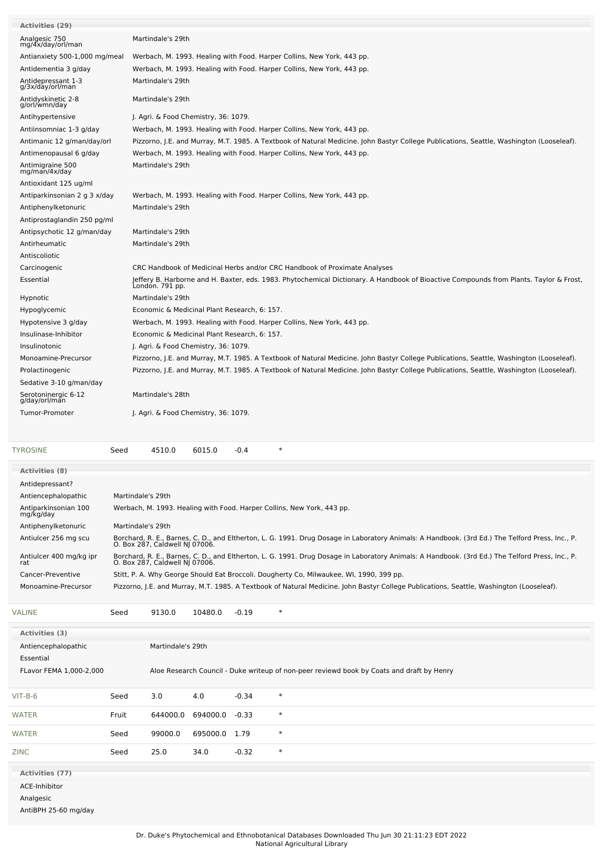| <b>Activities (29)</b>                 |                                                                                                                                                           |
|----------------------------------------|-----------------------------------------------------------------------------------------------------------------------------------------------------------|
| Analgesic 750<br>mg/4x/day/orl/man     | Martindale's 29th                                                                                                                                         |
| Antianxiety 500-1,000 mg/meal          | Werbach, M. 1993. Healing with Food. Harper Collins, New York, 443 pp.                                                                                    |
| Antidementia 3 g/day                   | Werbach, M. 1993. Healing with Food. Harper Collins, New York, 443 pp.                                                                                    |
| Antidepressant 1-3<br>g/3x/day/orl/man | Martindale's 29th                                                                                                                                         |
| Antidyskinetic 2-8<br>g/orl/wmn/day    | Martindale's 29th                                                                                                                                         |
| Antihypertensive                       | J. Agri. & Food Chemistry, 36: 1079.                                                                                                                      |
| Antiinsomniac 1-3 g/day                | Werbach, M. 1993. Healing with Food. Harper Collins, New York, 443 pp.                                                                                    |
| Antimanic 12 g/man/day/orl             | Pizzorno, J.E. and Murray, M.T. 1985. A Textbook of Natural Medicine. John Bastyr College Publications, Seattle, Washington (Looseleaf).                  |
| Antimenopausal 6 g/day                 | Werbach, M. 1993. Healing with Food. Harper Collins, New York, 443 pp.                                                                                    |
| Antimigraine 500<br>mg/man/4x/day      | Martindale's 29th                                                                                                                                         |
| Antioxidant 125 ug/ml                  |                                                                                                                                                           |
| Antiparkinsonian 2 g 3 x/day           | Werbach, M. 1993. Healing with Food. Harper Collins, New York, 443 pp.                                                                                    |
| Antiphenylketonuric                    | Martindale's 29th                                                                                                                                         |
| Antiprostaglandin 250 pg/ml            |                                                                                                                                                           |
| Antipsychotic 12 g/man/day             | Martindale's 29th                                                                                                                                         |
| Antirheumatic                          | Martindale's 29th                                                                                                                                         |
| Antiscoliotic                          |                                                                                                                                                           |
| Carcinogenic                           | CRC Handbook of Medicinal Herbs and/or CRC Handbook of Proximate Analyses                                                                                 |
| Essential                              | Jeffery B. Harborne and H. Baxter, eds. 1983. Phytochemical Dictionary. A Handbook of Bioactive Compounds from Plants. Taylor & Frost,<br>London. 791 pp. |
| Hypnotic                               | Martindale's 29th                                                                                                                                         |
| Hypoglycemic                           | Economic & Medicinal Plant Research, 6: 157.                                                                                                              |
| Hypotensive 3 g/day                    | Werbach, M. 1993. Healing with Food. Harper Collins, New York, 443 pp.                                                                                    |
| Insulinase-Inhibitor                   | Economic & Medicinal Plant Research, 6: 157.                                                                                                              |
| Insulinotonic                          | J. Agri. & Food Chemistry, 36: 1079.                                                                                                                      |
| Monoamine-Precursor                    | Pizzorno, J.E. and Murray, M.T. 1985. A Textbook of Natural Medicine. John Bastyr College Publications, Seattle, Washington (Looseleaf).                  |
| Prolactinogenic                        | Pizzorno, J.E. and Murray, M.T. 1985. A Textbook of Natural Medicine. John Bastyr College Publications, Seattle, Washington (Looseleaf).                  |
| Sedative 3-10 g/man/day                |                                                                                                                                                           |
| Serotoninergic 6-12<br>g/day/orl/man   | Martindale's 28th                                                                                                                                         |
| Tumor-Promoter                         | J. Agri. & Food Chemistry, 36: 1079.                                                                                                                      |
|                                        |                                                                                                                                                           |

| <b>TYROSINE</b>                   | Seed              | 4510.0                         | 6015.0  | $-0.4$  | $\ast$ |                                                                                                                                                 |
|-----------------------------------|-------------------|--------------------------------|---------|---------|--------|-------------------------------------------------------------------------------------------------------------------------------------------------|
| <b>Activities (8)</b>             |                   |                                |         |         |        |                                                                                                                                                 |
| Antidepressant?                   |                   |                                |         |         |        |                                                                                                                                                 |
| Antiencephalopathic               | Martindale's 29th |                                |         |         |        |                                                                                                                                                 |
| Antiparkinsonian 100<br>mg/kg/day |                   |                                |         |         |        | Werbach, M. 1993. Healing with Food. Harper Collins, New York, 443 pp.                                                                          |
| Antiphenylketonuric               | Martindale's 29th |                                |         |         |        |                                                                                                                                                 |
| Antiulcer 256 mg scu              |                   | O. Box 287, Caldwell NJ 07006. |         |         |        | Borchard, R. E., Barnes, C. D., and Eltherton, L. G. 1991. Drug Dosage in Laboratory Animals: A Handbook. (3rd Ed.) The Telford Press, Inc., P. |
| Antiulcer 400 mg/kg ipr<br>rat    |                   | O. Box 287, Caldwell NJ 07006. |         |         |        | Borchard, R. E., Barnes, C. D., and Eltherton, L. G. 1991. Drug Dosage in Laboratory Animals: A Handbook. (3rd Ed.) The Telford Press, Inc., P. |
| Cancer-Preventive                 |                   |                                |         |         |        | Stitt, P. A. Why George Should Eat Broccoli. Dougherty Co, Milwaukee, WI, 1990, 399 pp.                                                         |
| Monoamine-Precursor               |                   |                                |         |         |        | Pizzorno, J.E. and Murray, M.T. 1985. A Textbook of Natural Medicine. John Bastyr College Publications, Seattle, Washington (Looseleaf).        |
| <b>VALINE</b>                     | Seed              | 9130.0                         | 10480.0 | $-0.19$ | $\ast$ |                                                                                                                                                 |

| Activities (3)<br>Antiencephalopathic<br>Essential<br>FLavor FEMA 1,000-2,000 |       | Martindale's 29th |                |         | Aloe Research Council - Duke writeup of non-peer reviewd book by Coats and draft by Henry |
|-------------------------------------------------------------------------------|-------|-------------------|----------------|---------|-------------------------------------------------------------------------------------------|
| $VIT-B-6$                                                                     | Seed  | 3.0               | 4.0            | $-0.34$ | $\ast$                                                                                    |
| <b>WATER</b>                                                                  | Fruit | 644000.0          | 694000.0 -0.33 |         | $\ast$                                                                                    |
| <b>WATER</b>                                                                  | Seed  | 99000.0           | 695000.0 1.79  |         | $\ast$                                                                                    |
| <b>ZINC</b>                                                                   | Seed  | 25.0              | 34.0           | $-0.32$ | $\ast$                                                                                    |
| Activities (77)<br>ACE-Inhibitor<br>Analgesic<br>AntiBPH 25-60 mg/day         |       |                   |                |         |                                                                                           |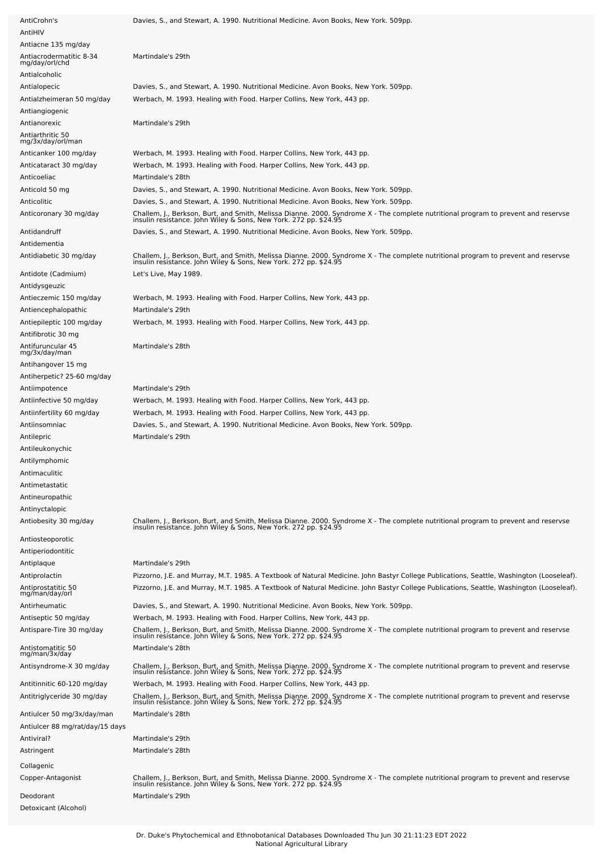| AntiCrohn's                                    | Davies, S., and Stewart, A. 1990. Nutritional Medicine. Avon Books, New York. 509pp.                                                                                                                                            |
|------------------------------------------------|---------------------------------------------------------------------------------------------------------------------------------------------------------------------------------------------------------------------------------|
| AntiHIV                                        |                                                                                                                                                                                                                                 |
| Antiacne 135 mg/day                            |                                                                                                                                                                                                                                 |
| Antiacrodermatitic 8-34<br>mg/day/orl/chd      | Martindale's 29th                                                                                                                                                                                                               |
| Antialcoholic                                  |                                                                                                                                                                                                                                 |
| Antialopecic                                   | Davies, S., and Stewart, A. 1990. Nutritional Medicine. Avon Books, New York. 509pp.                                                                                                                                            |
| Antialzheimeran 50 mg/day<br>Antiangiogenic    | Werbach, M. 1993. Healing with Food. Harper Collins, New York, 443 pp.                                                                                                                                                          |
| Antianorexic                                   | Martindale's 29th                                                                                                                                                                                                               |
| Antiarthritic 50<br>mg/3x/day/orl/man          |                                                                                                                                                                                                                                 |
| Anticanker 100 mg/day                          | Werbach, M. 1993. Healing with Food. Harper Collins, New York, 443 pp.                                                                                                                                                          |
| Anticataract 30 mg/day                         | Werbach, M. 1993. Healing with Food. Harper Collins, New York, 443 pp.                                                                                                                                                          |
| Anticoeliac                                    | Martindale's 28th                                                                                                                                                                                                               |
| Anticold 50 mg                                 | Davies, S., and Stewart, A. 1990. Nutritional Medicine. Avon Books, New York. 509pp.                                                                                                                                            |
| Anticolitic                                    | Davies, S., and Stewart, A. 1990. Nutritional Medicine. Avon Books, New York. 509pp.                                                                                                                                            |
| Anticoronary 30 mg/day                         | Challem, J., Berkson, Burt, and Smith, Melissa Dianne. 2000. Syndrome X - The complete nutritional program to prevent and reservse<br>insulin resistance. John Wiley & Sons, New York. 272 pp. \$24.95                          |
| Antidandruff                                   | Davies, S., and Stewart, A. 1990. Nutritional Medicine. Avon Books, New York. 509pp.                                                                                                                                            |
| Antidementia                                   |                                                                                                                                                                                                                                 |
|                                                |                                                                                                                                                                                                                                 |
| Antidiabetic 30 mg/day<br>Antidote (Cadmium)   | Challem, J., Berkson, Burt, and Smith, Melissa Dianne. 2000. Syndrome X - The complete nutritional program to prevent and reservse<br>insulin resistance. John Wiley & Sons, New York. 272 pp. \$24.95<br>Let's Live, May 1989. |
|                                                |                                                                                                                                                                                                                                 |
| Antidysgeuzic                                  |                                                                                                                                                                                                                                 |
| Antieczemic 150 mg/day                         | Werbach, M. 1993. Healing with Food. Harper Collins, New York, 443 pp.                                                                                                                                                          |
| Antiencephalopathic                            | Martindale's 29th                                                                                                                                                                                                               |
| Antiepileptic 100 mg/day<br>Antifibrotic 30 mg | Werbach, M. 1993. Healing with Food. Harper Collins, New York, 443 pp.                                                                                                                                                          |
| Antifuruncular 45                              | Martindale's 28th                                                                                                                                                                                                               |
| mg/3x/day/man                                  |                                                                                                                                                                                                                                 |
| Antihangover 15 mg                             |                                                                                                                                                                                                                                 |
| Antiherpetic? 25-60 mg/day                     |                                                                                                                                                                                                                                 |
| Antiimpotence                                  | Martindale's 29th                                                                                                                                                                                                               |
| Antiinfective 50 mg/day                        | Werbach, M. 1993. Healing with Food. Harper Collins, New York, 443 pp.                                                                                                                                                          |
| Antiinfertility 60 mg/day                      | Werbach, M. 1993. Healing with Food. Harper Collins, New York, 443 pp.                                                                                                                                                          |
| Antiinsomniac                                  | Davies, S., and Stewart, A. 1990. Nutritional Medicine. Avon Books, New York. 509pp.                                                                                                                                            |
| Antilepric                                     | Martindale's 29th                                                                                                                                                                                                               |
| Antileukonychic                                |                                                                                                                                                                                                                                 |
| Antilymphomic                                  |                                                                                                                                                                                                                                 |
| Antimaculitic                                  |                                                                                                                                                                                                                                 |
| Antimetastatic                                 |                                                                                                                                                                                                                                 |
| Antineuropathic                                |                                                                                                                                                                                                                                 |
|                                                |                                                                                                                                                                                                                                 |
| Antinyctalopic                                 |                                                                                                                                                                                                                                 |
| Antiobesity 30 mg/day                          | Challem, J., Berkson, Burt, and Smith, Melissa Dianne. 2000. Syndrome X - The complete nutritional program to prevent and reservse<br>insulin resistance. John Wiley & Sons, New York. 272 pp. \$24.95                          |
| Antiosteoporotic                               |                                                                                                                                                                                                                                 |
| Antiperiodontitic                              |                                                                                                                                                                                                                                 |
| Antiplaque                                     | Martindale's 29th                                                                                                                                                                                                               |
| Antiprolactin                                  | Pizzorno, J.E. and Murray, M.T. 1985. A Textbook of Natural Medicine. John Bastyr College Publications, Seattle, Washington (Looseleaf).                                                                                        |
| Antiprostatitic 50<br>mg/man/day/orl           | Pizzorno, J.E. and Murray, M.T. 1985. A Textbook of Natural Medicine. John Bastyr College Publications, Seattle, Washington (Looseleaf).                                                                                        |
| Antirheumatic                                  | Davies, S., and Stewart, A. 1990. Nutritional Medicine. Avon Books, New York. 509pp.                                                                                                                                            |
| Antiseptic 50 mg/day                           | Werbach, M. 1993. Healing with Food. Harper Collins, New York, 443 pp.                                                                                                                                                          |
| Antispare-Tire 30 mg/day                       | Challem, J., Berkson, Burt, and Smith, Melissa Dianne. 2000. Syndrome X - The complete nutritional program to prevent and reservse<br>insulin resistance. John Wiley & Sons, New York. 272 pp. \$24.95                          |
| Antistomatitic 50<br>mg/man/3x/day             | Martindale's 28th                                                                                                                                                                                                               |
| Antisyndrome-X 30 mg/day                       | Challem, J., Berkson, Burt, and Smith, Melissa Dianne. 2000. Syndrome X - The complete nutritional program to prevent and reservse<br>insulin resistance. John Wiley & Sons, New York. 272 pp. \$24.95                          |
| Antitinnitic 60-120 mg/day                     | Werbach, M. 1993. Healing with Food. Harper Collins, New York, 443 pp.                                                                                                                                                          |
| Antitriglyceride 30 mg/day                     |                                                                                                                                                                                                                                 |
|                                                | Challem, J., Berkson, Burt, and Smith, Melissa Dianne. 2000. Syndrome X - The complete nutritional program to prevent and reservse<br>insulin resistance. John Wiley & Sons, New York. 272 pp. \$24.95                          |
| Antiulcer 50 mg/3x/day/man                     | Martindale's 28th                                                                                                                                                                                                               |
| Antiulcer 88 mg/rat/day/15 days                |                                                                                                                                                                                                                                 |
| Antiviral?                                     | Martindale's 29th                                                                                                                                                                                                               |
| Astringent                                     | Martindale's 28th                                                                                                                                                                                                               |
| Collagenic                                     |                                                                                                                                                                                                                                 |
| Copper-Antagonist                              | Challem, J., Berkson, Burt, and Smith, Melissa Dianne. 2000. Syndrome X - The complete nutritional program to prevent and reservse<br>insulin resistance. John Wiley & Sons, New York. 272 pp. \$24.95                          |
| Deodorant                                      | Martindale's 29th                                                                                                                                                                                                               |
| Detoxicant (Alcohol)                           |                                                                                                                                                                                                                                 |